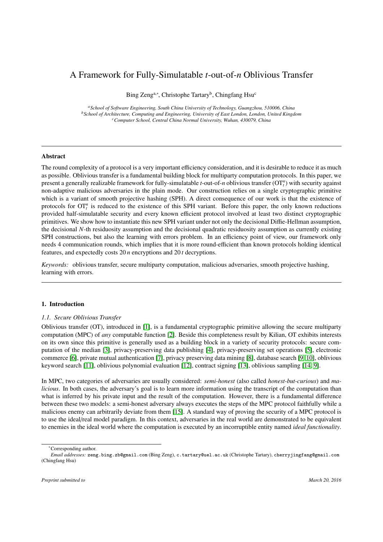# A Framework for Fully-Simulatable *t*-out-of-*n* Oblivious Transfer

Bing Zeng<sup>a,∗</sup>, Christophe Tartary<sup>b</sup>, Chingfang Hsu<sup>c</sup>

*<sup>a</sup>School of Software Engineering, South China University of Technology, Guangzhou, 510006, China <sup>b</sup>School of Architecture, Computing and Engineering, University of East London, London, United Kingdom <sup>c</sup>Computer School, Central China Normal University, Wuhan, 430079, China*

## Abstract

The round complexity of a protocol is a very important efficiency consideration, and it is desirable to reduce it as much as possible. Oblivious transfer is a fundamental building block for multiparty computation protocols. In this paper, we present a generally realizable framework for fully-simulatable *t*-out-of-*n* oblivious transfer (OT*<sup>n</sup> t* ) with security against non-adaptive malicious adversaries in the plain mode. Our construction relies on a single cryptographic primitive which is a variant of smooth projective hashing (SPH). A direct consequence of our work is that the existence of protocols for  $OT<sub>t</sub><sup>n</sup>$  is reduced to the existence of this SPH variant. Before this paper, the only known reductions provided half-simulatable security and every known efficient protocol involved at least two distinct cryptographic primitives. We show how to instantiate this new SPH variant under not only the decisional Diffie-Hellman assumption, the decisional *N*-th residuosity assumption and the decisional quadratic residuosity assumption as currently existing SPH constructions, but also the learning with errors problem. In an efficiency point of view, our framework only needs 4 communication rounds, which implies that it is more round-efficient than known protocols holding identical features, and expectedly costs 20 *n* encryptions and 20 *t* decryptions.

*Keywords:* oblivious transfer, secure multiparty computation, malicious adversaries, smooth projective hashing, learning with errors.

## <span id="page-0-0"></span>1. Introduction

## *1.1. Secure Oblivious Transfer*

Oblivious transfer (OT), introduced in [\[1\]](#page-33-0), is a fundamental cryptographic primitive allowing the secure multiparty computation (MPC) of *any* computable function [\[2\]](#page-33-1). Beside this completeness result by Kilian, OT exhibits interests on its own since this primitive is generally used as a building block in a variety of security protocols: secure computation of the median [\[3\]](#page-33-2), privacy-preserving data publishing [\[4\]](#page-33-3), privacy-preserving set operations [\[5\]](#page-33-4), electronic commerce [\[6\]](#page-33-5), private mutual authentication [\[7\]](#page-33-6), privacy preserving data mining [\[8\]](#page-33-7), database search [\[9,](#page-33-8) [10\]](#page-33-9), oblivious keyword search [\[11\]](#page-33-10), oblivious polynomial evaluation [\[12\]](#page-33-11), contract signing [\[13\]](#page-33-12), oblivious sampling [\[14,](#page-33-13) [9\]](#page-33-8).

In MPC, two categories of adversaries are usually considered: *semi-honest* (also called *honest-but-curious*) and *malicious*. In both cases, the adversary's goal is to learn more information using the transcript of the computation than what is inferred by his private input and the result of the computation. However, there is a fundamental difference between these two models: a semi-honest adversary always executes the steps of the MPC protocol faithfully while a malicious enemy can arbitrarily deviate from them [\[15\]](#page-33-14). A standard way of proving the security of a MPC protocol is to use the ideal/real model paradigm. In this context, adversaries in the real world are demonstrated to be equivalent to enemies in the ideal world where the computation is executed by an incorruptible entity named *ideal functionality*.

<sup>∗</sup>Corresponding author.

*Email addresses:* zeng.bing.zb@gmail.com (Bing Zeng), c.tartary@uel.ac.uk (Christophe Tartary), cherryjingfang@gmail.com (Chingfang Hsu)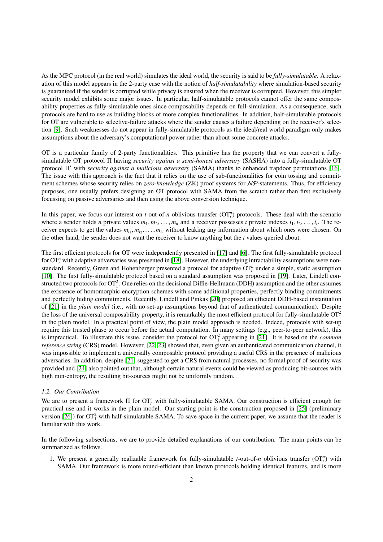As the MPC protocol (in the real world) simulates the ideal world, the security is said to be *fully-simulatable*. A relaxation of this model appears in the 2-party case with the notion of *half-simulatability* where simulation-based security is guaranteed if the sender is corrupted while privacy is ensured when the receiver is corrupted. However, this simpler security model exhibits some major issues. In particular, half-simulatable protocols cannot offer the same composability properties as fully-simulatable ones since composability depends on full-simulation. As a consequence, such protocols are hard to use as building blocks of more complex functionalities. In addition, half-simulatable protocols for OT are vulnerable to selective-failure attacks where the sender causes a failure depending on the receiver's selection [\[9\]](#page-33-8). Such weaknesses do not appear in fully-simulatable protocols as the ideal/real world paradigm only makes assumptions about the adversary's computational power rather than about some concrete attacks.

OT is a particular family of 2-party functionalities. This primitive has the property that we can convert a fullysimulatable OT protocol Π having *security against a semi-honest adversary* (SASHA) into a fully-simulatable OT protocol Π' with *security against a malicious adversary* (SAMA) thanks to enhanced trapdoor permutations [\[16\]](#page-33-15). The issue with this approach is the fact that it relies on the use of sub-functionalities for coin tossing and commitment schemes whose security relies on *zero-knowledge* (ZK) proof systems for NP-statements. Thus, for efficiency purposes, one usually prefers designing an OT protocol with SAMA from the scratch rather than first exclusively focussing on passive adversaries and then using the above conversion technique.

In this paper, we focus our interest on  $t$ -out-of- $n$  oblivious transfer  $(OT<sub>t</sub><sup>n</sup>)$  protocols. These deal with the scenario where a sender holds *n* private values  $m_1, m_2, \ldots, m_n$  and a receiver possesses *t* private indexes  $i_1, i_2, \ldots, i_t$ . The re-<br>ceiver expects to get the values  $m_1, m_2, \ldots, m_t$  without leaking any information about which ceiver expects to get the values  $m_{i_1}, m_{i_2}, \ldots, m_{i_t}$  without leaking any information about which ones were chosen. On<br>the other hand, the sender does not want the receiver to know anything but the *t* values queried a the other hand, the sender does not want the receiver to know anything but the *t* values queried about.

The first efficient protocols for OT were independently presented in [\[17\]](#page-33-16) and [\[6\]](#page-33-5). The first fully-simulatable protocol for  $OT_t^n$  with adaptive adversaries was presented in [\[18\]](#page-33-17). However, the underlying intractability assumptions were nonstandard. Recently, Green and Hohenberger presented a protocol for adaptive  $\text{OT}_t^n$  under a simple, static assumption [\[10\]](#page-33-9). The first fully-simulatable protocol based on a standard assumption was proposed in [\[19\]](#page-33-18). Later, Lindell constructed two protocols for  $OT_1^2$ . One relies on the decisional Diffie-Hellmann (DDH) assumption and the other assumes the existence of homomorphic encryption schemes with some additional properties, perfectly binding commitments and perfectly hiding commitments. Recently, Lindell and Pinkas [\[20\]](#page-33-19) proposed an efficient DDH-based instantiation of [\[21\]](#page-33-20) in the *plain model* (i.e., with no set-up assumptions beyond that of authenticated communication). Despite the loss of the universal composability property, it is remarkably the most efficient protocol for fully-simulatable  $OT_1^2$ in the plain model. In a practical point of view, the plain model approach is needed. Indeed, protocols with set-up require this trusted phase to occur before the actual computation. In many settings (e.g., peer-to-peer network), this is impractical. To illustrate this issue, consider the protocol for  $OT_1^2$  appearing in [\[21\]](#page-33-20). It is based on the *common reference string* (CRS) model. However, [\[22,](#page-33-21) [23\]](#page-33-22) showed that, even given an authenticated communication channel, it was impossible to implement a universally composable protocol providing a useful CRS in the presence of malicious adversaries. In addition, despite [\[21\]](#page-33-20) suggested to get a CRS from natural processes, no formal proof of security was provided and [\[24\]](#page-33-23) also pointed out that, although certain natural events could be viewed as producing bit-sources with high min-entropy, the resulting bit-sources might not be uniformly random.

#### *1.2. Our Contribution*

We are to present a framework Π for OT<sup>*n*</sup> with fully-simulatable SAMA. Our construction is efficient enough for practical use and it works in the plain model. Our starting point is the construction proposed in [\[25\]](#page-33-24) (preliminary version [\[26\]](#page-33-25)) for  $OT_1^2$  with half-simulatable SAMA. To save space in the current paper, we assume that the reader is familiar with this work.

In the following subsections, we are to provide detailed explanations of our contribution. The main points can be summarized as follows.

1. We present a generally realizable framework for fully-simulatable *t*-out-of-*n* oblivious transfer  $(OT<sub>t</sub><sup>n</sup>)$  with SAMA. Our framework is more round-efficient than known protocols holding identical features, and is more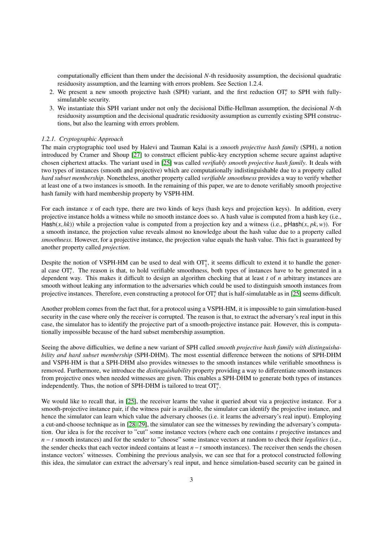computationally efficient than them under the decisional *N*-th residuosity assumption, the decisional quadratic residuosity assumption, and the learning with errors problem. See Section 1.2.4.

- 2. We present a new smooth projective hash (SPH) variant, and the first reduction  $\sigma T_t^n$  to SPH with fullysimulatable security.
- 3. We instantiate this SPH variant under not only the decisional Diffie-Hellman assumption, the decisional *N*-th residuosity assumption and the decisional quadratic residuosity assumption as currently existing SPH constructions, but also the learning with errors problem.

## *1.2.1. Cryptographic Approach*

The main cryptographic tool used by Halevi and Tauman Kalai is a *smooth projective hash family* (SPH), a notion introduced by Cramer and Shoup [\[27\]](#page-34-0) to construct efficient public-key encryption scheme secure against adaptive chosen ciphertext attacks. The variant used in [\[25\]](#page-33-24) was called *verifiably smooth projective hash family*. It deals with two types of instances (smooth and projective) which are computationally indistinguishable due to a property called *hard subset membership*. Nonetheless, another property called *verifiable smoothness* provides a way to verify whether at least one of a two instances is smooth. In the remaining of this paper, we are to denote verifiably smooth projective hash family with hard membership property by VSPH-HM.

For each instance *x* of each type, there are two kinds of keys (hash keys and projection keys). In addition, every projective instance holds a witness while no smooth instance does so. A hash value is computed from a hash key (i.e., Hash( $x$ ,  $hk$ )) while a projection value is computed from a projection key and a witness (i.e., pHash( $x$ ,  $pk$ ,  $w$ )). For a smooth instance, the projection value reveals almost no knowledge about the hash value due to a property called *smoothness*. However, for a projective instance, the projection value equals the hash value. This fact is guaranteed by another property called *projection*.

Despite the notion of VSPH-HM can be used to deal with  $OT_1^n$ , it seems difficult to extend it to handle the general case  $\overline{OT}_t^n$ . The reason is that, to hold verifiable smoothness, both types of instances have to be generated in a dependent way. This makes it difficult to design an algorithm checking that at least *t* of *n* arbitrary instances are smooth without leaking any information to the adversaries which could be used to distinguish smooth instances from projective instances. Therefore, even constructing a protocol for  $OT_t^n$  that is half-simulatable as in [\[25\]](#page-33-24) seems difficult.

Another problem comes from the fact that, for a protocol using a VSPH-HM, it is impossible to gain simulation-based security in the case where only the receiver is corrupted. The reason is that, to extract the adversary's real input in this case, the simulator has to identify the projective part of a smooth-projective instance pair. However, this is computationally impossible because of the hard subset membership assumption.

Seeing the above difficulties, we define a new variant of SPH called *smooth projective hash family with distinguishability and hard subset membership* (SPH-DHM). The most essential difference between the notions of SPH-DHM and VSPH-HM is that a SPH-DHM also provides witnesses to the smooth instances while verifiable smoothness is removed. Furthermore, we introduce the *distinguishability* property providing a way to differentiate smooth instances from projective ones when needed witnesses are given. This enables a SPH-DHM to generate both types of instances independently. Thus, the notion of SPH-DHM is tailored to treat  $\text{OT}_t^n$ .

We would like to recall that, in [\[25\]](#page-33-24), the receiver learns the value it queried about via a projective instance. For a smooth-projective instance pair, if the witness pair is available, the simulator can identify the projective instance, and hence the simulator can learn which value the adversary chooses (i.e. it learns the adversary's real input). Employing a cut-and-choose technique as in [\[28,](#page-34-1) [29\]](#page-34-2), the simulator can see the witnesses by rewinding the adversary's computation. Our idea is for the receiver to "cut" some instance vectors (where each one contains *t* projective instances and *n* − *t* smooth instances) and for the sender to "choose" some instance vectors at random to check their *legalities* (i.e., the sender checks that each vector indeed contains at least *n*−*t* smooth instances). The receiver then sends the chosen instance vectors' witnesses. Combining the previous analysis, we can see that for a protocol constructed following this idea, the simulator can extract the adversary's real input, and hence simulation-based security can be gained in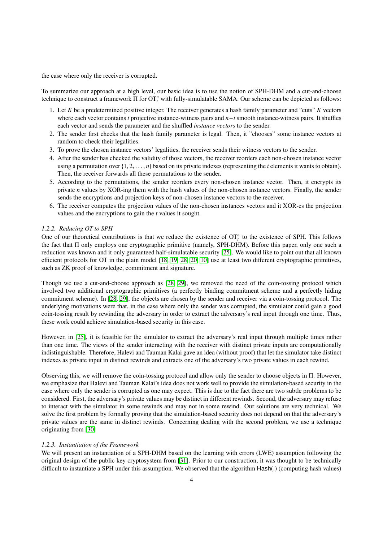the case where only the receiver is corrupted.

To summarize our approach at a high level, our basic idea is to use the notion of SPH-DHM and a cut-and-choose technique to construct a framework  $\Pi$  for  $OT_t^n$  with fully-simulatable SAMA. Our scheme can be depicted as follows:

- 1. Let *K* be a predetermined positive integer. The receiver generates a hash family parameter and "cuts" *K* vectors where each vector contains *t* projective instance-witness pairs and *n*−*t* smooth instance-witness pairs. It shuffles each vector and sends the parameter and the shuffled *instance vectors* to the sender.
- 2. The sender first checks that the hash family parameter is legal. Then, it "chooses" some instance vectors at random to check their legalities.
- 3. To prove the chosen instance vectors' legalities, the receiver sends their witness vectors to the sender.
- 4. After the sender has checked the validity of those vectors, the receiver reorders each non-chosen instance vector using a permutation over {1, <sup>2</sup>, . . . , *<sup>n</sup>*} based on its private indexes (representing the *<sup>t</sup>* elements it wants to obtain). Then, the receiver forwards all these permutations to the sender.
- 5. According to the permutations, the sender reorders every non-chosen instance vector. Then, it encrypts its private *n* values by XOR-ing them with the hash values of the non-chosen instance vectors. Finally, the sender sends the encryptions and projection keys of non-chosen instance vectors to the receiver.
- 6. The receiver computes the projection values of the non-chosen instances vectors and it XOR-es the projection values and the encryptions to gain the *t* values it sought.

## *1.2.2. Reducing OT to SPH*

One of our theoretical contributions is that we reduce the existence of  $OT<sub>t</sub><sup>n</sup>$  to the existence of SPH. This follows the fact that Π only employs one cryptographic primitive (namely, SPH-DHM). Before this paper, only one such a reduction was known and it only guaranteed half-simulatable security [\[25\]](#page-33-24). We would like to point out that all known efficient protocols for OT in the plain model [\[18,](#page-33-17) [19,](#page-33-18) [28,](#page-34-1) [20,](#page-33-19) [10\]](#page-33-9) use at least two different cryptographic primitives, such as ZK proof of knowledge, commitment and signature.

Though we use a cut-and-choose approach as [\[28,](#page-34-1) [29\]](#page-34-2), we removed the need of the coin-tossing protocol which involved two additional cryptographic primitives (a perfectly binding commitment scheme and a perfectly hiding commitment scheme). In [\[28,](#page-34-1) [29\]](#page-34-2), the objects are chosen by the sender and receiver via a coin-tossing protocol. The underlying motivations were that, in the case where only the sender was corrupted, the simulator could gain a good coin-tossing result by rewinding the adversary in order to extract the adversary's real input through one time. Thus, these work could achieve simulation-based security in this case.

However, in [\[25\]](#page-33-24), it is feasible for the simulator to extract the adversary's real input through multiple times rather than one time. The views of the sender interacting with the receiver with distinct private inputs are computationally indistinguishable. Therefore, Halevi and Tauman Kalai gave an idea (without proof) that let the simulator take distinct indexes as private input in distinct rewinds and extracts one of the adversary's two private values in each rewind.

Observing this, we will remove the coin-tossing protocol and allow only the sender to choose objects in Π. However, we emphasize that Halevi and Tauman Kalai's idea does not work well to provide the simulation-based security in the case where only the sender is corrupted as one may expect. This is due to the fact there are two subtle problems to be considered. First, the adversary's private values may be distinct in different rewinds. Second, the adversary may refuse to interact with the simulator in some rewinds and may not in some rewind. Our solutions are very technical. We solve the first problem by formally proving that the simulation-based security does not depend on that the adversary's private values are the same in distinct rewinds. Concerning dealing with the second problem, we use a technique originating from [\[30\]](#page-34-3)

#### *1.2.3. Instantiation of the Framework*

We will present an instantiation of a SPH-DHM based on the learning with errors (LWE) assumption following the original design of the public key cryptosystem from [\[31\]](#page-34-4). Prior to our construction, it was thought to be technically difficult to instantiate a SPH under this assumption. We observed that the algorithm Hash(.) (computing hash values)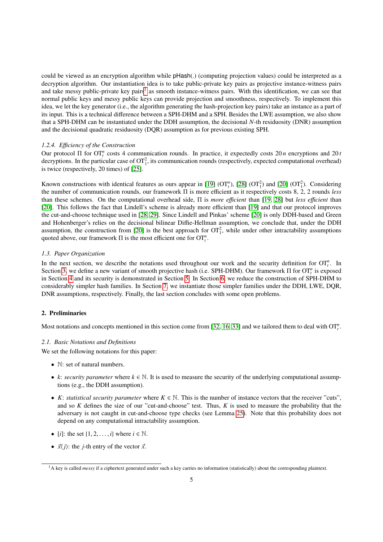could be viewed as an encryption algorithm while pHash(.) (computing projection values) could be interpreted as a decryption algorithm. Our instantiation idea is to take public-private key pairs as projective instance-witness pairs and take messy public-private key pairs<sup>[1](#page-4-0)</sup> as smooth instance-witness pairs. With this identification, we can see that normal public keys and messy public keys can provide projection and smoothness, respectively. To implement this idea, we let the key generator (i.e., the algorithm generating the hash-projection key pairs) take an instance as a part of its input. This is a technical difference between a SPH-DHM and a SPH. Besides the LWE assumption, we also show that a SPH-DHM can be instantiated under the DDH assumption, the decisional *N*-th residuosity (DNR) assumption and the decisional quadratic residuosity (DQR) assumption as for previous existing SPH.

## *1.2.4. E*ffi*ciency of the Construction*

Our protocol Π for  $OT<sub>t</sub><sup>n</sup>$  costs 4 communication rounds. In practice, it expectedly costs 20 *n* encryptions and 20 *t* decryptions. In the particular case of  $OT_1^2$ , its communication rounds (respectively, expected computational overhead) is twice (respectively, 20 times) of [\[25\]](#page-33-24).

Known constructions with identical features as ours appear in [\[19\]](#page-33-18)  $(OT<sub>i</sub><sup>n</sup>)$ , [\[28\]](#page-34-1)  $(OT<sub>1</sub><sup>2</sup>)$  and [\[20\]](#page-33-19)  $(OT<sub>1</sub><sup>2</sup>)$ . Considering the number of communication rounds, our framework Π is more efficient as it respectively costs 8, 2, 2 rounds *less* than these schemes. On the computational overhead side, Π is *more e*ffi*cient* than [\[19,](#page-33-18) [28\]](#page-34-1) but *less e*ffi*cient* than [\[20\]](#page-33-19). This follows the fact that Lindell's scheme is already more efficient than [\[19\]](#page-33-18) and that our protocol improves the cut-and-choose technique used in [\[28,](#page-34-1) [29\]](#page-34-2). Since Lindell and Pinkas' scheme [\[20\]](#page-33-19) is only DDH-based and Green and Hohenberger's relies on the decisional bilinear Diffie-Hellman assumption, we conclude that, under the DDH assumption, the construction from [\[20\]](#page-33-19) is the best approach for  $OT<sub>1</sub><sup>2</sup>$ , while under other intractability assumptions quoted above, our framework  $\Pi$  is the most efficient one for  $\mathfrak{O} \mathfrak{T}^n_t$ .

#### *1.3. Paper Organization*

In the next section, we describe the notations used throughout our work and the security definition for  $\overline{OT}_t^n$ . In Section [3,](#page-8-0) we define a new variant of smooth projective hash (i.e. SPH-DHM). Our framework Π for OT<sup>*n*</sup> is exposed in Section [4](#page-10-0) and its security is demonstrated in Section [5.](#page-13-0) In Section [6,](#page-21-0) we reduce the construction of SPH-DHM to considerably simpler hash families. In Section [7,](#page-25-0) we instantiate those simpler families under the DDH, LWE, DQR, DNR assumptions, respectively. Finally, the last section concludes with some open problems.

## 2. Preliminaries

Most notations and concepts mentioned in this section come from [\[32,](#page-34-5) [16,](#page-33-15) [33\]](#page-34-6) and we tailored them to deal with  $OT<sub>t</sub><sup>n</sup>$ .

## *2.1. Basic Notations and Definitions*

We set the following notations for this paper:

- N: set of natural numbers.
- *k*: *security parameter* where  $k \in \mathbb{N}$ . It is used to measure the security of the underlying computational assumptions (e.g., the DDH assumption).
- *K*: *statistical security parameter* where  $K \in \mathbb{N}$ . This is the number of instance vectors that the receiver "cuts", and so *K* defines the size of our "cut-and-choose" test. Thus, *K* is used to measure the probability that the adversary is not caught in cut-and-choose type checks (see Lemma [25\)](#page-10-1). Note that this probability does not depend on any computational intractability assumption.
- *[i]*: the set  $\{1, 2, \ldots, i\}$  where  $i \in \mathbb{N}$ .
- $\vec{x}$  $\langle j \rangle$ : the *j*-th entry of the vector  $\vec{x}$ .

<span id="page-4-0"></span><sup>&</sup>lt;sup>1</sup>A key is called *messy* if a ciphertext generated under such a key carries no information (statistically) about the corresponding plaintext.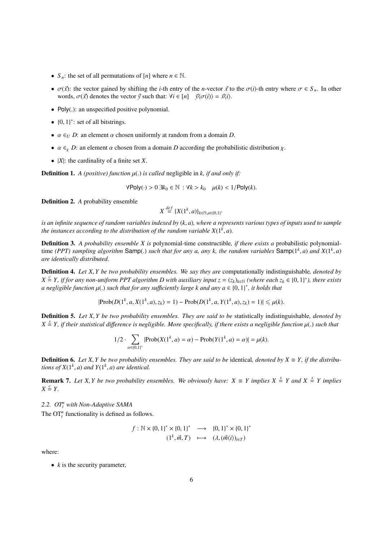- $S_n$ : the set of all permutations of [*n*] where  $n \in \mathbb{N}$ .
- $\sigma(\vec{x})$ : the vector gained by shifting the *i*-th entry of the *n*-vector  $\vec{x}$  to the  $\sigma(i)$ -th entry where  $\sigma \in S_n$ . In other words,  $\sigma(\vec{x})$  denotes the vector  $\vec{y}$  such that:  $\forall i \in [n]$   $\vec{y}\langle\sigma(i)\rangle = \vec{x}\langle i\rangle$ .
- Poly(.): an unspecified positive polynomial.
- $\{0, 1\}^*$ : set of all bitstrings.
- $\alpha \in U$  *D*: an element  $\alpha$  chosen uniformly at random from a domain *D*.
- $\alpha \in_{\chi} D$ : an element  $\alpha$  chosen from a domain *D* according the probabilistic distribution  $\chi$ .
- |*X*|: the cardinality of a finite set *X*.

**Definition 1.** *A (positive) function*  $\mu$ (*) is called* negligible in *k, if and only if:* 

 $\forall$ Poly(·) > 0 ∃ $k_0 \in \mathbb{N}$  :  $\forall k > k_0$   $\mu(k) < 1$ /Poly(*k*).

Definition 2. *A* probability ensemble

$$
X \stackrel{def}{=} \{X(1^k, a)\}_{k \in \mathbb{N}, a \in \{0,1\}^*}
$$

*is an infinite sequence of random variables indexed by* (*k*, *<sup>a</sup>*)*, where a represents various types of inputs used to sample the instances according to the distribution of the random variable*  $X(1^k, a)$ *.* 

Definition 3. *A probability ensemble X is* polynomial-time constructible*, if there exists a* probabilistic polynomialtime *(PPT)* sampling algorithm Samp(.) such that for any a, any k, the random variables Samp( $1^k$ , *a*) and  $X(1^k, a)$ <br>are identically distributed *are identically distributed.*

Definition 4. *Let X*, *Y be two probability ensembles. We say they are* computationally indistinguishable*, denoted by*  $X \triangleq Y$ , if for any non-uniform PPT algorithm D with auxiliary input  $z = (z_k)_{k \in \mathbb{N}}$  (where each  $z_k \in \{0, 1\}^*$ ), there exists<br>a negligible function  $u(x)$  such that for any sufficiently large k and any  $a \in \{0, 1\}^*$  $a$  negligible function  $\mu(.)$  such that for any sufficiently large k and any  $a \in \{0,1\}^*$ , it holds that

$$
|\text{Prob}(D(1^k, a, X(1^k, a), z_k) = 1) - \text{Prob}(D(1^k, a, Y(1^k, a), z_k) = 1)| \leq \mu(k).
$$

Definition 5. *Let X*, *Y be two probability ensembles. They are said to be* statistically indistinguishable*, denoted by*  $X \triangleq Y$ , if their statistical difference is negligible. More specifically, if there exists a negligible function  $\mu(.)$  such that

$$
1/2 \cdot \sum_{\alpha \in \{0,1\}^*} |\text{Prob}(X(1^k, a) = \alpha) - \text{Prob}(Y(1^k, a) = \alpha)| = \mu(k).
$$

**Definition 6.** Let X, *Y* be two probability ensembles. They are said to be identical, denoted by  $X \equiv Y$ , if the distribu*tions of*  $X(1^k, a)$  *and*  $Y(1^k, a)$  *are identical.* 

**Remark 7.** Let X, *Y* be two probability ensembles. We obviously have:  $X \equiv Y$  implies  $X \stackrel{s}{=} Y$  and  $X \stackrel{s}{=} Y$  implies  $Y \stackrel{c}{=} Y$  $X \stackrel{c}{=} Y$ .

*2.2. OT<sup>n</sup> <sup>t</sup> with Non-Adaptive SAMA*

The  $\mathrm{OT}_t^n$  functionality is defined as follows.

$$
f: \mathbb{N} \times \{0, 1\}^* \times \{0, 1\}^* \longrightarrow \{0, 1\}^* \times \{0, 1\}^*
$$
  

$$
(1^k, \vec{m}, T) \longmapsto (\lambda, (\vec{m}\langle i \rangle)_{i \in T})
$$

where:

•  $k$  is the security parameter,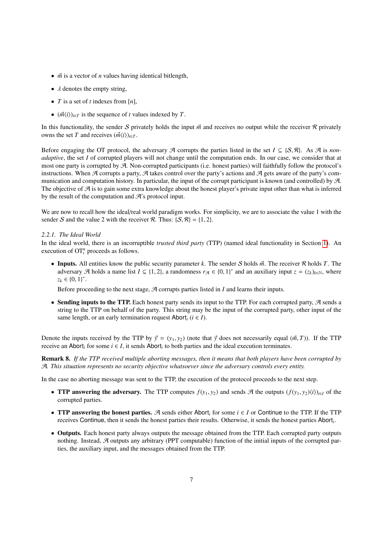- $\vec{m}$  is a vector of *n* values having identical bitlength,
- $\lambda$  denotes the empty string,
- *T* is a set of *t* indexes from [*n*],
- $(\vec{m}\langle i \rangle)_{i \in T}$  is the sequence of *t* values indexed by *T*.

In this functionality, the sender S privately holds the input  $\vec{m}$  and receives no output while the receiver R privately owns the set *T* and receives  $(\vec{m}\langle i \rangle)_{i \in T}$ .

Before engaging the OT protocol, the adversary  $\mathcal A$  corrupts the parties listed in the set  $I \subseteq \{S, \mathcal R\}$ . As  $\mathcal A$  is *nonadaptive*, the set *I* of corrupted players will not change until the computation ends. In our case, we consider that at most one party is corrupted by A. Non-corrupted participants (i.e. honest parties) will faithfully follow the protocol's instructions. When A corrupts a party, A takes control over the party's actions and A gets aware of the party's communication and computation history. In particular, the input of the corrupt participant is known (and controlled) by A. The objective of  $\mathcal A$  is to gain some extra knowledge about the honest player's private input other than what is inferred by the result of the computation and  $\mathcal{A}$ 's protocol input.

We are now to recall how the ideal/real world paradigm works. For simplicity, we are to associate the value 1 with the sender S and the value 2 with the receiver R. Thus:  $\{S, \mathcal{R}\} = \{1, 2\}$ .

## *2.2.1. The Ideal World*

In the ideal world, there is an incorruptible *trusted third party* (TTP) (named ideal functionality in Section [1\)](#page-0-0). An execution of  $OT<sup>n</sup><sub>t</sub>$  proceeds as follows.

• Inputs. All entities know the public security parameter *k*. The sender *S* holds  $\vec{m}$ . The receiver  $\Re$  holds *T*. The adversary  $\mathcal{A}$  holds a name list  $I \subseteq \{1, 2\}$ , a randomness  $r_{\mathcal{A}} \in \{0, 1\}^*$  and an auxiliary input  $z = (z_k)_{k \in \mathbb{N}}$ , where  $z_k \in \{0, 1\}^*$ .

Before proceeding to the next stage,  $A$  corrupts parties listed in  $I$  and learns their inputs.

• Sending inputs to the TTP. Each honest party sends its input to the TTP. For each corrupted party,  $A$  sends a string to the TTP on behalf of the party. This string may be the input of the corrupted party, other input of the same length, or an early termination request Abort<sub>*i*</sub> ( $i \in I$ ).

Denote the inputs received by the TTP by  $\vec{y} = (y_1, y_2)$  (note that  $\vec{y}$  does not necessarily equal ( $\vec{m}$ , *T*)). If the TTP receive an Abort<sub>*i*</sub> for some  $i \in I$ , it sends Abort<sub>*i*</sub> to both parties and the ideal execution terminates.

Remark 8. *If the TTP received multiple aborting messages, then it means that both players have been corrupted by* A*. This situation represents no security objective whatsoever since the adversary controls every entity.*

In the case no aborting message was sent to the TTP, the execution of the protocol proceeds to the next step.

- **TTP answering the adversary.** The TTP computes  $f(y_1, y_2)$  and sends A the outputs  $(f(y_1, y_2)\langle i\rangle)_{i\in I}$  of the corrupted parties.
- TTP answering the honest parties. A sends either Abort*<sup>i</sup>* for some *i* ∈ *I* or Continue to the TTP. If the TTP receives Continue, then it sends the honest parties their results. Otherwise, it sends the honest parties Abort*<sup>i</sup>* .
- Outputs. Each honest party always outputs the message obtained from the TTP. Each corrupted party outputs nothing. Instead,  $A$  outputs any arbitrary (PPT computable) function of the initial inputs of the corrupted parties, the auxiliary input, and the messages obtained from the TTP.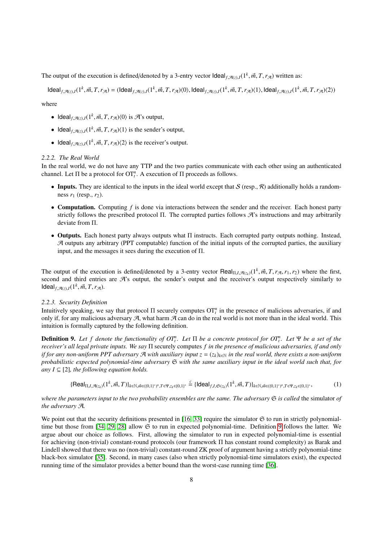The output of the execution is defined/denoted by a 3-entry vector  $\text{Ideal}_{f, \mathcal{A}(z), I}(1^k, \vec{m}, T, r_{\mathcal{A}})$  written as:

 $\mathsf{Ideal}_{f, \mathcal{A}(z), I}(1^k, \vec{m}, T, r_{\mathcal{A}}) = (\mathsf{Ideal}_{f, \mathcal{A}(z), I}(1^k, \vec{m}, T, r_{\mathcal{A}}) \langle 0 \rangle, \mathsf{Ideal}_{f, \mathcal{A}(z), I}(1^k, \vec{m}, T, r_{\mathcal{A}}) \langle 1 \rangle, \mathsf{Ideal}_{f, \mathcal{A}(z), I}(1^k, \vec{m}, T, r_{\mathcal{A}}) \langle 2 \rangle)$ 

where

- Ideal<sub>f, $\mathcal{A}(z), I(1^k, \vec{m}, T, r_{\mathcal{A}})(0)$  is  $\mathcal{A}$ 's output,</sub>
- Ideal<sub>f, $\mathcal{A}(z), I(1^k, \vec{m}, T, r_{\mathcal{A}})(1)$  is the sender's output,</sub>
- Ideal<sub>f, $\mathcal{A}(z), I(1^k, \vec{m}, T, r_{\mathcal{A}})$  is the receiver's output.</sub>

## *2.2.2. The Real World*

In the real world, we do not have any TTP and the two parties communicate with each other using an authenticated channel. Let  $\Pi$  be a protocol for  $OT_t^n$ . A execution of  $\Pi$  proceeds as follows.

- Inputs. They are identical to the inputs in the ideal world except that  $S$  (resp.,  $\mathcal R$ ) additionally holds a randomness  $r_1$  (resp.,  $r_2$ ).
- Computation. Computing *f* is done via interactions between the sender and the receiver. Each honest party strictly follows the prescribed protocol Π. The corrupted parties follows A's instructions and may arbitrarily deviate from Π.
- Outputs. Each honest party always outputs what Π instructs. Each corrupted party outputs nothing. Instead,  $A$  outputs any arbitrary (PPT computable) function of the initial inputs of the corrupted parties, the auxiliary input, and the messages it sees during the execution of Π.

The output of the execution is defined/denoted by a 3-entry vector Real<sub>Π,*I*, $\mathcal{A}(z_k)$ </sub> (1<sup>*k*</sup>,  $\vec{m}$ , *T*,  $r_{\mathcal{A}}$ ,  $r_1$ ,  $r_2$ ) where the first, second and third entries are  $\mathcal{A}$ 's output, the sender's out second and third entries are  $\mathcal{A}$ 's output, the sender's output and the receiver's output respectively similarly to  $\text{Ideal}_{f, \mathcal{A}(z), I}(1^k, \vec{m}, T, r_{\mathcal{A}}).$ 

## *2.2.3. Security Definition*

Intuitively speaking, we say that protocol  $\Pi$  securely computes  $OT_t^n$  in the presence of malicious adversaries, if and only if, for any malicious adversary  $A$ , what harm  $A$  can do in the real world is not more than in the ideal world. This intuition is formally captured by the following definition.

<span id="page-7-0"></span>**Definition 9.** Let f denote the functionality of  $OT_t^n$ . Let  $\Pi$  be a concrete protocol for  $OT_t^n$ . Let  $\Psi$  be a set of the *receiver's all legal private inputs. We say* Π securely computes *f in the presence of malicious adversaries, if and only if for any non-uniform PPT adversary*  $\mathcal A$  *with auxiliary input*  $z = (z_k)_{k \in \mathbb N}$  *in the real world, there exists a non-uniform probabilistic expected polynomial-time adversary* S *with the same auxiliary input in the ideal world such that, for any*  $I \subseteq [2]$ *, the following equation holds.* 

<span id="page-7-1"></span>
$$
\{\text{Real}_{\Pi,I,\mathcal{A}(z_k)}(1^k,\vec{m},T)\}_{k\in\mathbb{N},\vec{m}\in((0,1)^*)^n,T\in\Psi,z_k\in(0,1)^*}\overset{c}{=}\{\text{Ideal}_{f,I,\mathfrak{S}(z_k)}(1^k,\vec{m},T)\}_{k\in\mathbb{N},\vec{m}\in((0,1)^*)^n,T\in\Psi,z_k\in(0,1)^*},\tag{1}
$$

*where the parameters input to the two probability ensembles are the same. The adversary*  $\Im$  *is called* the simulator of *the adversary* A*.*

We point out that the security definitions presented in [\[16,](#page-33-15) [33\]](#page-34-6) require the simulator  $\mathfrak S$  to run in strictly polynomial-time but those from [\[34,](#page-34-7) [29,](#page-34-2) [28\]](#page-34-1) allow  $\mathfrak S$  to run in expected polynomial-time. Definition [9](#page-7-0) follows the latter. We argue about our choice as follows. First, allowing the simulator to run in expected polynomial-time is essential for achieving (non-trivial) constant-round protocols (our framework Π has constant round complexity) as Barak and Lindell showed that there was no (non-trivial) constant-round ZK proof of argument having a strictly polynomial-time black-box simulator [\[35\]](#page-34-8). Second, in many cases (also when strictly polynomial-time simulators exist), the expected running time of the simulator provides a better bound than the worst-case running time [\[36\]](#page-34-9).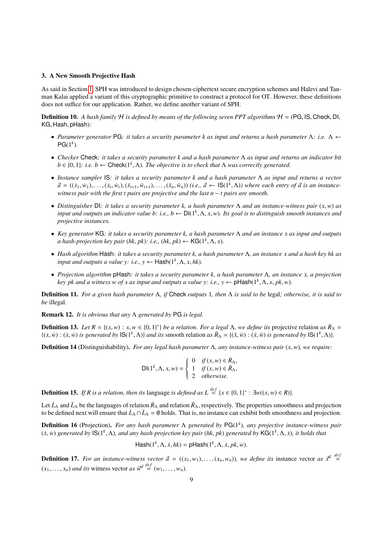## <span id="page-8-0"></span>3. A New Smooth Projective Hash

As said in Section [1,](#page-0-0) SPH was introduced to design chosen-ciphertext secure encryption schemes and Halevi and Tauman Kalai applied a variant of this cryptographic primitive to construct a protocol for OT. However, these definitions does not suffice for our application. Rather, we define another variant of SPH.

<span id="page-8-1"></span>Definition 10. *A hash family* <sup>H</sup> *is defined by means of the following seven PPT algorithms* <sup>H</sup> <sup>=</sup> (PG, IS, Check, DI, KG, Hash, pHash)*:*

- *Parameter generator* PG*: it takes a security parameter k as input and returns a hash parameter* Λ*: i.e.* Λ ←  $PG(1<sup>k</sup>)$ .
- *Checker* Check*: it takes a security parameter k and a hash parameter* Λ *as input and returns an indicator bit*  $b \in \{0, 1\}$ : *i.e.*  $b \leftarrow \text{Check}(1^k, \Lambda)$ . The objective is to check that  $\Lambda$  was correctly generated.
- *Instance sampler* IS*: it takes a security parameter k and a hash parameter* Λ *as input and returns a vector*  $\vec{a} = ((\dot{x}_1, \dot{w}_1), \dots, (\dot{x}_t, \dot{w}_t), (\ddot{x}_{t+1}, \dddot{w}_{t+1}), \dots, (\ddot{x}_n, \dddot{w}_n))$  (i.e.,  $\vec{a} \leftarrow \text{IS}(1^k, \Lambda)$ ) where each entry of  $\vec{a}$  is an instance-<br>witness pair with the first t pairs are projective and the last  $n - t$  *witness pair with the first t pairs are projective and the last n − t pairs are smooth.*
- *Distinguisher* DI*: it takes a security parameter k, a hash parameter* <sup>Λ</sup> *and an instance-witness pair* (*x*,*w*) *as input and outputs an indicator value b: i.e., b* ← DI(1*<sup>k</sup>* , <sup>Λ</sup>, *<sup>x</sup>*,*w*)*. Its goal is to distinguish smooth instances and projective instances.*
- *Key generator* KG*: it takes a security parameter k, a hash parameter* Λ *and an instance x as input and outputs a hash-projection key pair* (*hk*, *pk*): *i.e.*, (*hk*, *pk*) ← **KG**(1<sup>*k*</sup>,  $\Lambda$ , *x*).
- *Hash algorithm* Hash*: it takes a security parameter k, a hash parameter* Λ*, an instance x and a hash key hk as input and outputs a value y: i.e.*,  $y \leftarrow$   $\text{Hash}(1^k, \Lambda, x, hk)$ *.*
- *Projection algorithm* pHash*: it takes a security parameter k, a hash parameter* Λ*, an instance x, a projection key pk and a witness w of x as input and outputs a value y: i.e.,*  $y \leftarrow \text{pHash}(1^k, \Lambda, x, pk, w)$ *.*

Definition 11. *For a given hash parameter* Λ*, if* Check *outputs* 1*, then* Λ *is said to be* legal*; otherwise, it is said to be* illegal*.*

Remark 12. *It is obvious that any* Λ *generated by* PG *is legal.*

**Definition 13.** *Let*  $R = \{(x, w) : x, w \in \{0, 1\}^*\}$  *be a relation. For a legal*  $\Lambda$ *, we define its* projective relation *as*  $\dot{R}_{\Lambda} = \int (x, \dot{w}) \cdot (x, \dot{w}) \cdot (y, \dot{w})$  is generated by  $|\mathbf{S}(1^k, \Lambda)|$  $\{(x,w): (x,w) \text{ is generated by } \mathbb{S}(1^k,\Lambda)\}\$  and its smooth relation as  $\ddot{R}_{\Lambda} = \{(x,w): (x,w) \text{ is generated by } \mathbb{S}(1^k,\Lambda)\}.$ 

<span id="page-8-2"></span>Definition 14 (Distinguishability). *For any legal hash parameter* <sup>Λ</sup>*, any instance-witness pair* (*x*,*w*)*, we require:*

$$
\mathsf{DI}(1^k, \Lambda, x, w) = \begin{cases} 0 & \text{if } (x, w) \in \mathbb{R}_\Lambda, \\ 1 & \text{if } (x, w) \in \mathbb{R}_\Lambda, \\ 2 & \text{otherwise.} \end{cases}
$$

**Definition 15.** *If R is a relation, then its* language *is defined as*  $L \stackrel{def}{=} \{x \in \{0, 1\}^* : \exists w((x, w) \in R)\}.$ 

Let  $\dot{L}_\Lambda$  and  $\ddot{L}_\Lambda$  be the languages of relation  $\dot{R}_\Lambda$  and relation  $\ddot{R}_\Lambda$ , respectively. The properties smoothness and projection to be defined next will ensure that  $\dot{L}_\Lambda \cap \ddot{L}_\Lambda = \emptyset$  holds. That is, no instance can exhibit both smoothness and projection.

Definition 16 (Projection). *For any hash parameter* Λ *generated by* PG(1*<sup>k</sup>* )*, any projective instance-witness pair*  $(x, w)$  generated by  $\mathsf{IS}(1^k, \Lambda)$ , and any hash-projection key pair  $(hk, pk)$  generated by  $\mathsf{KG}(1^k, \Lambda, \dot{x})$ , it holds that

$$
\mathsf{Hash}(1^k, \Lambda, \dot{x}, \mathit{hk}) = \mathsf{pHash}(1^k, \Lambda, \dot{x}, \mathit{pk}, \dot{w}).
$$

**Definition 17.** For an instance-witness vector  $\vec{a} = ((x_1, w_1), \ldots, (x_n, w_n))$ , we define its instance vector as  $\vec{x}^{\vec{a}} \stackrel{def}{=}$  $(x_1, \ldots, x_n)$  *and its* witness vector *as*  $\vec{w}^{\vec{a}} \stackrel{def}{=} (w_1, \ldots, w_n)$ *.*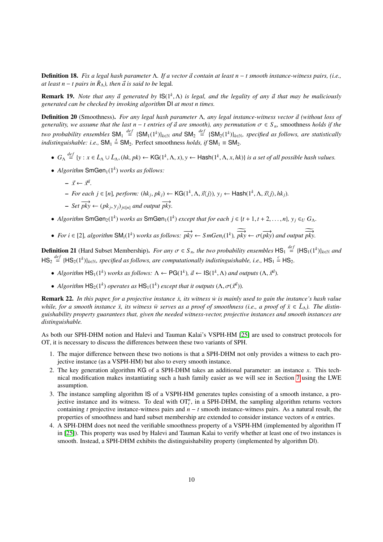<span id="page-9-2"></span>**Definition 18.** *Fix a legal hash parameter* Λ*. If a vector*  $\vec{a}$  *contain at least n* − *t smooth instance-witness pairs, (i.e., at least n* − *t pairs in*  $\ddot{R}_\lambda$ *), then*  $\vec{a}$  *is said to be* legal.

**Remark 19.** *Note that any*  $\vec{a}$  generated by  $\text{IS}(1^k, \Lambda)$  is legal, and the legality of any  $\vec{a}$  that may be maliciously generated can be checked by invoking algorithm  $\text{DI}$  at most n times *generated can be checked by invoking algorithm* DI *at most n times.*

<span id="page-9-0"></span>**Definition 20** (Smoothness). *For any legal hash parameter* Λ, *any legal instance-witness vector*  $\vec{a}$  (without loss of *generality, we assume that the last n* − *t entries of*  $\vec{a}$  *are smooth), any permutation*  $\sigma \in S_n$ , smoothness *holds if the two probability ensembles*  $SM_1 \stackrel{def}{=} {SM_1(1^k)}_{k \in \mathbb{N}}$  and  $SM_2 \stackrel{def}{=} {SM_2(1^k)}_{k \in \mathbb{N}}$ , specified as follows, are statistically *indistinguishable: i.e.*,  $SM_1 \stackrel{s}{=} SM_2$ . Perfect smoothness *holds, if*  $SM_1 \equiv SM_2$ .

- $G_{\Lambda} \stackrel{def}{=} \{y : x \in L_{\Lambda} \cup L_{\Lambda}, (hk, pk) \leftarrow \mathsf{KG}(1^k, \Lambda, x), y \leftarrow \mathsf{Hash}(1^k, \Lambda, x, hk)\}$  is a set of all possible hash values.
- $Algorithm SmGen<sub>1</sub>(1<sup>k</sup>) works as follows:$ 
	- $\vec{x}$  ←  $\vec{x}^{\vec{a}}$ .
	- $\rightarrow$  *For each j* ∈ [*n*]*, perform:* (*hk<sub>j</sub>, pk<sub>j</sub>*) ← KG(1<sup>*k*</sup>, Λ,  $\vec{x}$ (*j*)*, y<sub>j</sub>* ← Hash(1<sup>*k*</sup>, Λ,  $\vec{x}$ (*j*)*, hk<sub>j</sub>)*.
	- $-$  *Set*  $\overrightarrow{pky}$  ←  $(pk_j, y_j)_{j \in [n]}$  *and output*  $\overrightarrow{pky}$ .
- *Algorithm* SmGen<sub>2</sub>(1<sup>k</sup>) *works as* SmGen<sub>1</sub>(1<sup>k</sup>) *except that for each j* ∈ {*t* + 1, *t* + 2, . . . , *n*}*, y<sub>j</sub>* ∈ *U G*<sub>Λ</sub>.
- *For i*  $\in$  [2], *algorithm* SM<sub>*i*</sub>(1<sup>*k*</sup>)</sub> *works as follows:*  $\overrightarrow{pky}$  ←  $S$ *mGen<sub><i>i*</sub>(1<sup>*k*</sup>),  $\overrightarrow{pky}$  ←  $\sigma(\overrightarrow{pky})$  *and output*  $\overrightarrow{pky}$ .

<span id="page-9-1"></span>**Definition 21** (Hard Subset Membership). *For any*  $\sigma \in S_n$ , the two probability ensembles  $\text{HS}_1 \stackrel{def}{=} {\text{[HS}_1(1^k)}_{k \in \mathbb{N}}$  and  $\text{[Hilb]}_k = {\text{[HS}_1(1^k)}_{k \in \mathbb{N}}$  and  $HS_2 \stackrel{def}{=} \{HS_2(1^k)\}_{k \in \mathbb{N}}$ , specified as follows, are computationally indistinguishable, i.e.,  $HS_1 \stackrel{c}{=} HS_2$ .

- *Algorithm*  $\text{HS}_1(1^k)$  *works as follows:*  $\Lambda \leftarrow \text{PG}(1^k)$ ,  $\vec{a} \leftarrow \text{IS}(1^k, \Lambda)$  *and outputs*  $(\Lambda, \vec{x}^{\vec{a}})$ .
- *Algorithm*  $HS_2(1^k)$  *operates as*  $HS_1(1^k)$  *except that it outputs*  $(\Lambda, \sigma(\vec{x}^d))$ *.*

Remark 22. *In this paper, for a projective instance x*, *its witness w is mainly used to gain the instance's hash value while, for a smooth instance*  $\ddot{x}$ , *its witness*  $\ddot{w}$  *serves as a proof of smoothness (i.e., a proof of*  $\ddot{x} \in L_{\lambda}$ *). The distinguishability property guarantees that, given the needed witness-vector, projective instances and smooth instances are distinguishable.*

As both our SPH-DHM notion and Halevi and Tauman Kalai's VSPH-HM [\[25\]](#page-33-24) are used to construct protocols for OT, it is necessary to discuss the differences between these two variants of SPH.

- 1. The major difference between these two notions is that a SPH-DHM not only provides a witness to each projective instance (as a VSPH-HM) but also to every smooth instance.
- 2. The key generation algorithm KG of a SPH-DHM takes an additional parameter: an instance *x*. This technical modification makes instantiating such a hash family easier as we will see in Section [7](#page-25-0) using the LWE assumption.
- 3. The instance sampling algorithm IS of a VSPH-HM generates tuples consisting of a smooth instance, a projective instance and its witness. To deal with  $OT<sub>t</sub><sup>n</sup>$ , in a SPH-DHM, the sampling algorithm returns vectors containing *t* projective instance-witness pairs and *n* − *t* smooth instance-witness pairs. As a natural result, the properties of smoothness and hard subset membership are extended to consider instance vectors of *n* entries.
- 4. A SPH-DHM does not need the verifiable smoothness property of a VSPH-HM (implemented by algorithm IT in [\[25\]](#page-33-24)). This property was used by Halevi and Tauman Kalai to verify whether at least one of two instances is smooth. Instead, a SPH-DHM exhibits the distinguishability property (implemented by algorithm DI).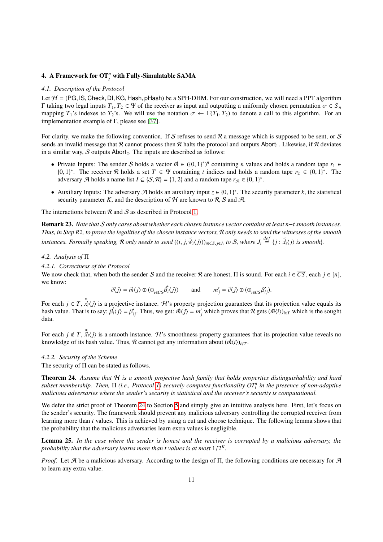# <span id="page-10-0"></span>4. A Framework for OT*<sup>n</sup> t* with Fully-Simulatable SAMA

## *4.1. Description of the Protocol*

Let  $H = (PG, IS, Check, DI, KG, Hash, pHash)$  be a SPH-DHM. For our construction, we will need a PPT algorithm Γ taking two legal inputs  $T_1, T_2 \text{ ∈ } Ψ$  of the receiver as input and outputting a uniformly chosen permutation  $σ ∈ S_n$ mapping  $T_1$ 's indexes to  $T_2$ 's. We will use the notation  $\sigma \leftarrow \Gamma(T_1, T_2)$  to denote a call to this algorithm. For an implementation example of Γ, please see [\[37\]](#page-34-10).

For clarity, we make the following convention. If S refuses to send  $R$  a message which is supposed to be sent, or S sends an invalid message that R cannot process then R halts the protocol and outputs Abort<sub>1</sub>. Likewise, if R deviates in a similar way,  $S$  outputs Abort<sub>2</sub>. The inputs are described as follows:

- Private Inputs: The sender S holds a vector  $\vec{m} \in (\{0, 1\}^*)^n$  containing *n* values and holds a random tape  $r_1 \in \{0, 1\}^*$ . The receiver R holds a set  $T \in \Psi$  containing *t* indices and holds a random tape  $r_2 \in$ {0, 1}<sup>\*</sup>. The receiver R holds a set  $T \in \Psi$  containing *t* indices and holds a random tape  $r_2 \in \{0, 1\}^*$ . The adversary **A** holds a name list  $I \subseteq \{8, 8\} = \{1, 2\}$  and a random tape  $r_2 \in \{0, 1\}^*$ . adversary  $\mathcal A$  holds a name list  $I \subseteq \{S, \mathcal R\} = \{1, 2\}$  and a random tape  $r_{\mathcal A} \in \{0, 1\}^*$ .
- Auxiliary Inputs: The adversary  $\mathcal{A}$  holds an auxiliary input  $z \in \{0, 1\}^*$ . The security parameter *k*, the statistical security parameter *k* and the description of  $\mathcal{H}$  are known to  $\mathcal{R}$ . S and  $\mathcal{A}$ security parameter K, and the description of H are known to R, S and A.

The interactions between  $\mathcal R$  and  $\mathcal S$  as described in Protocol [1.](#page-11-0)

Remark 23. *Note that* S *only cares about whether each chosen instance vector contains at least n*−*t smooth instances. Thus, in Step R2, to prove the legalities of the chosen instance vectors,* R *only needs to send the witnesses of the smooth* instances. Formally speaking, R only needs to send  $((i, j, \tilde{w}_i(j)))_{i \in CS, j \in J_i}$  to S, where  $J_i \stackrel{def}{=} \{j : \tilde{x}_i(j) \text{ is smooth}\}.$ 

## *4.2. Analysis of* Π

*4.2.1. Correctness of the Protocol*

We now check that, when both the sender S and the receiver R are honest,  $\Pi$  is sound. For each  $i \in \overline{CS}$ , each  $j \in [n]$ , we know:

$$
\vec{c}\langle j\rangle = \vec{m}\langle j\rangle \oplus (\oplus_{i \in \overline{CS}} \vec{\beta_i}\langle j\rangle) \quad \text{and} \quad m'_j = \vec{c}\langle j\rangle \oplus (\oplus_{i \in \overline{CS}} \beta'_{ij}).
$$

For each *j* ∈ *T*,  $\tilde{\vec{x}}_i$ (*j*) is a projective instance. H's property projection guarantees that its projection value equals its has been to say  $\vec{B}$ , *i*) =  $\beta'$ . Thus we get:  $\vec{m}(i) = m'$  which proves that  $\$ hash value. That is to say:  $\vec{\beta}_i \langle j \rangle = \beta'_{ij}$ . Thus, we get:  $\vec{m} \langle j \rangle = m'_j$  which proves that  $\mathcal R$  gets  $(\vec{m} \langle i \rangle)_{i \in T}$  which is the sought data.

For each  $j \notin T$ ,  $\tilde{\vec{x}}_i \langle j \rangle$  is a smooth instance. H's smoothness property guarantees that its projection value reveals no<br>knowledge of its hash value. Thus R cannot get any information about  $(\vec{m}(i))$ knowledge of its hash value. Thus, R cannot get any information about  $(\vec{m}\langle i\rangle)_{i\notin T}$ .

#### *4.2.2. Security of the Scheme*

<span id="page-10-2"></span>The security of  $\Pi$  can be stated as follows.

Theorem 24. *Assume that* H *is a smooth projective hash family that holds properties distinguishability and hard subset membership. Then,* Π *(i.e., Protocol [1\)](#page-11-0) securely computes functionality OT<sup>n</sup> t in the presence of non-adaptive malicious adversaries where the sender's security is statistical and the receiver's security is computational.*

We defer the strict proof of Theorem [24](#page-10-2) to Section [5](#page-13-0) and simply give an intuitive analysis here. First, let's focus on the sender's security. The framework should prevent any malicious adversary controlling the corrupted receiver from learning more than *t* values. This is achieved by using a cut and choose technique. The following lemma shows that the probability that the malicious adversaries learn extra values is negligible.

<span id="page-10-1"></span>Lemma 25. *In the case where the sender is honest and the receiver is corrupted by a malicious adversary, the probability that the adversary learns more than t values is at most*  $1/2^K$ .

*Proof.* Let  $\mathcal A$  be a malicious adversary. According to the design of  $\Pi$ , the following conditions are necessary for  $\mathcal A$ to learn any extra value.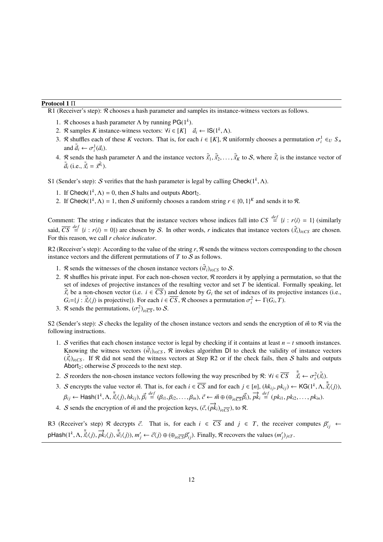## Protocol 1 Π

<span id="page-11-0"></span>R1 (Receiver's step): R chooses a hash parameter and samples its instance-witness vectors as follows.

- 1. *R* chooses a hash parameter  $\Lambda$  by running PG(1<sup>k</sup>).
- 2. R samples *K* instance-witness vectors:  $\forall i \in [K]$   $\vec{a}_i \leftarrow \text{IS}(1^k, \Lambda)$ .<br>2.  $\Phi$  shuffles seek of these *K* vectors. That is for seek  $i \in [K]$   $\Phi$ .
- 3. R shuffles each of these K vectors. That is, for each  $i \in [K]$ , R uniformly chooses a permutation  $\sigma_i^1 \in U S_n$ and  $\tilde{\vec{a}}_i \leftarrow \sigma_i^1(\vec{a}_i)$ .
- 4. R sends the hash parameter  $\Lambda$  and the instance vectors  $\tilde{\vec{x}}_1, \tilde{\vec{x}}_2, \ldots, \tilde{\vec{x}}_K$  to  $S$ , where  $\tilde{\vec{x}}_i$  is the instance vector of  $\tilde{\vec{x}}$  (i.e.  $\tilde{\vec{x}} = x\tilde{\vec{u}}$ )  $\tilde{\vec{a}}_i$  (i.e.,  $\tilde{\vec{x}}_i = \vec{x}^{\tilde{\vec{a}}_i}$ ).

S1 (Sender's step): S verifies that the hash parameter is legal by calling Check( $1^k$ ,  $\Lambda$ ).

- 1. If Check $(1^k, \Lambda) = 0$ , then S halts and outputs Abort<sub>2</sub>.<br>2. If Chock $(1^k, \Lambda) = 1$ , then S uniformly chooses a range
- 2. If Check( $1^k$ ,  $\Lambda$ ) = 1, then S uniformly chooses a random string  $r \in \{0, 1\}^k$  and sends it to  $\mathcal{R}$ .

Comment: The string *r* indicates that the instance vectors whose indices fall into  $CS \stackrel{def}{=} \{i : r \langle i \rangle = 1\}$  (similarly said,  $\overline{CS} \stackrel{\text{def}}{=} \{i : r\langle i \rangle = 0\}$  are chosen by S. In other words, *r* indicates that instance vectors  $(\tilde{x}_i)_{i \in C}$  are chosen. For this reason, we call *r choice indicator*.

R2 (Receiver's step): According to the value of the string r, R sends the witness vectors corresponding to the chosen instance vectors and the different permutations of *T* to S as follows.

- 1. R sends the witnesses of the chosen instance vectors  $(\vec{w}_i)_{i \in C}$  to S.
- 2. R shuffles his private input. For each non-chosen vector, R reorders it by applying a permutation, so that the set of indexes of projective instances of the resulting vector and set *T* be identical. Formally speaking, let  $\tilde{\vec{x}}_i$  be a non-chosen vector (i.e.  $i \in \overline{CS}$ ) and denote by  $G_i$  the set of indexes of its projective instances (i.e.,  $G - i : \tilde{\vec{x}}(i)$  is projectivel). For each  $i \in \overline{CS}$  *R* chooses a permutation  $\sigma^2 \leftarrow \Gamma(G, T$  $G_i = \{j : \tilde{x}_i(j) \text{ is projective}\}\)$ . For each  $i \in \overline{CS}$ , R chooses a permutation  $\sigma_i^2 \leftarrow \Gamma(G_i, T)$ .<br> *P* sands the permutations  $(\sigma_i^2)$  to S
- 3. *R* sends the permutations,  $(\sigma_i^2)_{i \in \overline{CS}}$ , to *S*.

S2 (Sender's step): S checks the legality of the chosen instance vectors and sends the encryption of  $\vec{m}$  to R via the following instructions.

- 1. S verifies that each chosen instance vector is legal by checking if it contains at least *n* − *t* smooth instances. Knowing the witness vectors  $(\vec{w}_i)_{i \in C_S}$ , R invokes algorithm DI to check the validity of instance vectors  $(\tilde{x}_i)_{i \in CS}$ . If R did not send the witness vectors at Step R2 or if the check fails, then S halts and outputs Abortation therwise S proceeds to the next step Abort<sub>2</sub>; otherwise S proceeds to the next step.
- 2. S reorders the non-chosen instance vectors following the way prescribed by  $\mathcal{R}$ :  $\forall i \in \overline{CS}$   $\tilde{\vec{x}}_i \leftarrow \sigma_i^2(\tilde{\vec{x}}_i)$ .
- 3. S encrypts the value vector  $\vec{m}$ . That is, for each  $i \in \overline{CS}$  and for each  $j \in [n]$ ,  $(hk_{ij}, pk_{ij}) \leftarrow \text{KG}(1^k, \Lambda, \tilde{\vec{x}}_i \langle j \rangle)$ ,  $\beta_{ij} \leftarrow \text{Hash}(1^k, \Lambda, \tilde{\vec{x}}_i \langle j \rangle, hk_{ij}), \vec{\beta}_i \stackrel{def}{=} (\beta_{i1}, \beta_{i2}, \dots, \beta_{in}), \vec{c} \leftarrow \vec{m} \oplus (\oplus_{i \in \overline{CS}} \vec{\beta}_i), \vec{pk}_i \stackrel{def}{=} (pk_{i1}, pk_{i2}, \dots, pk_{in}).$
- 4. *S* sends the encryption of  $\vec{m}$  and the projection keys, ( $\vec{c}$ , ( $\vec{pk}_i$ )<sub>*i*∈ $\vec{cs}$ </sub>), to  $\Re$ .

R3 (Receiver's step) R decrypts  $\vec{c}$ . That is, for each  $i \in \overline{CS}$  and  $j \in T$ , the receiver computes  $\beta'_{ij} \leftarrow \beta'_{ij}$ pHash $(1^k, \Lambda, \tilde{\vec{x}}_i \langle j \rangle, \vec{pk}_i \langle j \rangle, \tilde{\vec{w}}_i \langle j \rangle)$ ,  $m'_j \leftarrow \vec{c} \langle j \rangle \oplus (\oplus_{i \in \overline{CS}} \beta'_{ij})$ . Finally,  $\Re$  recovers the values  $(m'_j)_{j \in T}$ .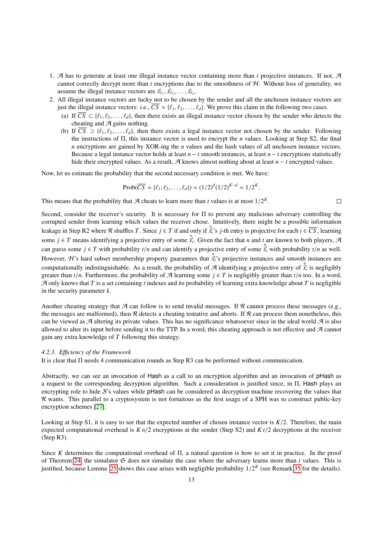- 1. A has to generate at least one illegal instance vector containing more than *t* projective instances. If not, A cannot correctly decrypt more than  $t$  encryptions due to the smoothness of  $H$ . Without loss of generality, we assume the illegal instance vectors are  $\vec{x}_{\ell_1}, \vec{x}_{\ell_2}, \dots, \vec{x}_{\ell_d}$ .
- 2. All illegal instance vectors are lucky not to be chosen by the sender and all the unchosen instance vectors are just the illegal instance vectors: i.e.,  $\overline{CS} = \{\ell_1, \ell_2, \ldots, \ell_d\}$ . We prove this claim in the following two cases.
	- (a) If  $\overline{CS} \subset \{\ell_1, \ell_2, \ldots, \ell_d\}$ , then there exists an illegal instance vector chosen by the sender who detects the cheating and  $A$  gains nothing.
	- (b) If  $\overline{CS} \supset \{ \ell_1, \ell_2, \ldots, \ell_d \}$ , then there exists a legal instance vector not chosen by the sender. Following the instructions of Π, this instance vector is used to encrypt the *n* values. Looking at Step S2, the final *n* encryptions are gained by XOR-ing the *n* values and the hash values of all unchosen instance vectors. Because a legal instance vector holds at least *n* − *t* smooth instances, at least *n* − *t* encryptions statistically hide their encrypted values. As a result, A knows almost nothing about at least *n* − *t* encrypted values.

 $\Box$ 

Now, let us estimate the probability that the second necessary condition is met. We have:

$$
Prob(\overline{CS} = \{\ell_1, \ell_2, \dots, \ell_d\}) = (1/2)^d (1/2)^{K-d} = 1/2^K.
$$

This means that the probability that  $\mathcal A$  cheats to learn more than *t* values is at most  $1/2^k$ .

Second, consider the receiver's security. It is necessary for Π to prevent any malicious adversary controlling the corrupted sender from learning which values the receiver chose. Intuitively, there might be a possible information leakage in Step R2 where R shuffles *T*. Since  $j \in T$  if and only if  $\tilde{X}$ <sup>2</sup> is *j*-th entry is projective for each  $i \in \overline{CS}$ , learning some  $j \in T$  means identifying a projective entry of some  $\tilde{\vec{x}}_i$ . Given the fact that *n* and *t* are known to both players, A can guess some  $j \in T$  with probability  $t/n$  and can identify a projective entry of some  $\tilde{\vec{x}}_i$  with probability  $t/n$  as well. However, H's hard subset membership property guarantees that  $\tilde{\vec{x}}$ <sup>2</sup> sprojective instances and smooth instances are computationally indistinguishable. As a result, the probability of A identifying a projective entry of  $\tilde{\vec{x}}_i$  is negligibly<br>greater than  $t/n$ . Furthermore, the probability of A learning some  $i \in T$  is negligibly grea greater than  $t/n$ . Furthermore, the probability of A learning some  $j \in T$  is negligibly greater than  $t/n$  too. In a word, A only knows that *T* is a set containing *t* indexes and its probability of learning extra knowledge about *T* is negligible in the security parameter *k*.

Another cheating strategy that  $A$  can follow is to send invalid messages. If  $R$  cannot process these messages (e.g., the messages are malformed), then R detects a cheating tentative and aborts. If R can process them nonetheless, this can be viewed as  $A$  altering its private values. This has no significance whatsoever since in the ideal world  $A$  is also allowed to alter its input before sending it to the TTP. In a word, this cheating approach is not effective and  $\mathcal A$  cannot gain any extra knowledge of *T* following this strategy.

## *4.2.3. E*ffi*ciency of the Framework*

It is clear that Π needs 4 communication rounds as Step R3 can be performed without communication.

Abstractly, we can see an invocation of Hash as a call to an encryption algorithm and an invocation of pHash as a request to the corresponding decryption algorithm. Such a consideration is justified since, in Π, Hash plays an encrypting role to hide S's values while pHash can be considered as decryption machine recovering the values that R wants. This parallel to a cryptosystem is not fortuitous as the first usage of a SPH was to construct public-key encryption schemes [\[27\]](#page-34-0).

Looking at Step S1, it is easy to see that the expected number of chosen instance vector is  $K/2$ . Therefore, the main expected computational overhead is *K n*/2 encryptions at the sender (Step S2) and *K t*/2 decryptions at the receiver (Step R3).

Since *K* determines the computational overhead of Π, a natural question is how to set it in practice. In the proof of Theorem [24,](#page-10-2) the simulator  $G$  does not simulate the case where the adversary learns more than  $t$  values. This is justified, because Lemma [25](#page-10-1) shows this case arises with negligible probability  $1/2<sup>K</sup>$  (see Remark [35](#page-20-0) for the details).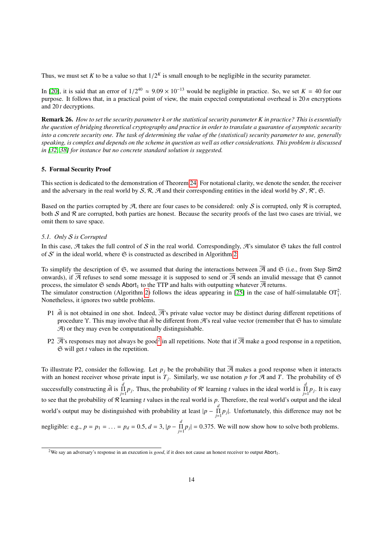Thus, we must set *K* to be a value so that  $1/2<sup>K</sup>$  is small enough to be negligible in the security parameter.

In [\[20\]](#page-33-19), it is said that an error of  $1/2^{40} \approx 9.09 \times 10^{-13}$  would be negligible in practice. So, we set  $K = 40$  for our purpose. It follows that in a practical point of view, the main expected computational overhead is purpose. It follows that, in a practical point of view, the main expected computational overhead is 20 *n* encryptions and 20 *t* decryptions.

Remark 26. *How to set the security parameter k or the statistical security parameter K in practice? This is essentially the question of bridging theoretical cryptography and practice in order to translate a guarantee of asymptotic security into a concrete security one. The task of determining the value of the (statistical) security parameter to use, generally speaking, is complex and depends on the scheme in question as well as other considerations. This problem is discussed in [\[32,](#page-34-5) [38\]](#page-34-11) for instance but no concrete standard solution is suggested.*

## <span id="page-13-0"></span>5. Formal Security Proof

This section is dedicated to the demonstration of Theorem [24.](#page-10-2) For notational clarity, we denote the sender, the receiver and the adversary in the real world by S, R, A and their corresponding entities in the ideal world by S', R', G.

Based on the parties corrupted by A, there are four cases to be considered: only S is corrupted, only R is corrupted. both S and R are corrupted, both parties are honest. Because the security proofs of the last two cases are trivial, we omit them to save space.

## *5.1. Only* S *is Corrupted*

In this case,  $A$  takes the full control of S in the real world. Correspondingly,  $A$ 's simulator  $A$  takes the full control of  $S'$  in the ideal world, where  $\mathfrak S$  is constructed as described in Algorithm [2.](#page-14-0)

To simplify the description of  $\mathfrak{S}$ , we assumed that during the interactions between  $\overline{\mathcal{A}}$  and  $\mathfrak{S}$  (i.e., from Step Sim2 onwards), if  $\overline{A}$  refuses to send some message it is supposed to send or  $\overline{A}$  sends an invalid message that  $\Im$  cannot process, the simulator  $\mathfrak S$  sends Abort<sub>1</sub> to the TTP and halts with outputting whatever  $\overline{\mathcal A}$  returns. The simulator construction (Algorithm [2\)](#page-14-0) follows the ideas appearing in [\[25\]](#page-33-24) in the case of half-simulatable  $OT<sub>1</sub><sup>2</sup>$ . Nonetheless, it ignores two subtle problems.

- P1  $\tilde{m}$  is not obtained in one shot. Indeed,  $\vec{R}$ 's private value vector may be distinct during different repetitions of procedure *Y*. This may involve that  $\vec{m}$  be different from A's real value vector (remember that  $\Im$  has to simulate  $\mathcal{A}$ ) or they may even be computationally distinguishable.
- P[2](#page-13-1)  $\overline{A}$ 's responses may not always be good<sup>2</sup> in all repetitions. Note that if  $\overline{A}$  make a good response in a repetition, S will get *t* values in the repetition.

To illustrate P2, consider the following. Let  $p_i$  be the probability that  $\overline{A}$  makes a good response when it interacts with an honest receiver whose private input is  $T_j$ . Similarly, we use notation p for  $\mathcal A$  and  $T$ . The probability of  $\mathfrak S$ successfully constructing  $\tilde{m}$  is  $\prod_{j=1}^{d} p_j$ . Thus, the probability of R' learning *t* values in the ideal world is  $\prod_{j=1}^{d} p_j$ . It is easy to see that the probability of R learning *t* values in the real world is *p*. Therefore, the real world's output and the ideal world's output may be distinguished with probability at least  $|p - \prod_{j=1}^d p_j|$ . Unfortunately, this difference may not be negligible: e.g.,  $p = p_1 = ... = p_d = 0.5$ ,  $d = 3$ ,  $|p - \prod_{j=1}^{d} p_j| = 0.375$ . We will now show how to solve both problems.

<span id="page-13-2"></span><span id="page-13-1"></span><sup>&</sup>lt;sup>2</sup>We say an adversary's response in an execution is *good*, if it does not cause an honest receiver to output Abort<sub>1</sub>.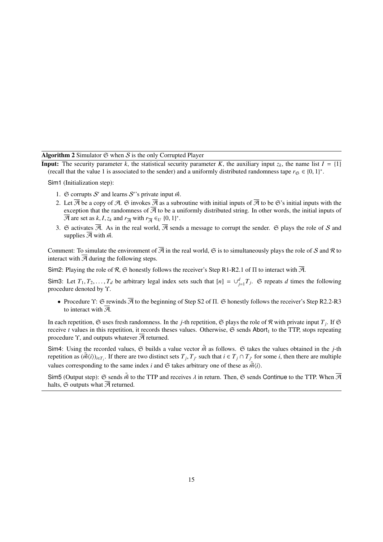Algorithm 2 Simulator  $\Im$  when  $S$  is the only Corrupted Player

<span id="page-14-0"></span>**Input:** The security parameter *k*, the statistical security parameter *K*, the auxiliary input  $z_k$ , the name list  $I = \{1\}$ (recall that the value 1 is associated to the sender) and a uniformly distributed randomness tape  $r_{\mathfrak{S}} \in \{0, 1\}^*$ .

Sim1 (Initialization step):

- 1.  $\Im$  corrupts *S'* and learns *S''*s private input  $\vec{m}$ .
- 2. Let  $\overline{A}$  be a copy of A.  $\Im$  invokes  $\overline{A}$  as a subroutine with initial inputs of  $\overline{A}$  to be  $\Im$ 's initial inputs with the exception that the randomness of  $\overline{A}$  to be a uniformly distributed string. In other words, the initial inputs of  $\overline{\mathcal{A}}$  are set as *k*, *I*, *z<sub>k</sub>* and  $r_{\overline{\mathcal{A}}}$  with  $r_{\overline{\mathcal{A}}} \in U$  {0, 1}<sup>\*</sup>.
- 3. G activates  $\overline{A}$ . As in the real world,  $\overline{A}$  sends a message to corrupt the sender. G plays the role of S and supplies  $\overline{\mathcal{A}}$  with  $\vec{m}$ .

Comment: To simulate the environment of  $\overline{B}$  in the real world,  $\overline{B}$  is to simultaneously plays the role of S and R to interact with  $\overline{A}$  during the following steps.

Sim2: Playing the role of R, G honestly follows the receiver's Step R1-R2.1 of  $\Pi$  to interact with  $\overline{A}$ .

Sim3: Let  $T_1, T_2, \ldots, T_d$  be arbitrary legal index sets such that  $[n] = \bigcup_{j=1}^d T_j$ .  $\mathfrak{S}$  repeats *d* times the following procedure denoted by Υ.

• Procedure Υ:  $\Im$  rewinds  $\Im$  to the beginning of Step S2 of Π.  $\Im$  honestly follows the receiver's Step R2.2-R3 to interact with  $\overline{\mathcal{A}}$ .

In each repetition,  $\mathfrak S$  uses fresh randomness. In the *j*-th repetition,  $\mathfrak S$  plays the role of  $\mathcal R$  with private input  $T_j$ . If  $\mathfrak S$ receive *t* values in this repetition, it records theses values. Otherwise,  $\mathfrak{S}$  sends Abort<sub>1</sub> to the TTP, stops repeating procedure  $\Upsilon$ , and outputs whatever  $\overline{\mathcal{A}}$  returned.

Sim4: Using the recorded values,  $\Im$  builds a value vector  $\tilde{\vec{m}}$  as follows.  $\Im$  takes the values obtained in the *j*-th repetition as  $(\tilde{m}(i))_{i \in T_j}$ . If there are two distinct sets  $T_j, T_{j'}$  such that  $i \in T_j \cap T_{j'}$  for some i, then there are multiple values corresponding to the same index *i* and  $\mathfrak{S}$  takes arbitrary one of these as  $\tilde{m}(i)$ .

Sim5 (Output step):  $\Im$  sends  $\vec{\hat{m}}$  to the TTP and receives  $\lambda$  in return. Then,  $\Im$  sends Continue to the TTP. When  $\overline{\mathcal{A}}$ halts,  $\Im$  outputs what  $\overline{\mathcal{A}}$  returned.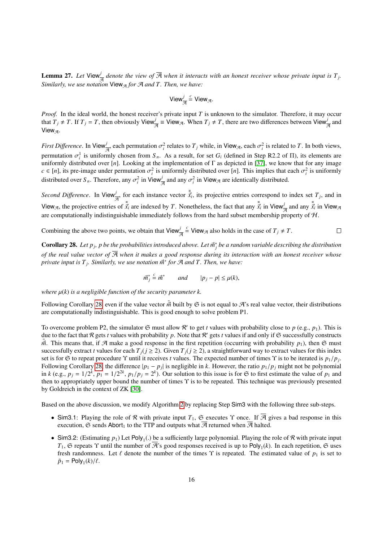**Lemma 27.** Let View $\frac{j}{\mathcal{A}}$  denote the view of  $\overline{\mathcal{A}}$  when it interacts with an honest receiver whose private input is  $T_j$ . *Similarly, we use notation* View<sub>A</sub> for A *and T. Then, we have:* 

$$
View_{\overline{\mathcal{A}}}^j \stackrel{c}{=} View_{\mathcal{A}}.
$$

*Proof.* In the ideal world, the honest receiver's private input *T* is unknown to the simulator. Therefore, it may occur that  $T_j \neq T$ . If  $T_j = T$ , then obviously View $\frac{j}{\mathcal{A}} \equiv V$ iew $\mathcal{A}$ . When  $T_j \neq T$ , there are two differences between View $\frac{j}{\mathcal{A}}$  and View $\mathcal{A}$ .

*First Difference*. In View<sub> $\vec{\pi}$ </sub> each permutation  $\sigma_i^2$  relates to  $T_j$  while, in View<sub> $\vec{\pi}$ </sub>, each  $\sigma_i^2$  is related to *T*. In both views, permutation  $\sigma_i^1$  is uniformly chosen from  $S_n$ . As a result, for set  $G_i$  (defined in Step R2.2 of  $\Pi$ ), its elements are<br>uniformly distributed over  $[n]$ . Looking at the implementation of  $\Gamma$  as depicted in [37], we uniformly distributed over [*n*]. Looking at the implementation of  $\Gamma$  as depicted in [\[37\]](#page-34-10), we know that for any image  $c \in [n]$ , its pre-image under permutation  $\sigma_i^2$  is uniformly distributed over [*n*]. This implies that each  $\sigma_i^2$  is uniformly distributed over  $S$ . Therefore, any  $\sigma_i^2$  in *Niow*, and any  $\sigma_i^2$  in *Niow*, are ide distributed over  $S_n$ . Therefore, any  $\sigma_i^2$  in View $\frac{j}{\mathcal{A}}$  and any  $\sigma_i^2$  in View<sub> $\mathcal{A}$ </sub> are identically distributed.

*Second Difference.* In View<sup>*j*</sup><sub> $\frac{\partial}{\partial t}$ </sub>, for each instance vector  $\frac{\tilde{\tilde{x}}}{x_i}$ , its projective entries correspond to index set  $T_j$ , and in View<sub> $\mathcal{A}$ </sub>, the projective entries of  $\tilde{\vec{x}}_i$  are indexed by *T*. Nonetheless, the fact that any  $\tilde{\vec{x}}_i$  in View $\frac{1}{\mathcal{A}}$  and any  $\tilde{\vec{x}}_i$  in View<sub> $\mathcal{A}$ </sub> are computationally indistinguishable immediately follows from the hard subset membership property of  $H$ .

Combining the above two points, we obtain that 
$$
\text{View}_{\overline{A}}^j \xrightarrow{c} \text{View}_{\mathcal{A}}
$$
 also holds in the case of  $T_j \neq T$ .

<span id="page-15-0"></span>**Corollary 28.** Let  $p_j$ ,  $p$  be the probabilities introduced above. Let  $\vec{m}_j^*$  be a random variable describing the distribution *of the real value vector of*  $\overline{A}$  *when it makes a good response during its interaction with an honest receiver whose private input is T <sup>j</sup> . Similarly, we use notation <sup>m</sup>*<sup>~</sup> ∗ *for* A *and T. Then, we have:*

$$
\vec{m}_j^* \stackrel{c}{=} \vec{m}^* \qquad and \qquad |p_j - p| \le \mu(k),
$$

*where*  $\mu(k)$  *is a negligible function of the security parameter k.* 

Following Corollary [28,](#page-15-0) even if the value vector  $\vec{m}$  built by  $\mathfrak{S}$  is not equal to A's real value vector, their distributions are computationally indistinguishable. This is good enough to solve problem P1.

To overcome problem P2, the simulator  $\mathfrak{S}$  must allow  $\mathcal{R}'$  to get *t* values with probability close to *p* (e.g., *p*<sub>1</sub>). This is due to the fact that  $R$  gets *t* values with probability  $p$ . Note that  $R'$  gets  $t$  values if and only if  $\Im$  successfully constructs  $\vec{m}$ . This means that, if A make a good response in the first repetition (occurring with probability  $p_1$ ), then  $\mathfrak S$  must successfully extract *t* values for each  $T_i$  ( $j \ge 2$ ). Given  $T_i$  ( $j \ge 2$ ), a straightforward way to extract values for this index set is for  $\Im$  to repeat procedure  $\Upsilon$  until it receives *t* values. The expected number of times  $\Upsilon$  is to be iterated is  $p_1/p_j$ .<br>Following Corollary 28, the difference  $|x_i - p_j|$  is pealigible in *k*. However, the r Following Corollary [28,](#page-15-0) the difference  $|p_1 - p_j|$  is negligible in *k*. However, the ratio  $p_1/p_j$  might not be polynomial<br>in *k* (e.g.,  $p_1 - 1/2^k$ ,  $p_2 - 1/2^{2k}$ ,  $p_3/p_1 - 2^k$ ). Our solution to this issue is for  $\mathfr$ in *k* (e.g.,  $p_j = 1/2^k$ ,  $p_1 = 1/2^{2k}$ ,  $p_1/p_j = 2^k$ ). Our solution to this issue is for G to first estimate the value of  $p_1$  and then to appropriately upper bound the number of times  $\Upsilon$  is to be repeated. This te then to appropriately upper bound the number of times Υ is to be repeated. This technique was previously presented by Goldreich in the context of ZK [\[30\]](#page-34-3).

Based on the above discussion, we modify Algorithm [2](#page-14-0) by replacing Step Sim3 with the following three sub-steps.

- Sim3.1: Playing the role of R with private input  $T_1$ , G executes  $\Upsilon$  once. If  $\overline{A}$  gives a bad response in this execution,  $\mathfrak S$  sends Abort<sub>1</sub> to the TTP and outputs what  $\overline{\mathcal A}$  returned when  $\overline{\mathcal A}$  halted.
- Sim3.2: (Estimating  $p_1$ ) Let Poly<sub>1</sub>(.) be a sufficiently large polynomial. Playing the role of R with private input  $T_1$ .  $\Im$  repeats  $\Upsilon$  until the number of  $\overline{\mathcal{B}}$ 's good responses received is up to Poly (k  $T_1$ ,  $\Im$  repeats  $\Upsilon$  until the number of  $\overline{\mathcal{A}}$ 's good responses received is up to Poly<sub>1</sub>(*k*). In each repetition,  $\Im$  uses fresh randomness. Let  $\ell$  denote the number of the times  $\Upsilon$  is repeated. The estimated value of  $p_1$  is set to  $\tilde{p}_1 = \text{Poly}_1(k)/\ell.$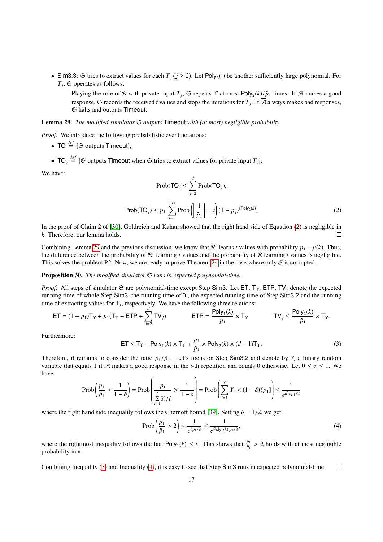• Sim3.3: G tries to extract values for each  $T_j$  ( $j \ge 2$ ). Let Poly<sub>2</sub>(.) be another sufficiently large polynomial. For  $T_i$ . G operates as follows:  $T_j$ ,  $\mathfrak S$  operates as follows:

Playing the role of R with private input  $T_j$ ,  $\mathfrak S$  repeats  $\Upsilon$  at most  $\text{Poly}_2(k)/\tilde{p}_1$  times. If  $\mathcal A$  makes a good response,  $\mathfrak S$  records the received *t* values and stops the iterations for  $T_j$ . If  $\mathcal A$  always makes bad responses, S halts and outputs Timeout.

<span id="page-16-1"></span>Lemma 29. *The modified simulator* S *outputs* Timeout *with (at most) negligible probability.*

*Proof.* We introduce the following probabilistic event notations:

• TO  $\overset{def}{=}$  { $\mathfrak{S}$  outputs Timeout},

• TO<sub>*j*</sub>  $\stackrel{def}{=}$  { $\Im$  outputs Timeout when  $\Im$  tries to extract values for private input  $T_j$ }.

<span id="page-16-0"></span>We have:

$$
\text{Prob}(\text{TO}) \le \sum_{j=2}^{d} \text{Prob}(\text{TO}_j),
$$
\n
$$
\text{Prob}(\text{TO}_j) \le p_1 \sum_{i=1}^{+\infty} \text{Prob}\left(\left|\frac{1}{\tilde{p}_1}\right| = i\right) (1 - p_j)^{i \text{Poly}_2(k)}.
$$
\n(2)

In the proof of Claim 2 of [\[30\]](#page-34-3), Goldreich and Kahan showed that the right hand side of Equation [\(2\)](#page-16-0) is negligible in *k*. Therefore, our lemma holds.  $\Box$ 

Combining Lemma [29](#page-16-1) and the previous discussion, we know that R' learns *t* values with probability  $p_1 - \mu(k)$ . Thus, the difference between the probability of R' learning *t* values and the probability of R' learning *t* the difference between the probability of  $R'$  learning *t* values and the probability of  $R$  learning *t* values is negligible. This solves the problem P2. Now, we are ready to prove Theorem [24](#page-10-2) in the case where only  $S$  is corrupted.

## Proposition 30. *The modified simulator*  $\Im$  *runs in expected polynomial-time.*

*Proof.* All steps of simulator *G* are polynomial-time except Step Sim3. Let ET, T<sub>T</sub>, ETP, TV<sub>j</sub> denote the expected running time of whole Step Sim3, the running time of <sup>Υ</sup>, the expected running time of Step Sim3.<sup>2</sup> and the running time of extracting values for  $\mathsf{T}_j$ , respectively. We have the following three relations:

<span id="page-16-2"></span>
$$
\mathsf{ET} = (1 - p_1) \mathsf{T}_{\Upsilon} + p_1 (\mathsf{T}_{\Upsilon} + \mathsf{ETP} + \sum_{j=2}^{a} \mathsf{TV}_j) \qquad \qquad \mathsf{ETP} = \frac{\mathsf{Poly}_1(k)}{p_1} \times \mathsf{T}_{\Upsilon} \qquad \qquad \mathsf{TV}_j \le \frac{\mathsf{Poly}_2(k)}{\tilde{p}_1} \times \mathsf{T}_{\Upsilon}.
$$

Furthermore:

$$
\mathsf{ET} \le \mathsf{T}_{\Upsilon} + \mathsf{Poly}_1(k) \times \mathsf{T}_{\Upsilon} + \frac{p_1}{\tilde{p}_1} \times \mathsf{Poly}_2(k) \times (d-1)\mathsf{T}_{\Upsilon}.\tag{3}
$$

Therefore, it remains to consider the ratio  $p_1/\tilde{p}_1$ . Let's focus on Step Sim3.2 and denote by  $Y_i$  a binary random variable that equals 1 if  $\overline{A}$  makes a good response in the *i*-th repetition and equals 0 otherwise. Let  $0 \le \delta \le 1$ . We have:

$$
\text{Prob}\left(\frac{p_1}{\tilde{p}_1} > \frac{1}{1-\delta}\right) = \text{Prob}\left(\frac{p_1}{\sum\limits_{i=1}^{\ell} Y_i/\ell} > \frac{1}{1-\delta}\right) = \text{Prob}\left(\sum\limits_{i=1}^{\ell} Y_i < (1-\delta)\ell p_1\right) \le \frac{1}{e^{\delta^2\ell p_1/2}}
$$

where the right hand side inequality follows the Chernoff bound [\[39\]](#page-34-12). Setting  $\delta = 1/2$ , we get:

<span id="page-16-3"></span>
$$
\text{Prob}\left(\frac{p_1}{\tilde{p}_1} > 2\right) \le \frac{1}{e^{\ell p_1/8}} \le \frac{1}{e^{\text{Poly}_1(k) p_1/8}},\tag{4}
$$

where the rightmost inequality follows the fact  $Poly_1(k) \leq \ell$ . This shows that  $\frac{p_1}{\bar{p}_1} > 2$  holds with at most negligible probability in  $k$ probability in *k*.

Combining Inequality [\(3\)](#page-16-2) and Inequality [\(4\)](#page-16-3), it is easy to see that Step Sim3 runs in expected polynomial-time.  $\Box$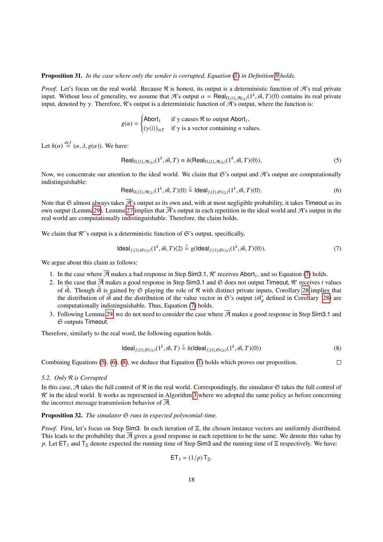## Proposition 31. *In the case where only the sender is corrupted, Equation* [\(1\)](#page-7-1) *in Definition [9](#page-7-0) holds.*

*Proof.* Let's focus on the real world. Because  $\mathcal R$  is honest, its output is a deterministic function of  $\mathcal R$ 's real private input. Without loss of generality, we assume that  $\mathcal{A}$ 's output  $\alpha = \text{Real}_{\Pi,\{1\},\mathcal{A}(z_k)}(1^k, \vec{m}, T)(0)$  contains its real private input, denoted by  $\gamma$ . Therefore, R's output is a deterministic function of A's output, where the function is:

$$
g(\alpha) = \begin{cases} \text{Abort}_1 & \text{if } \gamma \text{ causes } \mathcal{R} \text{ to output } \text{Abort}_1, \\ (\gamma \langle i \rangle)_{i \in T} & \text{if } \gamma \text{ is a vector containing } n \text{ values.} \end{cases}
$$

Let  $h(\alpha) \stackrel{def}{=} (\alpha, \lambda, g(\alpha))$ . We have:

<span id="page-17-1"></span>
$$
\text{Real}_{\Pi,\{1\},\mathcal{A}(z_k)}(1^k, \vec{m}, T) \equiv h(\text{Real}_{\Pi,\{1\},\mathcal{A}(z_k)}(1^k, \vec{m}, T)\langle 0 \rangle). \tag{5}
$$

Now, we concentrate our attention to the ideal world. We claim that  $\mathfrak{S}'$ 's output and  $\mathcal{A}'$ 's output are computationally indistinguishable:

<span id="page-17-2"></span>
$$
\text{Real}_{\Pi,\{1\},\mathcal{A}(z_k)}(1^k,\vec{m},T)\langle 0\rangle \stackrel{c}{=} \text{Ideal}_{f,\{1\},\mathfrak{S}(z_k)}(1^k,\vec{m},T)\langle 0\rangle. \tag{6}
$$

Note that G almost always takes  $\overline{\mathcal{A}}$ 's output as its own and, with at most negligible probability, it takes Timeout as its own output (Lemm[a29\)](#page-16-1). Lemma [27](#page-13-2) implies that  $\overline{\mathcal{A}}$ 's output in each repetition in the ideal world and  $\mathcal{A}$ 's output in the real world are computationally indistinguishable. Therefore, the claim holds.

We claim that  $\mathcal{R}$ 's output is a deterministic function of  $\mathfrak{S}$ 's output, specifically,

<span id="page-17-0"></span>
$$
Ideal_{f,\{1\},\mathfrak{S}(z_k)}(1^k, \vec{m}, T)\langle 2 \rangle \stackrel{c}{=} g(\mathsf{Ideal}_{f,\{1\},\mathfrak{S}(z_k)}(1^k, \vec{m}, T)\langle 0 \rangle). \tag{7}
$$

We argue about this claim as follows:

- 1. In the case where  $\overline{\mathcal{A}}$  makes a bad response in Step Sim3.1,  $\mathcal{R}'$  receives Abort<sub>1</sub>, and so Equation [\(7\)](#page-17-0) holds.
- 2. In the case that  $\overline{A}$  makes a good response in Step Sim3.1 and  $\overline{B}$  does not output Timeout,  $R'$  receives *t* values of  $\tilde{B}$ . Though  $\tilde{B}$  is gained by  $\overline{B}$  playing the role of  $R$  with distinct pri of  $\tilde{m}$ . Though  $\tilde{m}$  is gained by  $\mathfrak S$  playing the role of R with distinct private inputs, Corollary [28](#page-15-0) implies that the distribution of  $\tilde{m}$  and the distribution of the value vector in G's output ( $\tilde{m}_d^*$  defined in Corollary [28\)](#page-15-0) are computationally indistinguishable. Thus Faustion (7) holds computationally indistinguishable. Thus, Equation [\(7\)](#page-17-0) holds.
- 3. Following Lemma [29,](#page-16-1) we do not need to consider the case where  $\overline{A}$  makes a good response in Step Sim3.1 and S outputs Timeout.

Therefore, similarly to the real word, the following equation holds.

<span id="page-17-3"></span>
$$
\mathsf{Ideal}_{f,\{1\},\mathfrak{S}(z_k)}(1^k,\vec{m},T) \stackrel{c}{=} h(\mathsf{Ideal}_{f,\{1\},\mathfrak{S}(z_k)}(1^k,\vec{m},T)\langle 0\rangle) \tag{8}
$$

Combining Equations [\(5\)](#page-17-1), [\(6\)](#page-17-2), [\(8\)](#page-17-3), we deduce that Equation [\(1\)](#page-7-1) holds which proves our proposition.  $\Box$ 

## *5.2. Only* R *is Corrupted*

In this case,  $A$  takes the full control of  $R$  in the real world. Correspondingly, the simulator  $\Im$  takes the full control of R' in the ideal world. It works as represented in Algorithm [3](#page-18-0) where we adopted the same policy as before concerning the incorrect message transmission behavior of  $\overline{A}$ .

## <span id="page-17-4"></span>**Proposition 32.** *The simulator*  $\Im$  *runs in expected polynomial-time.*

*Proof.* First, let's focus on Step Sim3. In each iteration of Ξ, the chosen instance vectors are uniformly distributed. This leads to the probability that  $\overline{A}$  gives a good response in each repetition to be the same. We denote this value by *p*. Let ET<sub>3</sub> and T<sub>Ξ</sub> denote expected the running time of Step Sim3 and the running time of Ξ respectively. We have:

$$
\mathsf{ET}_3 = (1/p) \, \mathsf{T}_{\Xi}.
$$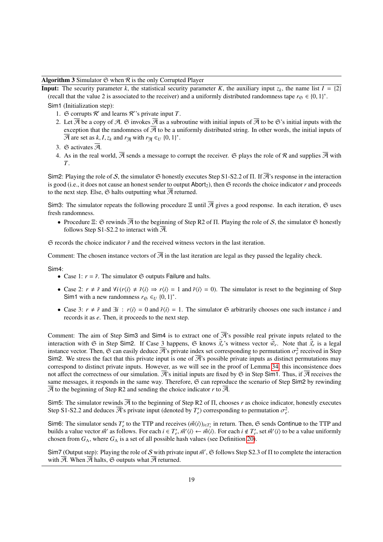Algorithm 3 Simulator  $\Im$  when  $\Re$  is the only Corrupted Player

<span id="page-18-0"></span>**Input:** The security parameter *k*, the statistical security parameter *K*, the auxiliary input  $z_k$ , the name list  $I = \{2\}$ (recall that the value 2 is associated to the receiver) and a uniformly distributed randomness tape  $r_{\mathfrak{S}} \in \{0, 1\}^*$ .

Sim1 (Initialization step):

- 1.  $\Im$  corrupts  $\mathcal{R}'$  and learns  $\mathcal{R}$ ''s private input *T*.
- 2. Let  $\overline{A}$  be a copy of A.  $\Im$  invokes  $\overline{A}$  as a subroutine with initial inputs of  $\overline{A}$  to be  $\Im$ 's initial inputs with the exception that the randomness of  $\overline{A}$  to be a uniformly distributed string. In other words, the initial inputs of  $\overline{\mathcal{A}}$  are set as *k*, *I*, *z<sub>k</sub>* and  $r_{\overline{\mathcal{A}}}$  with  $r_{\overline{\mathcal{A}}} \in U$  {0, 1}<sup>\*</sup>.
- 3.  $\Im$  activates  $\overline{\mathcal{A}}$ .
- 4. As in the real world,  $\overline{A}$  sends a message to corrupt the receiver.  $\Im$  plays the role of  $\Re$  and supplies  $\overline{A}$  with *T*.

Sim2: Playing the role of S, the simulator  $\Im$  honestly executes Step S1-S2.2 of  $\Pi$ . If  $\overline{\mathcal{A}}$ 's response in the interaction is good (i.e., it does not cause an honest sender to output Abort<sub>2</sub>), then  $\mathfrak S$  records the choice indicator  $r$  and proceeds to the next step. Else,  $\mathfrak S$  halts outputting what  $\overline{\mathcal A}$  returned.

Sim3: The simulator repeats the following procedure  $\Xi$  until  $\overline{A}$  gives a good response. In each iteration,  $\Im$  uses fresh randomness.

• Procedure Ξ:  $\Im$  rewinds  $\overline{\mathcal{A}}$  to the beginning of Step R2 of Π. Playing the role of S, the simulator  $\Im$  honestly follows Step S1-S2.2 to interact with  $\overline{A}$ .

S records the choice indicator ˜*r* and the received witness vectors in the last iteration.

Comment: The chosen instance vectors of  $\overline{A}$  in the last iteration are legal as they passed the legality check.

Sim4:

- Case 1:  $r = \tilde{r}$ . The simulator  $\mathfrak{S}$  outputs Failure and halts.
- Case 2:  $r \neq \tilde{r}$  and  $\forall i (r \langle i \rangle \neq \tilde{r} \langle i \rangle \Rightarrow r \langle i \rangle = 1$  and  $\tilde{r} \langle i \rangle = 0$ ). The simulator is reset to the beginning of Step Sim1 with a new randomness  $r_{\mathfrak{S}} \in U \{0, 1\}^*$ .
- Case 3:  $r \neq \tilde{r}$  and  $\exists i : r \langle i \rangle = 0$  and  $\tilde{r} \langle i \rangle = 1$ . The simulator  $\mathfrak{S}$  arbitrarily chooses one such instance *i* and records it as *e*. Then, it proceeds to the next step.

Comment: The aim of Step Sim3 and Sim4 is to extract one of  $\overline{\mathcal{A}}$ 's possible real private inputs related to the interaction with  $\Im$  in Step Sim2. If Case 3 happens,  $\Im$  knows  $\vec{\tilde{x}}_e$ 's witness vector  $\vec{\tilde{w}}_e$ . Note that  $\vec{\tilde{x}}_e$  is a legal instance vector. Then,  $\mathfrak{S}$  can easily deduce  $\overline{\mathcal{A}}$ 's private index set corresponding to permutation  $\sigma_e^2$  received in Step<br>Sim2. We stress the fact that this private input is one of  $\overline{\mathcal{A}}$ 's possible pr Sim2. We stress the fact that this private input is one of  $\overline{\mathcal{A}}$ 's possible private inputs as distinct permutations may correspond to distinct private inputs. However, as we will see in the proof of Lemma [34,](#page-20-1) this inconsistence does not affect the correctness of our simulation.  $\mathcal{A}$ 's initial inputs are fixed by  $\mathfrak{S}$  in Step Sim1. Thus, if  $\mathcal{A}$  receives the same messages, it responds in the same way. Therefore,  $\Im$  can reproduce the scenario of Step Sim2 by rewinding  $A$  to the beginning of Step R2 and sending the choice indicator  $r$  to  $A$ .

Sim5: The simulator rewinds  $\overline{A}$  to the beginning of Step R2 of  $\Pi$ , chooses *r* as choice indicator, honestly executes Step S1-S2.2 and deduces  $\overline{\mathcal{A}}$ 's private input (denoted by  $T'_e$ ) corresponding to permutation  $\sigma_e^2$ .

Sim6: The simulator sends  $T'_e$  to the TTP and receives  $(\vec{m}(i))_{i \in T'_e}$  in return. Then,  $\Im$  sends Continue to the TTP and builds a value vector  $\vec{m}'$  as follows. For each  $i \in T'$ ,  $\vec{m}'(i) \leftarrow \vec{m}'(i)$ . For each  $i \$ builds a value vector  $\vec{m}'$  as follows. For each  $i \in T'_e$ ,  $\vec{m}'(i) \leftarrow \vec{m}(i)$ . For each  $i \notin T'_e$ , set  $\vec{m}'(i)$  to be a value uniformly chosen from  $G_{\Lambda}$ , where  $G_{\Lambda}$  is a set of all possible hash values (see Definition [20\)](#page-9-0).

Sim7 (Output step): Playing the role of S with private input  $\vec{m}'$ ,  $\Im$  follows Step S2.3 of  $\Pi$  to complete the interaction with  $\overline{A}$  When  $\overline{A}$  halts.  $\Im$  outputs what  $\overline{A}$  returned with  $\overline{\mathcal{A}}$ . When  $\overline{\mathcal{A}}$  halts,  $\mathfrak G$  outputs what  $\overline{\mathcal{A}}$  returned.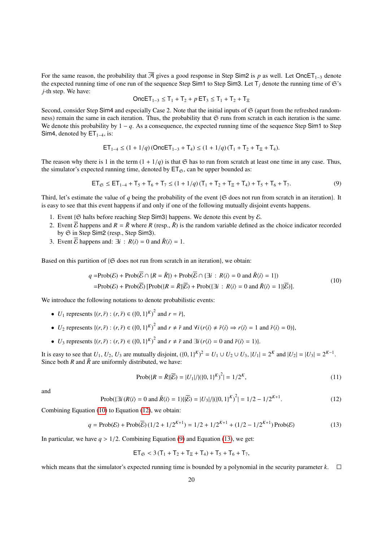For the same reason, the probability that  $\overline{A}$  gives a good response in Step Sim2 is *p* as well. Let OncET<sub>1-3</sub> denote the expected running time of one run of the sequence Step Sim1 to Step Sim3. Let  $T_i$  denote the running time of  $\mathfrak{S}$ 's *j*-th step. We have:

<span id="page-19-2"></span>
$$
OnceET_{1-3} ≤ T_1 + T_2 + p ET_3 ≤ T_1 + T_2 + T_3
$$

Second, consider Step Sim4 and especially Case 2. Note that the initial inputs of  $\mathfrak S$  (apart from the refreshed randomness) remain the same in each iteration. Thus, the probability that  $\mathfrak S$  runs from scratch in each iteration is the same. We denote this probability by 1 − *q*. As a consequence, the expected running time of the sequence Step Sim1 to Step Sim4, denoted by  $ET_{1-4}$ , is:

$$
ET_{1-4} \le (1 + 1/q) \left( \text{OnceET}_{1-3} + T_4 \right) \le (1 + 1/q) \left( T_1 + T_2 + T_5 + T_4 \right).
$$

The reason why there is 1 in the term  $(1 + 1/q)$  is that  $\mathfrak{S}$  has to run from scratch at least one time in any case. Thus, the simulator's expected running time, denoted by  $ET_{\mathfrak{S}}$ , can be upper bounded as:

$$
ET_{\mathfrak{S}} \le ET_{1-4} + T_5 + T_6 + T_7 \le (1 + 1/q)(T_1 + T_2 + T_{\Xi} + T_4) + T_5 + T_6 + T_7. \tag{9}
$$

Third, let's estimate the value of *q* being the probability of the event  $\{\mathfrak{S}$  does not run from scratch in an iteration}. It is easy to see that this event happens if and only if one of the following mutually disjoint events happens.

- 1. Event { $\Im$  halts before reaching Step Sim3} happens. We denote this event by  $\Im$ .
- 2. Event  $\overline{E}$  happens and  $R = \overline{R}$  where  $R$  (resp.,  $\overline{R}$ ) is the random variable defined as the choice indicator recorded by S in Step Sim2 (resp., Step Sim3).
- 3. Event  $\overline{\mathcal{E}}$  happens and:  $\exists i : R\langle i \rangle = 0$  and  $\overline{R}\langle i \rangle = 1$ .

Based on this partition of  $\{G \text{ does not run from scratch in an iteration}\},$  we obtain:

$$
q = \text{Prob}(\mathcal{E}) + \text{Prob}(\overline{\mathcal{E}} \cap \{R = \tilde{R}\}) + \text{Prob}(\overline{\mathcal{E}} \cap \{\exists i : R\langle i \rangle = 0 \text{ and } \tilde{R}\langle i \rangle = 1\})
$$
  
=  $\text{Prob}(\mathcal{E}) + \text{Prob}(\overline{\mathcal{E}}) [\text{Prob}(\{R = \tilde{R}\}]\overline{\mathcal{E}}) + \text{Prob}(\{\exists i : R\langle i \rangle = 0 \text{ and } \tilde{R}\langle i \rangle = 1\}|\overline{\mathcal{E}})].$  (10)

We introduce the following notations to denote probabilistic events:

- *U*<sub>1</sub> represents { $(r, \tilde{r}) : (r, \tilde{r}) \in (\{0, 1\}^K)^2$  and  $r = \tilde{r}$ },
- $U_2$  represents  $\{(r, \tilde{r}) : (r, \tilde{r}) \in (\{0, 1\}^K)^2 \text{ and } r \neq \tilde{r} \text{ and } \forall i (r \langle i \rangle \neq \tilde{r} \langle i \rangle \Rightarrow r \langle i \rangle = 1 \text{ and } \tilde{r} \langle i \rangle = 0)\},$
- $\bullet$  *U*<sub>3</sub> represents {(*r*,  $\tilde{r}$ ) : (*r*,  $\tilde{r}$ ) ∈ ({0, 1}<sup>*K*</sup>)<sup>2</sup> and *r* ≠  $\tilde{r}$  and  $\exists i$  (*r*(*i*) = 0 and  $\tilde{r}$ (*i*) = 1)}.

It is easy to see that  $U_1, U_2, U_3$  are mutually disjoint,  $({0, 1})^K)^2 = U_1 \cup U_2 \cup U_3$ ,  $|U_1| = 2^K$  and  $|U_2| = |U_3| = 2^{K-1}$ .<br>Since both *R* and  $\tilde{R}$  are uniformly distributed we have: Since both *R* and  $\tilde{R}$  are uniformly distributed, we have:

<span id="page-19-4"></span><span id="page-19-3"></span><span id="page-19-0"></span>
$$
Prob(\{R = \tilde{R}\}|\overline{\mathcal{E}}) = |U_1|/|\left(\{0, 1\}^K\right)^2| = 1/2^K,
$$
\n(11)

<span id="page-19-1"></span>and

Prob(
$$
\exists i (R\langle i \rangle = 0 \text{ and } \tilde{R}\langle i \rangle = 1
$$
)} $|\overline{\mathcal{E}}) = |U_3|/|((0, 1)^K)^2| = 1/2 - 1/2^{K+1}.$  (12)

Combining Equation [\(10\)](#page-19-0) to Equation [\(12\)](#page-19-1), we obtain:

$$
q = \text{Prob}(\mathcal{E}) + \text{Prob}(\overline{\mathcal{E}}) \left( \frac{1}{2} + \frac{1}{2^{K+1}} \right) = \frac{1}{2} + \frac{1}{2^{K+1}} + \frac{1}{2} - \frac{1}{2^{K+1}} \text{Prob}(\mathcal{E}) \tag{13}
$$

In particular, we have  $q > 1/2$ . Combining Equation [\(9\)](#page-19-2) and Equation [\(13\)](#page-19-3), we get:

$$
ET_{\mathfrak{S}} < 3 (T_1 + T_2 + T_{\Xi} + T_4) + T_5 + T_6 + T_7,
$$

<span id="page-19-5"></span>which means that the simulator's expected running time is bounded by a polynomial in the security parameter  $k$ .  $\square$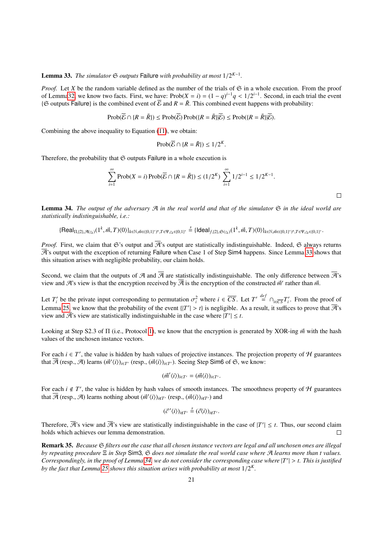Lemma 33. *The simulator*  $\mathfrak{S}$  *outputs* Failure *with probability at most*  $1/2^{K-1}$ *.* 

*Proof.* Let *X* be the random variable defined as the number of the trials of  $\mathfrak{S}$  in a whole execution. From the proof of Lemm[a32,](#page-17-4) we know two facts. First, we have:  $\text{Prob}(X = i) = (1 - q)^{i-1}q < 1/2^{i-1}$ . Second, in each trial the event  $\sqrt{3}$  coutputs Failure) is the combined event of  $\overline{B}$  and  $R - \tilde{R}$ . This combined event happens w { $\Im$  outputs Failure} is the combined event of  $\overline{E}$  and  $R = \overline{R}$ . This combined event happens with probability:

$$
\text{Prob}(\overline{\mathcal{E}} \cap \{R = \tilde{R}\}) \leq \text{Prob}(\overline{\mathcal{E}}) \text{Prob}(\{R = \tilde{R}\}|\overline{\mathcal{E}}) \leq \text{Prob}(\{R = \tilde{R}\}|\overline{\mathcal{E}}).
$$

Combining the above inequality to Equation [\(11\)](#page-19-4), we obtain:

$$
\operatorname{Prob}(\overline{\mathcal{E}} \cap \{R = \overline{R}\}) \le 1/2^K.
$$

Therefore, the probability that  $\mathfrak S$  outputs Failure in a whole execution is

$$
\sum_{i=1}^{\infty} \text{Prob}(X = i) \text{Prob}(\overline{E} \cap \{R = \overline{R}\}) \le (1/2^{K}) \sum_{i=1}^{\infty} 1/2^{i-1} \le 1/2^{K-1}.
$$

<span id="page-20-1"></span>Lemma 34. *The output of the adversary* A *in the real world and that of the simulator* S *in the ideal world are statistically indistinguishable, i.e.:*

 $\{\mathsf{Real}_{\Pi, \{2\}, \mathcal{A}(z_k)}(1^k, \vec{m}, T)\langle 0\rangle\}_{k\in \mathbb{N}, \vec{m}\in (\{0,1\}^{\ast})^n, T\in \Psi, z_k\in \{0,1\}^{\ast}} \stackrel{s}{=} \{\mathsf{Ideal}_{f, \{2\}, \mathfrak{S}(z_k)}(1^k, \vec{m}, T)\langle 0\rangle\}_{k\in \mathbb{N}, \vec{m}\in (\{0,1\}^{\ast})^n, T\in \Psi, z_k\in \{0,1\}^{\ast}}.$ 

*Proof.* First, we claim that G's output and  $\overline{\mathcal{A}}$ 's output are statistically indistinguishable. Indeed, G always returns  $\overline{A}$ 's output with the exception of returning Failure when Case 1 of Step Sim4 happens. Since Lemma [33](#page-19-5) shows that this situation arises with negligible probability, our claim holds.

Second, we claim that the outputs of A and  $\overline{A}$  are statistically indistinguishable. The only difference between  $\overline{A}$ 's view and  $\mathcal{A}$ 's view is that the encryption received by  $\overline{\mathcal{A}}$  is the encryption of the constructed  $\vec{m}'$  rather than  $\vec{m}$ .

Let *T*<sup>*i*</sup> be the private input corresponding to permutation  $\sigma_i^2$  where  $i \in \overline{CS}$ . Let  $T' \stackrel{def}{=} \cap_{i \in \overline{CS}} T'_i$ . From the proof of Lemma [25,](#page-10-1) we know that the probability of the event  $\{|T'| > t\}$  is negligible. As a result, it suffices to prove that  $\overline{\mathcal{A}}$ 's view are statistically indistinguishable in the case where  $|T'| < t$ view and  $\overline{\mathcal{A}}$ 's view are statistically indistinguishable in the case where  $|T'| \leq t$ .

Looking at Step S2.3 of <sup>Π</sup> (i.e., Protocol [1\)](#page-11-0), we know that the encryption is generated by XOR-ing *<sup>m</sup>*<sup>~</sup> with the hash values of the unchosen instance vectors.

For each  $i \in T'$ , the value is hidden by hash values of projective instances. The projection property of H guarantees that  $\overline{\mathcal{A}}$  (resp.,  $\mathcal{A}$ ) learns  $(\vec{m}'(i))_{i\in T'}$  (resp.,  $(\vec{m}(i))_{i\in T'}$ ). Seeing Step Sim6 of  $\mathfrak{S}$ , we know:

$$
(\vec{m}'\langle i\rangle)_{i\in T'}=(\vec{m}\langle i\rangle)_{i\in T'}.
$$

For each  $i \notin T'$ , the value is hidden by hash values of smooth instances. The smoothness property of H guarantees that  $\overline{\mathcal{A}}$  (resp.,  $\mathcal{A}$ ) learns nothing about  $(\vec{m}'(i))_{i\notin I'}$  (resp.,  $(\vec{m}'(i))_{i\notin I'}$ ) and

$$
(\vec{c}'\langle i\rangle)_{i\notin T'} \stackrel{s}{=} (\vec{c}\langle i\rangle)_{i\notin T'}.
$$

Therefore,  $\overline{\mathcal{A}}$ 's view and  $\overline{\mathcal{A}}$ 's view are statistically indistinguishable in the case of  $|T'| \leq t$ . Thus, our second claim holds which achieves our lemma demonstration. П

<span id="page-20-0"></span>Remark 35. *Because* S *filters out the case that all chosen instance vectors are legal and all unchosen ones are illegal by repeating procedure* Ξ *in Step* Sim3*,* S *does not simulate the real world case where* A *learns more than t values. Correspondingly, in the proof of Lemma* [34,](#page-20-1) we do not consider the corresponding case where  $|T'| > t$ . This is justified by the fact that Lemma 25 shows this situation grises with probability at most  $1/2^K$ . *by the fact that Lemma [25](#page-10-1) shows this situation arises with probability at most* <sup>1</sup>/<sup>2</sup> *K .*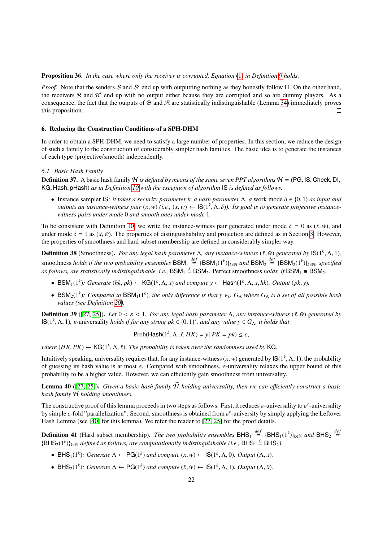#### Proposition 36. *In the case where only the receiver is corrupted, Equation* [\(1\)](#page-7-1) *in Definition [9](#page-7-0) holds.*

*Proof.* Note that the senders S and S' end up with outputting nothing as they honestly follow Π. On the other hand, the receivers  $R$  and  $R'$  end up with no output either bcause they are corrupted and so are dummy players. As a consequence, the fact that the outputs of  $\mathfrak S$  and  $\mathfrak A$  are statistically indistinguishable (Lemma [34\)](#page-20-1) immediately proves this proposition.  $\Box$ 

#### <span id="page-21-0"></span>6. Reducing the Construction Conditions of a SPH-DHM

In order to obtain a SPH-DHM, we need to satisfy a large number of properties. In this section, we reduce the design of such a family to the construction of considerably simpler hash families. The basic idea is to generate the instances of each type (projective/smooth) independently.

#### <span id="page-21-4"></span>*6.1. Basic Hash Family*

**Definition 37.** A basic hash family H *is defined by means of the same seven PPT algorithms*  $H = (PG, IS, Check, DI, 1)$ KG, Hash, pHash) *as in Definition [10](#page-8-1) with the exception of algorithm* IS *is defined as follows.*

• Instance sampler IS: *it takes a security parameter k, a hash parameter*  $\Lambda$ *, a work mode*  $\delta \in \{0, 1\}$  *as input and outputs an instance-witness pair*  $(x, w)$  (*i.e.,*  $(x, w) \leftarrow \text{IS}(1^k, \Lambda, \delta)$ *). Its goal is to generate projective instance-witness pairs under mode 0 and smooth ones under mode 1 witness pairs under mode* 0 *and smooth ones under mode* 1*.*

To be consistent with Definition [10,](#page-8-1) we write the instance-witness pair generated under mode  $\delta = 0$  as  $(\dot{x}, \dot{w})$ , and under mode  $\delta = 1$  as  $(\ddot{x}, \ddot{w})$ . The properties of distinguishability and projection are defined as in Section [3.](#page-8-0) However, the properties of smoothness and hard subset membership are defined in considerably simpler way.

<span id="page-21-2"></span>**Definition 38** (Smoothness). *For any legal hash parameter* Λ, *any instance-witness* ( $\ddot{x}$ ,  $\dddot{w}$ ) *generated by* IS(1<sup>k</sup>, Λ, 1)*,*  $\frac{1}{2}$ ,  $\frac{1}{2}$ ,  $\frac{1}{2}$ ,  $\frac{1}{2}$ ,  $\frac{1}{2}$ ,  $\frac{1}{2}$ ,  $\frac{1}{2}$ ,  $\frac$ smoothness *holds if the two probability ensembles*  $BSM_1 \stackrel{def}{=} \{BSM_1(1^k)\}_{k \in \mathbb{N}}$  and  $BSM_2 \stackrel{def}{=} \{BSM_2(1^k)\}_{k \in \mathbb{N}}$ , specified as follows, are statistically indistinguishable, i.e.,  $BSM_1 \stackrel{s}{=} BSM_2$ . Perfect smoothness *holds, if*  $BSM_1 \equiv BSM_2$ .

- BSM<sub>1</sub>(1<sup>k</sup>): Generate (hk, pk) ← KG(1<sup>k</sup>,  $\Lambda$ ,  $\ddot{x}$ ) and compute  $y$  ← Hash(1<sup>k</sup>,  $\Lambda$ ,  $\ddot{x}$ ,  $hk$ )*. Output* (pk, y).
- BSM<sub>2</sub>(1<sup>k</sup>): Compared to BSM<sub>1</sub>(1<sup>k</sup>), the only difference is that  $y \in U$   $G_A$  where  $G_A$  is a set of all possible hash *values (see Definition [20\)](#page-9-0).*

**Definition 39** ([\[27,](#page-34-0) [25\]](#page-33-24)). Let  $0 < \varepsilon < 1$ . For any legal hash parameter  $\Lambda$ , any instance-witness  $(\ddot{x}, \ddot{w})$  generated by  $\textsf{IS}(1^k, \Lambda, 1)$ , *ε*-universality *holds if for any string pk*  $\in \{0, 1\}^*$ , *and any value y*  $\in G_\Lambda$ , *it holds that* 

$$
Prob(\text{Hash}(1^k, \Lambda, \ddot{x}, HK) = y \,|\, PK = pk) \le \varepsilon,
$$

*where*  $(HK, PK) \leftarrow \mathsf{KG}(1^k, \Lambda, \ddot{x})$ . The probability is taken over the randomness used by KG.

Intuitively speaking, universality requires that, for any instance-witness  $(\ddot{x}, \ddot{w})$  generated by  $\mathsf{IS}(1^k, \Lambda, 1)$ , the probability of generation is a state of this compared with smoothness equiversality relaxes the of guessing its hash value is at most  $\varepsilon$ . Compared with smoothness,  $\varepsilon$ -universality relaxes the upper bound of this probability to be a higher value. However, we can efficiently gain smoothness from universality.

<span id="page-21-1"></span>Lemma 40 ([\[27,](#page-34-0) [25\]](#page-33-24)). *Given a basic hash family*  $\widetilde{\mathcal{H}}$  *holding universality, then we can efficiently construct a basic hash family* H *holding smoothness.*

The constructive proof of this lemma proceeds in two steps as follows. First, it reduces  $\varepsilon$ -universality to  $\varepsilon^c$ -universality<br>by simple c-fold "parallelization". Second, smoothness is obtained from  $\varepsilon^c$ -universit by simple *c*-fold "parallelization". Second, smoothness is obtained from  $\varepsilon$ <sup>c</sup>-university by simply applying the Leftover<br>Hash Lemma (see [40] for this lemma). We refer the reader to [27, 25] for the proof details Hash Lemma (see [\[40\]](#page-34-13) for this lemma). We refer the reader to [\[27,](#page-34-0) [25\]](#page-33-24) for the proof details.

<span id="page-21-3"></span>**Definition 41** (Hard subset membership). *The two probability ensembles*  $BHS_1 \stackrel{def}{=} \{BHS_1(1^k)\}_{k\in\mathbb{N}}$  and  $BHS_2 \stackrel{def}{=}$  ${BHS_2(1^k)}_{k \in \mathbb{N}}$  *defined as follows, are computationally indistinguishable (i.e.,*  $BHS_1 \stackrel{c}{=} BHS_2$ ).

- BHS<sub>1</sub>(1<sup>k</sup>): Generate  $\Lambda \leftarrow PG(1^k)$  and compute  $(\dot{x}, \dot{w}) \leftarrow IS(1^k, \Lambda, 0)$ *. Output*  $(\Lambda, \dot{x})$ *.*
- BHS<sub>2</sub>(1<sup>k</sup>): Generate  $\Lambda \leftarrow PG(1^k)$  and compute  $(\ddot{x}, \ddot{w}) \leftarrow IS(1^k, \Lambda, 1)$ *. Output*  $(\Lambda, \ddot{x})$ *.*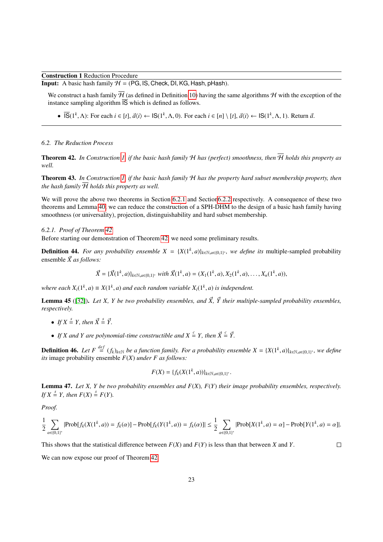Construction 1 Reduction Procedure

**Input:** A basic hash family  $H = (PG, IS, Check, DI, KG, Hash, pHash)$ .

We construct a hash family  $\overline{\mathcal{H}}$  (as defined in Definition [10\)](#page-8-1) having the same algorithms  $\mathcal{H}$  with the exception of the instance sampling algorithm  $\overline{IS}$  which is defined as follows.

•  $\overline{IS}(1^k, \Lambda)$ : For each  $i \in [t], \vec{a}(i) \leftarrow \text{IS}(1^k, \Lambda, 0)$ . For each  $i \in [n] \setminus [t], \vec{a}(i) \leftarrow \text{IS}(1^k, \Lambda, 1)$ . Return  $\vec{a}$ .

#### <span id="page-22-1"></span>*6.2. The Reduction Process*

**Theorem 42.** In Construction [1,](#page-11-0) if the basic hash family  $H$  has (perfect) smoothness, then  $\overline{H}$  holds this property as *well.*

<span id="page-22-4"></span>Theorem 43. *In Construction [1,](#page-11-0) if the basic hash family* H *has the property hard subset membership property, then the hash family*  $\overline{\mathcal{H}}$  *holds this property as well.* 

We will prove the above two theorems in Section [6.2.1](#page-22-0) and Section 6.2.2 respectively. A consequence of these two theorems and Lemma [40,](#page-21-1) we can reduce the construction of a SPH-DHM to the design of a basic hash family having smoothness (or universality), projection, distinguishability and hard subset membership.

## <span id="page-22-0"></span>*6.2.1. Proof of Theorem [42](#page-22-1)*

Before starting our demonstration of Theorem [42,](#page-22-1) we need some preliminary results.

**Definition 44.** For any probability ensemble  $X = \{X(1^k, a)\}_{k \in \mathbb{N}, a \in \{0,1\}^*}$ , we define its multiple-sampled probability approach  $\vec{Y}$  as follows: ensemble  $\vec{X}$  *as follows:* 

$$
\vec{X} = \{ \vec{X}(1^k, a) \}_{k \in \mathbb{N}, a \in \{0, 1\}^*} \text{ with } \vec{X}(1^k, a) = (X_1(1^k, a), X_2(1^k, a), \dots, X_n(1^k, a)),
$$

*where each*  $X_i(1^k, a) \equiv X(1^k, a)$  *and each random variable*  $X_i(1^k, a)$  *is independent.* 

<span id="page-22-2"></span>**Lemma 45** ([\[32\]](#page-34-5)). Let X, Y be two probability ensembles, and  $\vec{X}$ ,  $\vec{Y}$  their multiple-sampled probability ensembles, *respectively.*

- *If*  $X \stackrel{s}{=} Y$ *, then*  $\vec{X} \stackrel{s}{=} \vec{Y}$ *.*
- If X and Y are polynomial-time constructible and  $X \stackrel{c}{=} Y$ , then  $\vec{X} \stackrel{c}{=} \vec{Y}$ .

**Definition 46.** Let  $F \stackrel{def}{=} (f_k)_{k \in \mathbb{N}}$  be a function family. For a probability ensemble  $X = \{X(1^k, a)\}_{k \in \mathbb{N}, a \in \{0,1\}^*}$ , we define *its* image probability ensemble *F*(*X*) *under F as follows:*

$$
F(X) = \{f_k(X(1^k, a))\}_{k \in \mathbb{N}, a \in \{0,1\}^*}.
$$

<span id="page-22-3"></span>Lemma 47. *Let X, Y be two probability ensembles and F*(*X*)*, F*(*Y*) *their image probability ensembles, respectively. If*  $X \stackrel{s}{=} Y$ *, then*  $F(X) \stackrel{s}{=} F(Y)$ *.* 

*Proof.*

$$
\frac{1}{2} \sum_{\alpha \in \{0,1\}^*} |\text{Prob}[f_k(X(1^k, a)) = f_k(\alpha)] - \text{Prob}[f_k(Y(1^k, a)) = f_k(\alpha)]| \le \frac{1}{2} \sum_{\alpha \in \{0,1\}^*} |\text{Prob}[X(1^k, a) = \alpha] - \text{Prob}[Y(1^k, a) = \alpha]|.
$$

This shows that the statistical difference between *F*(*X*) and *F*(*Y*) is less than that between *X* and *Y*.

 $\Box$ 

We can now expose our proof of Theorem [42.](#page-22-1)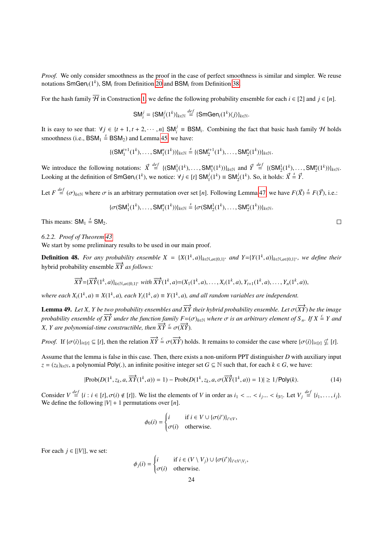*Proof.* We only consider smoothness as the proof in the case of perfect smoothness is similar and simpler. We reuse notations SmGen*i*(1*<sup>k</sup>* ), SM*<sup>i</sup>* from Definition [20](#page-9-0) and BSM*<sup>i</sup>* from Definition [38.](#page-21-2)

For the hash family  $\overline{\mathcal{H}}$  in Construction [1,](#page-11-0) we define the following probability ensemble for each  $i \in [2]$  and  $j \in [n]$ .

$$
\mathsf{SM}_{i}^{j}=\{\mathsf{SM}_{i}^{j}(1^{k})\}_{k\in\mathbb{N}}\overset{def}{=}\{\mathsf{SmGen}_{i}(1^{k})\langle j\rangle\}_{k\in\mathbb{N}}.
$$

It is easy to see that:  $\forall j \in \{t + 1, t + 2, \dots, n\}$  SM<sup>*i*</sup>  $\equiv$  BSM<sub>*i*</sub>. Combining the fact that basic hash family H holds are at here in a DSM,  $\stackrel{s}{\sim}$  DSM,  $\stackrel{s}{\sim}$  DSM, and I guine 45 are here: smoothness (i.e.,  $BSM_1 \stackrel{s}{=} BSM_2$ ) and Lemma [45,](#page-22-2) we have:

$$
\{(\mathsf{SM}_{1}^{t+1}(1^{k}),\ldots,\mathsf{SM}_{1}^{n}(1^{k}))\}_{k\in\mathbb{N}}\stackrel{s}{=}\{(\mathsf{SM}_{2}^{t+1}(1^{k}),\ldots,\mathsf{SM}_{2}^{n}(1^{k}))\}_{k\in\mathbb{N}}.
$$

We introduce the following notations:  $\vec{X} \stackrel{def}{=} \{ (SM_1^1(1^k), \dots, SM_1^n(1^k)) \}_{k \in \mathbb{N}}$  and  $\vec{Y} \stackrel{def}{=} \{ (SM_2^1(1^k), \dots, SM_2^n(1^k)) \}_{k \in \mathbb{N}}$ . Looking at the definition of SmGen<sub>*i*</sub>(1<sup>*k*</sup>), we notice:  $\forall j \in [t]$  SM<sub>1</sub><sup>*i*</sup>(1<sup>*k*</sup>) = SM<sub>2</sub><sup>*i*</sup>(1<sup>*k*</sup>). So, it holds:  $\vec{X} \triangleq \vec{Y}$ .

Let  $F \stackrel{def}{=} (\sigma)_{k \in \mathbb{N}}$  where  $\sigma$  is an arbitrary permutation over set [*n*]. Following Lemma [47,](#page-22-3) we have  $F(\vec{X}) \stackrel{s}{=} F(\vec{Y})$ , i.e.:

$$
\{\sigma(SM_1^1(1^k),\ldots,SM_1^n(1^k))\}_{k\in\mathbb{N}}\stackrel{s}{=}\{\sigma(SM_2^1(1^k),\ldots,SM_2^n(1^k))\}_{k\in\mathbb{N}}.
$$

This means:  $SM_1 \stackrel{s}{=} SM_2$ .

<span id="page-23-0"></span>*6.2.2. Proof of Theorem [43](#page-22-4)*

We start by some preliminary results to be used in our main proof.

**Definition 48.** For any probability ensemble  $X = {X(1^k, a)}_{k \in \mathbb{N}, a \in \{0,1\}^*}$  and  $Y = {Y(1^k, a)}_{k \in \mathbb{N}, a \in \{0,1\}^*}$ , we define their hybrid probability ensemble  $\overrightarrow{XY}$  *as follows:* 

$$
\overrightarrow{XY} = {\overrightarrow{XY}}(1^k, a)_{k \in \mathbb{N}, a \in \{0,1\}^*} with \overrightarrow{XY}(1^k, a) = (X_1(1^k, a), \dots, X_t(1^k, a), Y_{t+1}(1^k, a), \dots, Y_n(1^k, a)),
$$

*where each*  $X_i(1^k, a) \equiv X(1^k, a)$ , each  $Y_i(1^k, a) \equiv Y(1^k, a)$ , and all random variables are independent.

<span id="page-23-2"></span>**Lemma 49.** *Let X, Y be two probability ensembles and*  $\overrightarrow{XY}$  *their hybrid probability ensemble. Let*  $\sigma(\overrightarrow{XY})$  *be the image probability ensemble of*  $\overline{XY}$  *under the function family F*=( $\sigma$ )<sub>*k*∈N</sub> *where*  $\sigma$  *is an arbitrary element of*  $S_n$ *. If*  $X \stackrel{\epsilon}{=} Y$  *and X, Y are polynomial-time constructible, then*  $\overrightarrow{XY} = \sigma(\overrightarrow{XY})$ .

*Proof.* If  $\{\sigma(i)\}_{i \in [t]} \subseteq [t]$ , then the relation  $\overrightarrow{XY} \triangleq \sigma(\overrightarrow{XY})$  holds. It remains to consider the case where  $\{\sigma(i)\}_{i \in [t]} \nsubseteq [t]$ .

Assume that the lemma is false in this case. Then, there exists a non-uniform PPT distinguisher *D* with auxiliary input *z* =  $(z_k)_{k∈\mathbb{N}}$ , a polynomial Poly(.), an infinite positive integer set *G* ⊆  $\mathbb{N}$  such that, for each  $k ∈ G$ , we have:

$$
|\text{Prob}(D(1^k, z_k, a, \overrightarrow{XY}(1^k, a)) = 1) - \text{Prob}(D(1^k, z_k, a, \sigma(\overrightarrow{XY}(1^k, a)) = 1)| \ge 1/\text{Poly}(k). \tag{14}
$$

Consider  $V \stackrel{def}{=} \{i : i \in [t], \sigma(i) \notin [t]\}\)$ . We list the elements of V in order as  $i_1 < ... < i_j... < i_{|V|}$ . Let  $V_j \stackrel{def}{=} \{i_1, ..., i_j\}$ .<br>We define the following  $|V| + 1$  permutations over  $[n]$ . We define the following  $|V| + 1$  permutations over [*n*].

<span id="page-23-1"></span>
$$
\phi_0(i) = \begin{cases} i & \text{if } i \in V \cup \{\sigma(i')\}_{i' \in V}, \\ \sigma(i) & \text{otherwise.} \end{cases}
$$

For each  $j \in [[V]]$ , we set:

$$
\phi_j(i) = \begin{cases} i & \text{if } i \in (V \setminus V_j) \cup \{\sigma(i')\}_{i' \in V \setminus V_j}, \\ \sigma(i) & \text{otherwise.} \end{cases}
$$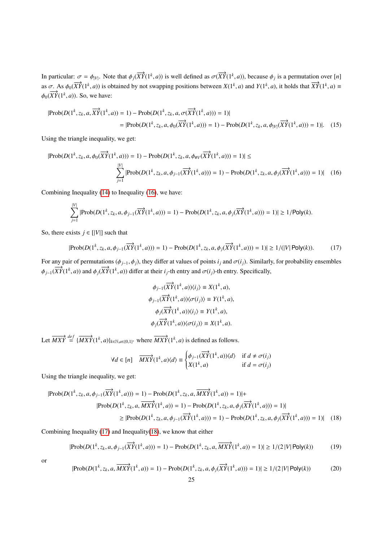In particular:  $\sigma = \phi_{|V|}$ . Note that  $\phi_j(\overrightarrow{XY}(1^k, a))$  is well defined as  $\sigma(\overrightarrow{XY}(1^k, a))$ , because  $\phi_j$  is a permutation over [*n*] as  $\sigma$ . As  $\phi_0(\overrightarrow{XY}(1^k, a))$  is obtained by not swapping positions between  $X(1^k, a)$  and  $Y(1^k, a)$ , it holds that  $\overrightarrow{XY}(1^k, a) =$  $\phi_0(\overline{XY}(1^k, a))$ . So, we have:

$$
|\text{Prob}(D(1^k, z_k, a, \overrightarrow{XY}(1^k, a)) = 1) - \text{Prob}(D(1^k, z_k, a, \sigma(\overrightarrow{XY}(1^k, a))) = 1)|
$$
  
= |\text{Prob}(D(1^k, z\_k, a, \phi\_0(\overrightarrow{XY}(1^k, a))) = 1) - \text{Prob}(D(1^k, z\_k, a, \phi\_{|V|}(\overrightarrow{XY}(1^k, a))) = 1)|. (15)

Using the triangle inequality, we get:

$$
|\text{Prob}(D(1^k, z_k, a, \phi_0(\overrightarrow{XY}(1^k, a))) = 1) - \text{Prob}(D(1^k, z_k, a, \phi_{\#V}(\overrightarrow{XY}(1^k, a))) = 1)| \le \sum_{j=1}^{|V|} |\text{Prob}(D(1^k, z_k, a, \phi_{j-1}(\overrightarrow{XY}(1^k, a))) = 1) - \text{Prob}(D(1^k, z_k, a, \phi_j(\overrightarrow{XY}(1^k, a))) = 1)| \quad (16)
$$

Combining Inequality [\(14\)](#page-23-1) to Inequality [\(16\)](#page-24-0), we have:

$$
\sum_{j=1}^{|V|} |\text{Prob}(D(1^k, z_k, a, \phi_{j-1}(\overrightarrow{XY}(1^k, a))) = 1) - \text{Prob}(D(1^k, z_k, a, \phi_j(\overrightarrow{XY}(1^k, a))) = 1)| \ge 1/\text{Poly}(k).
$$

So, there exists  $j \in [[V]]$  such that

$$
|\text{Prob}(D(1^k, z_k, a, \phi_{j-1}(\overrightarrow{XY}(1^k, a))) = 1) - \text{Prob}(D(1^k, z_k, a, \phi_j(\overrightarrow{XY}(1^k, a))) = 1)| \ge 1/(|V| \text{Poly}(k)).
$$
 (17)

For any pair of permutations ( $\phi_{j-1}, \phi_j$ ), they differ at values of points  $i_j$  and  $\sigma(i_j)$ . Similarly, for probability ensembles  $\phi_{j-1}(\overrightarrow{XY}(1^k, a))$  and  $\phi_j(\overrightarrow{XY}(1^k, a))$  differ at their *i<sub>j</sub>*-th entry and  $\sigma(i_j)$ -th entry. Specifically,

<span id="page-24-2"></span><span id="page-24-1"></span><span id="page-24-0"></span>
$$
\phi_{j-1}(\overrightarrow{XY}(1^k, a))\langle i_j \rangle \equiv X(1^k, a),
$$
  

$$
\phi_{j-1}(\overrightarrow{XY}(1^k, a))\langle \sigma(i_j) \rangle \equiv Y(1^k, a),
$$
  

$$
\phi_j(\overrightarrow{XY}(1^k, a))\langle i_j \rangle \equiv Y(1^k, a),
$$
  

$$
\phi_j(\overrightarrow{XY}(1^k, a))\langle \sigma(i_j) \rangle \equiv X(1^k, a).
$$

Let  $\overrightarrow{MXY} \stackrel{def}{=} {\overrightarrow{MXY}}(1^k, a)_{k \in \mathbb{N}, a \in \{0,1\}^*}$  where  $\overrightarrow{MXY}(1^k, a)$  is defined as follows.

<span id="page-24-3"></span>
$$
\forall d \in [n] \quad \overrightarrow{MXY}(1^k, a) \langle d \rangle \equiv \begin{cases} \phi_{j-1}(\overrightarrow{XY}(1^k, a)) \langle d \rangle & \text{if } d \neq \sigma(i_j) \\ X(1^k, a) & \text{if } d = \sigma(i_j) \end{cases}
$$

Using the triangle inequality, we get:

$$
|\text{Prob}(D(1^k, z_k, a, \phi_{j-1}(\overrightarrow{XY}(1^k, a))) = 1) - \text{Prob}(D(1^k, z_k, a, \overrightarrow{MXY}(1^k, a)) = 1)| +
$$
  
\n
$$
|\text{Prob}(D(1^k, z_k, a, \overrightarrow{MXY}(1^k, a)) = 1) - \text{Prob}(D(1^k, z_k, a, \phi_j(\overrightarrow{XY}(1^k, a))) = 1)|
$$
  
\n
$$
\geq |\text{Prob}(D(1^k, z_k, a, \phi_{j-1}(\overrightarrow{XY}(1^k, a))) = 1) - \text{Prob}(D(1^k, z_k, a, \phi_j(\overrightarrow{XY}(1^k, a))) = 1)| \quad (18)
$$

Combining Inequality [\(17\)](#page-24-1) and Inequality[\(18\)](#page-24-2), we know that either

$$
|\text{Prob}(D(1^k, z_k, a, \phi_{j-1}(\overrightarrow{XY}(1^k, a))) = 1) - \text{Prob}(D(1^k, z_k, a, \overrightarrow{MXY}(1^k, a)) = 1)| \ge 1/(2|V| \text{Poly}(k))
$$
(19)

<span id="page-24-4"></span>or

$$
|\text{Prob}(D(1^k, z_k, a, \overrightarrow{MXY}(1^k, a)) = 1) - \text{Prob}(D(1^k, z_k, a, \phi_j(\overrightarrow{XY}(1^k, a))) = 1)| \ge 1/(2|V| \text{Poly}(k))
$$
 (20)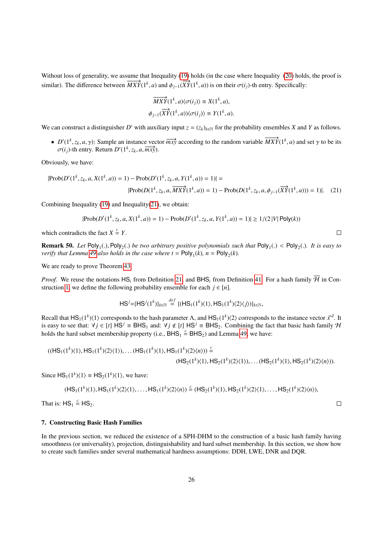Without loss of generality, we assume that Inequality [\(19\)](#page-24-3) holds (in the case where Inequality [\(20\)](#page-24-4) holds, the proof is similar). The difference between  $\overline{MXY}(1^k, a)$  and  $\phi_{j-1}(\overline{XY}(1^k, a))$  is on their  $\sigma(i_j)$ -th entry. Specifically:

$$
\overrightarrow{MXY}(1^k, a)\langle \sigma(i_j) \rangle \equiv X(1^k, a),
$$
  

$$
\phi_{j-1}(\overrightarrow{XY}(1^k, a))\langle \sigma(i_j) \rangle \equiv Y(1^k, a).
$$

We can construct a distinguisher *D'* with auxiliary input  $z = (z_k)_{k \in \mathbb{N}}$  for the probability ensembles *X* and *Y* as follows.

•  $D'(1^k, z_k, a, \gamma)$ : Sample an instance vector  $\overrightarrow{mx}$  according to the random variable  $\overrightarrow{MXY}(1^k, a)$  and set  $\gamma$  to be its  $\sigma(i)$ -th entry Return  $D'(1^k, z_k, a, \overrightarrow{mv}$ )  $\sigma(i_j)$ -th entry. Return  $D'(1^k, z_k, a, \overline{mx}$ .

Obviously, we have:

$$
|\text{Prob}(D'(1^k, z_k, a, X(1^k, a)) = 1) - \text{Prob}(D'(1^k, z_k, a, Y(1^k, a)) = 1)| =
$$
  

$$
|\text{Prob}(D(1^k, z_k, a, \overline{MXY}(1^k, a)) = 1) - \text{Prob}(D(1^k, z_k, a, \phi_{j-1}(\overline{XY}(1^k, a))) = 1)|. \quad (21)
$$

Combining Inequality  $(19)$  and Inequality $(21)$ , we obtain:

$$
|\text{Prob}(D'(1^k, z_k, a, X(1^k, a)) = 1) - \text{Prob}(D'(1^k, z_k, a, Y(1^k, a)) = 1)| \ge 1/(2 |V| \text{Poly}(k))
$$

which contradicts the fact  $X \stackrel{c}{=} Y$ .

**Remark 50.** Let  $Poly_1(.)$ ,  $Poly_2(.)$  be two arbitrary positive polynomials such that  $Poly_1(.) < Poly_2(.)$ . It is easy to verify that  $I$  emma 49 also holds in the case where  $t = Poly_1(k)$ ,  $n = Poly_1(k)$ *verify that Lemma [49](#page-23-2) also holds in the case where*  $t = \text{Poly}_1(k)$ *,*  $n = \text{Poly}_2(k)$ *.* 

We are ready to prove Theorem [43.](#page-22-4)

*Proof.* We reuse the notations HS<sub>i</sub> from Definition [21,](#page-9-1) and BHS<sub>i</sub> from Definition [41.](#page-21-3) For a hash family  $\overline{\mathcal{H}}$  in Con-struction [1,](#page-11-0) we define the following probability ensemble for each  $j \in [n]$ .

$$
HS^{j} = \{HS^{j}(1^{k})\}_{k \in \mathbb{N}} \stackrel{def}{=} \{ (HS_{1}(1^{k})(1), HS_{1}(1^{k})(2)(j)) \}_{k \in \mathbb{N}},
$$

<span id="page-25-1"></span>*de f*

Recall that  $HS_1(1^k)(1)$  corresponds to the hash parameter Λ, and  $HS_1(1^k)(2)$  corresponds to the instance vector  $\vec{x}^d$ . It is easy to see that:  $\vec{y}$  i E [t] HS<sup>j</sup> = BHS, and:  $\vec{y}$  i ∉ [t] HS<sup>j</sup> = BHS. Combining is easy to see that:  $\forall j \in [t]$  HS<sup>*j*</sup> = BHS<sub>1</sub> and:  $\forall j \notin [t]$  HS<sup>*j*</sup> = BHS<sub>2</sub>. Combining the fact that basic hash family H holds the hard subset membership property (i.e.,  $BHS_1 \stackrel{c}{=} BHS_2$ ) and Lemma [49,](#page-23-2) we have:

$$
((HS_1(1^k)\langle 1\rangle, HS_1(1^k)\langle 2\rangle\langle 1\rangle), \dots (HS_1(1^k)\langle 1\rangle, HS_1(1^k)\langle 2\rangle\langle n\rangle)) \stackrel{c}{=} (HS_2(1^k)\langle 1\rangle, HS_2(1^k)\langle 2\rangle\langle 1\rangle), \dots (HS_2(1^k)\langle 1\rangle, HS_2(1^k)\langle 2\rangle\langle n\rangle)).
$$

Since  $HS_1(1^k)\langle 1 \rangle \equiv HS_2(1^k)\langle 1 \rangle$ , we have:

$$
(\mathsf{HS}_1(1^k)\langle 1\rangle,\mathsf{HS}_1(1^k)\langle 2\rangle\langle 1\rangle,\ldots,\mathsf{HS}_1(1^k)\langle 2\rangle\langle n\rangle)\stackrel{c}{=}(\mathsf{HS}_2(1^k)\langle 1\rangle,\mathsf{HS}_2(1^k)\langle 2\rangle\langle 1\rangle,\ldots,\mathsf{HS}_2(1^k)\langle 2\rangle\langle n\rangle),
$$

That is:  $HS_1 \stackrel{c}{=} HS_2$ .

## <span id="page-25-0"></span>7. Constructing Basic Hash Families

In the previous section, we reduced the existence of a SPH-DHM to the construction of a basic hash family having smoothness (or universality), projection, distinguishability and hard subset membership. In this section, we show how to create such families under several mathematical hardness assumptions: DDH, LWE, DNR and DQR.

 $\Box$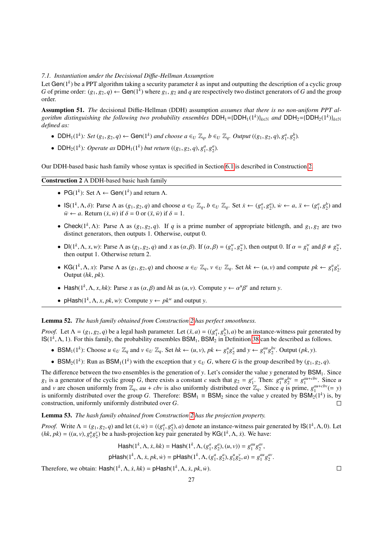## *7.1. Instantiation under the Decisional Di*ffi*e-Hellman Assumption*

Let Gen(1*<sup>k</sup>* ) be a PPT algorithm taking a security parameter *k* as input and outputting the description of a cyclic group *G* of prime order:  $(g_1, g_2, q) \leftarrow$  Gen(1<sup>k</sup>) where  $g_1, g_2$  and *q* are respectively two distinct generators of *G* and the group order.

Assumption 51. *The* decisional Diffie-Hellman (DDH) assumption *assumes that there is no non-uniform PPT al* $g$ *orithm distinguishing the following two probability ensembles*  $DDH_1 = {DDH_1(1^k)}_{k \in \mathbb{N}}$  *and*  $DDH_2 = {DDH_2(1^k)}_{k \in \mathbb{N}}$ *defined as:*

- DDH<sub>1</sub>(1<sup>k</sup>): Set  $(g_1, g_2, q) \leftarrow$  Gen(1<sup>k</sup>) and choose  $a \in U \mathbb{Z}_q$ ,  $b \in U \mathbb{Z}_q$ . Output  $((g_1, g_2, q), g_1^a, g_2^b)$ .
- DDH<sub>2</sub>(1<sup>k</sup>): Operate as DDH<sub>1</sub>(1<sup>k</sup>) but return (( $g_1, g_2, q$ ),  $g_1^a, g_2^a$ ).

Our DDH-based basic hash family whose syntax is specified in Section [6.1](#page-21-4) is described in Construction [2.](#page-14-0)

## Construction 2 A DDH-based basic hash family

- PG( $1^k$ ): Set  $\Lambda \leftarrow$  Gen( $1^k$ ) and return  $\Lambda$ .
- $\mathsf{IS}(1^k, \Lambda, \delta)$ : Parse  $\Lambda$  as  $(g_1, g_2, q)$  and choose  $a \in U \mathbb{Z}_q$ ,  $b \in U \mathbb{Z}_q$ . Set  $\dot{x} \leftarrow (g_1^a, g_2^a)$ ,  $\dot{w} \leftarrow a$ ,  $\ddot{x} \leftarrow (g_1^a, g_2^b)$  and  $\ddot{w} \leftarrow a$ . Beturn  $(\dot{x}, \dot{w})$  if  $\delta = 0$  or  $(\ddot{x}, \ddot{w})$  i  $\ddot{w} \leftarrow a$ . Return  $(\dot{x}, \dot{w})$  if  $\delta = 0$  or  $(\ddot{x}, \ddot{w})$  if  $\delta = 1$ .
- Check( $1^k$ ,  $\Lambda$ ): Parse  $\Lambda$  as ( $g_1, g_2, q$ ). If *q* is a prime number of appropriate bitlength, and  $g_1, g_2$  are two distinct generators then outputs 1. Otherwise output 0. distinct generators, then outputs 1. Otherwise, output 0.
- $Dl(1^k, \Lambda, x, w)$ : Parse  $\Lambda$  as  $(g_1, g_2, q)$  and x as  $(\alpha, \beta)$ . If  $(\alpha, \beta) = (g_1^w, g_2^w)$ , then output 0. If  $\alpha = g_1^w$  and  $\beta \neq g_2^w$ , then output 1. Otherwise return 2 then output 1. Otherwise return 2.
- KG(1<sup>k</sup>,  $\Lambda$ , x): Parse  $\Lambda$  as  $(g_1, g_2, q)$  and choose  $u \in U \mathbb{Z}_q$ ,  $v \in U \mathbb{Z}_q$ . Set  $hk \leftarrow (u, v)$  and compute  $pk \leftarrow g_1^u g_2^v$ . Output (*hk*, *pk*).
- Hash( $1^k$ ,  $\Lambda$ ,  $x$ ,  $hk$ ): Parse  $x$  as  $(\alpha, \beta)$  and  $hk$  as  $(u, v)$ . Compute  $y \leftarrow \alpha^u$ β *v* and return *y*.
- pHash( $1^k$ ,  $\Lambda$ ,  $x$ ,  $pk$ ,  $w$ ): Compute  $y \leftarrow pk^w$  and output  $y$ .

#### Lemma 52. *The hash family obtained from Construction [2](#page-14-0) has perfect smoothness.*

*Proof.* Let  $\Lambda = (g_1, g_2, q)$  be a legal hash parameter. Let  $(\ddot{x}, a) = ((g_1^a, g_2^b), a)$  be an instance-witness pair generated by  $|S(1^k \Lambda) \rangle$  For this family the probability ensembles RSM. RSM<sub>2</sub> in Definition 38 can be d  $IS(1^k, \Lambda, 1)$ . For this family, the probability ensembles  $BSM_1$ ,  $BSM_2$  in Definition [38](#page-21-2) can be described as follows.

- BSM<sub>1</sub>(1<sup>k</sup>): Choose  $u \in U \mathbb{Z}_q$  and  $v \in U \mathbb{Z}_q$ . Set  $hk \leftarrow (u, v), pk \leftarrow g_1^u g_2^v$  and  $y \leftarrow g_1^{au} g_2^{bv}$ . Output  $(pk, y)$ .
- BSM<sub>2</sub>(1<sup>k</sup>): Run as BSM<sub>1</sub>(1<sup>k</sup>) with the exception that  $y \in U$  *G*, where *G* is the group described by  $(g_1, g_2, q)$ .

The difference between the two ensembles is the generation of *y*. Let's consider the value *y* generated by BSM<sub>1</sub>. Since  $g_1$  is a generator of the cyclic group G, there exists a constant c such that  $g_2 = g_1^c$ . Then:  $g_1^{au}g_2^{bv} = g_1^{au+cbv}$ . Since u and *v* are chosen uniformly from  $\mathbb{Z}_q$ ,  $au + cbv$  is also uniformly distributed over  $\mathbb{Z}_q$ . Since *q* is prime,  $g_1^{aut-cbv}(= y)$ is uniformly distributed over the group *G*. Therefore: BSM<sub>1</sub>  $\equiv$  BSM<sub>2</sub> since the value *y* created by BSM<sub>2</sub>(1<sup>k</sup>) is, by construction, uniformly uniformly distributed over *G*.  $\Box$ 

Lemma 53. *The hash family obtained from Construction [2](#page-14-0) has the projection property.*

*Proof.* Write  $\Lambda = (g_1, g_2, q)$  and let  $(\dot{x}, \dot{w}) = ((g_1^a, g_2^a), a)$  denote an instance-witness pair generated by  $\text{IS}(1^k, \Lambda, 0)$ . Let  $(hk - \hbar k) = ((u, v), a^{\mu} a^{\nu})$  be a hash-projection key pair generated by  $\text{IG}(1^k, \Lambda, \dot$  $(hk, pk) = ((u, v), g_1^u g_2^v)$  be a hash-projection key pair generated by KG(1<sup>k</sup>,  $\Lambda$ , *x*). We have:

$$
\mathsf{Hash}(1^k, \Lambda, \dot{x}, hk) = \mathsf{Hash}(1^k, \Lambda, (g_1^a, g_2^a), (u, v)) = g_1^{au} g_2^{av},
$$
  

$$
\mathsf{pHash}(1^k, \Lambda, \dot{x}, pk, \dot{w}) = \mathsf{pHash}(1^k, \Lambda, (g_1^a, g_2^a), g_1^u g_2^v, a) = g_1^{au} g_2^{av}.
$$

Therefore, we obtain:  $\text{Hash}(1^k, \Lambda, \dot{x}, \dot{h}k) = \text{pHash}(1^k, \Lambda, \dot{x}, \dot{pk}, \dot{w}).$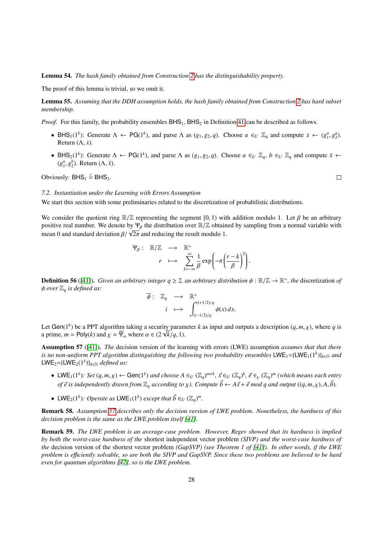Lemma 54. *The hash family obtained from Construction [2](#page-14-0) has the distinguishability property.*

The proof of this lemma is trivial, so we omit it.

Lemma 55. *Assuming that the DDH assumption holds, the hash family obtained from Construction [2](#page-14-0) has hard subset membership.*

*Proof.* For this family, the probability ensembles  $BHS<sub>1</sub>$ ,  $BHS<sub>2</sub>$  in Definition [41](#page-21-3) can be described as follows.

- BHS<sub>1</sub>(1<sup>k</sup>): Generate  $\Lambda \leftarrow PG(1^k)$ , and parse  $\Lambda$  as  $(g_1, g_2, q)$ . Choose  $a \in U \mathbb{Z}_q$  and compute  $\dot{x} \leftarrow (g_1^a, g_2^a)$ .<br>Return  $(\Lambda, \dot{r})$ Return  $(\Lambda, \dot{x})$ .
- BHS<sub>2</sub>(1<sup>k</sup>): Generate  $\Lambda \leftarrow PG(1^k)$ , and parse  $\Lambda$  as  $(g_1, g_2, q)$ . Choose  $a \in U \mathbb{Z}_q$ ,  $b \in U \mathbb{Z}_q$  and compute  $\ddot{x} \leftarrow$   $(a^a \circ b^b)$ . Return  $(\Lambda, \ddot{r})$  $(g_1^a, g_2^b)$ . Return  $(\Lambda, \ddot{x})$ .

Obviously:  $BHS_1 \stackrel{c}{=} BHS_2$ .

## *7.2. Instantiation under the Learning with Errors Assumption*

We start this section with some preliminaries related to the discretization of probabilistic distributions.

We consider the quotient ring  $\mathbb{R}/\mathbb{Z}$  representing the segment [0, 1) with addition modulo 1. Let  $\beta$  be an arbitrary positive real number. We denote by  $\Psi_\beta$  the distribution over  $\mathbb{R}/\mathbb{Z}$  obtained by sampling from a normal variable with positive real number. We denote by  $\mathbf{r}_{\beta}$  the distribution over  $\mathbb{R}/\mathbb{Z}$  obtain mean 0 and standard deviation  $\beta/\sqrt{2\pi}$  and reducing the result modulo 1.

$$
\Psi_{\beta}: \mathbb{R}/\mathbb{Z} \longrightarrow \mathbb{R}^+ \\
r \longmapsto \sum_{k=-\infty}^{\infty} \frac{1}{\beta} \exp\left(-\pi \left(\frac{r-k}{\beta}\right)^2\right).
$$

**Definition 56** ([\[41\]](#page-34-14)). *Given an arbitrary integer*  $q \ge 2$ *, an arbitrary distribution*  $\phi : \mathbb{R}/\mathbb{Z} \to \mathbb{R}^+$ *, the* discretization *of*  $\phi$  are  $\mathbb{R} \to \mathbb{R}^+$  and  $\phi$  are  $\mathbb{R} \to \mathbb{R}^+$  and  $\phi$  are  $\mathbb{$ <sup>φ</sup> *over* <sup>Z</sup>*<sup>q</sup> is defined as:*

$$
\overline{\phi}: \mathbb{Z}_q \longrightarrow \mathbb{R}^+ \n i \longmapsto \int_{(i-1/2)/q}^{(i+1/2)/q} \phi(x) dx.
$$

Let Gen(1<sup>k</sup>) be a PPT algorithm taking a security parameter *k* as input and outputs a description  $(q, m, \chi)$ , where *q* is<br>a prime  $m = \text{Poly}(k)$  and  $\chi = \overline{\Psi}$ , where  $\alpha \in (2\sqrt{k}/a, 1)$ . Let Gen( $1^{\circ}$ ) be a PP1 algorithm taking a security param<br>a prime,  $m = \text{Poly}(k)$  and  $\chi = \overline{\Psi}_{\alpha}$  where  $\alpha \in (2 \sqrt{k}/q, 1)$ .

<span id="page-27-0"></span>Assumption 57 ([\[41\]](#page-34-14)). *The* decision version of the learning with errors (LWE) assumption *assumes that that there is no non-uniform PPT algorithm distinguishing the following two probability ensembles* LWE<sub>1</sub>={LWE<sub>1</sub>(1<sup>k</sup>)}<sub>*k*∈N *and*</sub>  $LWE_2 = {LWE_2(1^k)}_{k \in \mathbb{N}}$  *defined as:* 

- LWE<sub>1</sub>(1<sup>k</sup>): Set  $(q, m, \chi) \leftarrow$  Gen(1<sup>k</sup>) and choose  $A \in U(\mathbb{Z}_q)^{m \times k}$ ,  $\vec{s} \in U(\mathbb{Z}_q)^k$ ,  $\vec{e} \in \chi(\mathbb{Z}_q)^m$  (which means each entry *of*  $\vec{e}$  *is independently drawn from*  $\mathbb{Z}_q$  *according to*  $\chi$ *). Compute*  $\vec{b} \leftarrow A\vec{s} + \vec{e}$  *mod q and output*  $((q, m, \chi), A, \vec{b})$ .
- LWE<sub>2</sub>(1<sup>k</sup>): Operate as LWE<sub>1</sub>(1<sup>k</sup>) except that  $\vec{b} \in U (\mathbb{Z}_q)^m$ .

Remark 58. *Assumption [57](#page-27-0) describes only the decision version of LWE problem. Nonetheless, the hardness of this decision problem is the same as the LWE problem itself [\[41\]](#page-34-14).* 

Remark 59. *The LWE problem is an average-case problem. However, Regev showed that its hardness is implied by both the worst-case hardness of the* shortest independent vector problem *(SIVP) and the worst-case hardness of the* decision version of the shortest vector problem *(GapSVP) (see Theorem 1 of [\[41\]](#page-34-14)). In other words, if the LWE problem is e*ffi*ciently solvable, so are both the SIVP and GapSVP. Since these two problems are believed to be hard even for quantum algorithms [\[42\]](#page-34-15), so is the LWE problem.*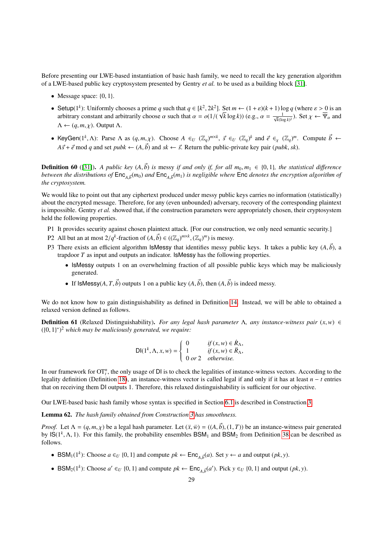Before presenting our LWE-based instantiation of basic hash family, we need to recall the key generation algorithm of a LWE-based public key cryptosystem presented by Gentry *et al.* to be used as a building block [\[31\]](#page-34-4).

- Message space:  $\{0, 1\}$ .
- Setup(1<sup>k</sup>): Uniformly chooses a prime *q* such that  $q \in [k^2, 2k^2]$ . Set  $m \leftarrow (1 + \varepsilon)(k+1) \log q$  (where  $\varepsilon > 0$  is an arbitrary constant and arbitrarily choose  $\alpha$  such that  $\alpha = o(1/(\sqrt{k} \log k))$  (e.g.  $\alpha = \frac{1}{\sqrt{k}}$ ) Set arbitrary constant and arbitrarily choose  $\alpha$  such that  $\alpha = o(1/(\alpha \cos \alpha))$ . √  $(\overline{k} \log k)$ ) (e.g.,  $\alpha = \frac{1}{\sqrt{k}(\log k)^2}$ ). Set  $\chi \leftarrow \overline{\Psi}_{\alpha}$  and  $\Lambda \leftarrow (q, m, \chi)$ . Output  $\Lambda$ .
- KeyGen(1<sup>k</sup>,  $\Lambda$ ): Parse  $\Lambda$  as  $(q, m, \chi)$ . Choose  $A \in U$  ( $\mathbb{Z}_q$ )<sup>*m*×*k*</sup>,  $\vec{s} \in U$  ( $\mathbb{Z}_q$ )<sup>*k*</sup> and  $\vec{e} \in \chi$  ( $\mathbb{Z}_q$ )<sup>*m*</sup>. Compute  $\vec{b} \leftarrow$  $A\vec{s} + \vec{e}$  mod *q* and set *pubk*  $\leftarrow (A, \vec{b})$  and  $sk \leftarrow \vec{s}$ . Return the public-private key pair (*pubk*, *sk*).

**Definition 60** ([\[31\]](#page-34-4)). A public key  $(A, \vec{b})$  is messy if and only if, for all  $m_0, m_1 \in \{0, 1\}$ , the statistical difference *between the distributions of*  $Enc_{A,\vec{b}}(m_0)$  *and*  $Enc_{A,\vec{b}}(m_1)$  *is negligible where*  $Enc$  *denotes the encryption algorithm of the cryption algorithm of the cryptosystem.*

We would like to point out that any ciphertext produced under messy public keys carries no information (statistically) about the encrypted message. Therefore, for any (even unbounded) adversary, recovery of the corresponding plaintext is impossible. Gentry *et al.* showed that, if the construction parameters were appropriately chosen, their cryptosystem held the following properties.

- P1 It provides security against chosen plaintext attack. [For our construction, we only need semantic security.]
- P2 All but an at most  $2/q^k$ -fraction of  $(A, \vec{b}) \in ((\mathbb{Z}_q)^{m \times k}, (\mathbb{Z}_q)^m)$  is messy.
- P3 There exists an efficient algorithm **ISMessy** that identifies messy public keys. It takes a public key  $(A, \vec{b})$ , a trapdoor *T* as input and outputs an indicator. IsMessy has the following properties.
	- IsMessy outputs 1 on an overwhelming fraction of all possible public keys which may be maliciously generated.
	- If IsMessy( $A, T, \vec{b}$ ) outputs 1 on a public key  $(A, \vec{b})$ , then  $(A, \vec{b})$  is indeed messy.

We do not know how to gain distinguishability as defined in Definition [14.](#page-8-2) Instead, we will be able to obtained a relaxed version defined as follows.

Definition 61 (Relaxed Distinguishability). *For any legal hash parameter* <sup>Λ</sup>*, any instance-witness pair* (*x*,*w*) <sup>∈</sup> ({0, <sup>1</sup>} ∗ ) <sup>2</sup> *which may be maliciously generated, we require:*

$$
\mathsf{DI}(1^k, \Lambda, x, w) = \begin{cases} 0 & \text{if } (x, w) \in \mathbb{R}_\Lambda, \\ 1 & \text{if } (x, w) \in \mathbb{R}_\Lambda, \\ 0 \text{ or } 2 & \text{otherwise.} \end{cases}
$$

In our framework for  $OT_t^n$ , the only usage of  $DI$  is to check the legalities of instance-witness vectors. According to the legality definition (Definition [18\)](#page-9-2), an instance-witness vector is called legal if and only if it has at least *n* − *t* entries that on receiving them DI outputs 1. Therefore, this relaxed distinguishability is sufficient for our objective.

Our LWE-based basic hash family whose syntax is specified in Section [6.1](#page-21-4) is described in Construction [3.](#page-18-0)

Lemma 62. *The hash family obtained from Construction [3](#page-18-0) has smoothness.*

*Proof.* Let  $\Lambda = (q, m, \chi)$  be a legal hash parameter. Let  $(\ddot{x}, \ddot{w}) = ((A, \vec{b}), (1, T))$  be an instance-witness pair generated by  $\text{IS}(1^k, \Lambda, 1)$ . For this family, the probability ensembles  $\text{BSM}_1$  and  $\text{BSM}_2$  from Definition [38](#page-21-2) can be described as follows follows.

- BSM<sub>1</sub>(1<sup>*k*</sup>): Choose  $a \in U$  {0, 1} and compute  $pk \leftarrow \text{Enc}_{A,\vec{b}}(a)$ . Set  $y \leftarrow a$  and output  $(pk, y)$ .
- BSM<sub>2</sub>(1<sup>*k*</sup>): Choose *a'* ∈*U* {0, 1} and compute  $pk$  ← Enc<sub>*A*, $\vec{b}$ </sub>(*a'*). Pick *y* ∈*U* {0, 1} and output (*pk*, *y*).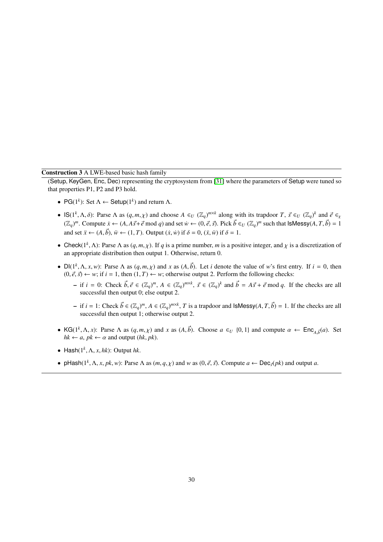# Construction 3 A LWE-based basic hash family

(Setup, KeyGen, Enc, Dec) representing the cryptosystem from [\[31\]](#page-34-4) where the parameters of Setup were tuned so that properties P1, P2 and P3 hold.

- PG( $1^k$ ): Set  $\Lambda \leftarrow$  Setup( $1^k$ ) and return  $\Lambda$ .
- IS( $1^k$ ,  $\Lambda$ ,  $\delta$ ): Parse  $\Lambda$  as  $(q, m, \chi)$  and choose  $A \in U$  ( $\mathbb{Z}_q$ )<sup>*m*×*k*</sup> along with its trapdoor *T*,  $\vec{s} \in U$  ( $\mathbb{Z}_q$ )<sup>*k*</sup> and  $\vec{e} \in \mathbb{Z}_q$ <br>( $\mathbb{Z}_q$ )<sup>*m*</sup> Compute  $\hat{y}$ ,  $\lambda$ ,  $\vec{e}$ ,  $\vec{s}$   $(\mathbb{Z}_q)^m$ . Compute  $\dot{x} \leftarrow (A, A\vec{s} + \vec{e} \mod q)$  and set  $\dot{w} \leftarrow (0, \vec{e}, \vec{s})$ . Pick  $\vec{b} \in U$   $(\mathbb{Z}_q)^m$  such that  $|s$ Messy $(A, T, \vec{b}) = 1$ and set  $\vec{x} \leftarrow (A, \vec{b})$ ,  $\vec{w} \leftarrow (1, T)$ . Output  $(\dot{x}, \dot{w})$  if  $\delta = 0$ ,  $(\ddot{x}, \ddot{w})$  if  $\delta = 1$ .
- Check( $1^k$ ,  $\Lambda$ ): Parse  $\Lambda$  as  $(q, m, \chi)$ . If *q* is a prime number, *m* is a positive integer, and  $\chi$  is a discretization of an appropriate distribution then output 1. Otherwise, return 0. an appropriate distribution then output 1. Otherwise, return 0.
- $Dl(1^k, \Lambda, x, w)$ : Parse  $\Lambda$  as  $(q, m, \chi)$  and  $x$  as  $(A, \vec{b})$ . Let *i* denote the value of *w*'s first entry. If  $i = 0$ , then  $(0, \vec{a}, \vec{c}) \leftarrow w$ ; if  $i = 1$  then  $(1, T) \leftarrow w$ ; otherwise output 2. Perform the following c  $(0, \vec{e}, \vec{s}) \leftarrow w$ ; if  $i = 1$ , then  $(1, T) \leftarrow w$ ; otherwise output 2. Perform the following checks:
	- if  $i = 0$ : Check  $\vec{b}, \vec{e} \in (\mathbb{Z}_q)^m$ ,  $A \in (\mathbb{Z}_q)^{m \times k}$ ,  $\vec{s} \in (\mathbb{Z}_q)^k$  and  $\vec{b} = A\vec{s} + \vec{e} \mod q$ . If the checks are all successful then output 0; else output 2 successful then output 0; else output 2.
	- $\vec{b}$  if *i* = 1: Check  $\vec{b}$  ∈ ( $\mathbb{Z}_q$ )<sup>*m*, *A* ∈ ( $\mathbb{Z}_q$ )<sup>*m*×*k*</sup>, *T* is a trapdoor and IsMessy(*A*, *T*,  $\vec{b}$ ) = 1. If the checks are all successful then output 1; otherwise output 2</sup> successful then output 1; otherwise output 2.
- KG( $1^k$ ,  $\Lambda$ , *x*): Parse  $\Lambda$  as  $(q, m, \chi)$  and *x* as  $(A, \vec{b})$ . Choose  $a \in U$  {0, 1} and compute  $\alpha \leftarrow \text{Enc}_{A, \vec{b}}(a)$ . Set  $hk \leftarrow a, nk \leftarrow \alpha$  and output  $(hk, nk)$  $hk \leftarrow a, pk \leftarrow \alpha$  and output ( $hk, pk$ ).
- Hash $(1^k, \Lambda, x, hk)$ : Output  $hk$ .
- pHash( $1^k$ ,  $\Lambda$ ,  $x$ ,  $pk$ ,  $w$ ): Parse  $\Lambda$  as  $(m, q, \chi)$  and  $w$  as  $(0, \vec{e}, \vec{s})$ . Compute  $a \leftarrow \text{Dec}_{\vec{s}}(pk)$  and output  $a$ .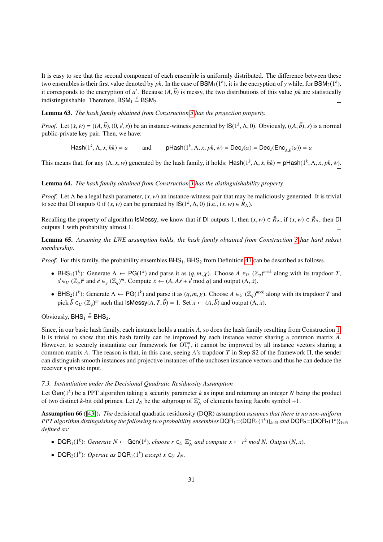It is easy to see that the second component of each ensemble is uniformly distributed. The difference between these two ensembles is their first value denoted by *pk*. In the case of  $\text{BSM}_1(1^k)$ , it is the encryption of *y* while, for  $\text{BSM}_2(1^k)$ , it corresponds to the encryption of *a'*. Because  $(A, \vec{b})$  is messy, the two distributions of this value *pk* are statistically indistinguishable. Therefore, BSM,  $\stackrel{s}{\rightarrow}$  BSM. indistinguishable. Therefore,  $BSM_1 \stackrel{s}{=} BSM_2$ .

## Lemma 63. *The hash family obtained from Construction [3](#page-18-0) has the projection property.*

*Proof.* Let  $(\dot{x}, \dot{w}) = ((A, \vec{b}), (0, \vec{e}, \vec{s}))$  be an instance-witness generated by  $\mathsf{IS}(1^k, \Lambda, 0)$ . Obviously,  $((A, \vec{b}), \vec{s})$  is a normal public-private key pair. Then, we have: public-private key pair. Then, we have:

 $\textsf{Hash}(1^k, \Lambda, \dot{x}, \mathit{hk}) = a$  and  $\textsf{pHash}(1^k)$  $A, \dot{x}, pk, \dot{w}$  = Dec<sub>*s*</sub>( $\alpha$ ) = Dec<sub>*s*</sub>(Enc<sub>*A*, $\bar{b}$ </sub> $(a)$ ) = *a* 

This means that, for any  $(\Lambda, \dot{x}, \dot{w})$  generated by the hash family, it holds: Hash $(1^k, \Lambda, \dot{x}, hk) = \rho$ Hash $(1^k, \Lambda, \dot{x}, pk, \dot{w})$ .

## Lemma 64. *The hash family obtained from Construction [3](#page-18-0) has the distinguishability property.*

*Proof.* Let Λ be a legal hash parameter,  $(x, w)$  an instance-witness pair that may be maliciously generated. It is trivial to see that DI outputs 0 if  $(x, w)$  can be generated by  $IS(1^k, \Lambda, 0)$  (i.e.,  $(x, w) \in R_\Lambda$ ).

Recalling the property of algorithm IsMessy, we know that if DI outputs 1, then  $(x, w) \in \mathbb{R}_{\Lambda}$ ; if  $(x, w) \in \mathbb{R}_{\Lambda}$ , then DI outputs 1 with probability almost 1 outputs 1 with probability almost 1.

Lemma 65. *Assuming the LWE assumption holds, the hash family obtained from Construction [3](#page-18-0) has hard subset membership.*

*Proof.* For this family, the probability ensembles  $BHS<sub>1</sub>$ ,  $BHS<sub>2</sub>$  from Definition [41](#page-21-3) can be described as follows.

- BHS<sub>1</sub>(1<sup>k</sup>): Generate  $\Lambda \leftarrow PG(1^k)$  and parse it as  $(q, m, \chi)$ . Choose  $A \in U(\mathbb{Z}_q)^{m \times k}$  along with its trapdoor *T*,<br>  $\vec{\kappa} \in U(\mathbb{Z}_q)^k$  and  $\vec{\kappa} \in (\mathbb{Z}_q)^m$ . Compute  $\kappa \in (A \land \vec{\kappa} + \vec{\kappa} \mod a)$  and output  $(A,$  $\vec{s} \in U \left(\mathbb{Z}_q\right)^k$  and  $\vec{e} \in \mathbb{Z}_q \left(\mathbb{Z}_q\right)^m$ . Compute  $\dot{x} \leftarrow (A, A\vec{s} + \vec{e} \mod q)$  and output  $(\Lambda, \dot{x})$ .
- BHS<sub>2</sub>(1<sup>k</sup>): Generate  $\Lambda \leftarrow PG(1^k)$  and parse it as  $(q, m, \chi)$ . Choose  $A \in U(\mathbb{Z}_q)^{m \times k}$  along with its trapdoor *T* and  $\mathbb{Z}_p^k \subset \mathbb{Z}_q^m$  and that leads that leads  $\mathbb{Z}_p^k \to 1$ . Set ii.  $(A, \vec{k})$  and output pick  $\vec{b} \in U$  ( $\mathbb{Z}_q$ )<sup>*m*</sup> such that IsMessy(*A*, *T*,  $\vec{b}$ ) = 1. Set  $\ddot{x} \leftarrow (A, \vec{b})$  and output ( $\Lambda$ ,  $\ddot{x}$ ).

Obviously,  $BHS_1 \stackrel{c}{=} BHS_2$ .

Since, in our basic hash family, each instance holds a matrix *A*, so does the hash family resulting from Construction [1.](#page-11-0) It is trivial to show that this hash family can be improved by each instance vector sharing a common matrix *A*. However, to securely instantiate our framework for  $OT<sub>t</sub><sup>n</sup>$ , it cannot be improved by all instance vectors sharing a common matrix *A*. The reason is that, in this case, seeing *A*'s trapdoor *T* in Step S2 of the framework Π, the sender can distinguish smooth instances and projective instances of the unchosen instance vectors and thus he can deduce the receiver's private input.

#### <span id="page-30-0"></span>*7.3. Instantiation under the Decisional Quadratic Residuosity Assumption*

Let Gen(1*<sup>k</sup>* ) be a PPT algorithm taking a security parameter *k* as input and returning an integer *N* being the product of two distinct *k*-bit odd primes. Let  $J_N$  be the subgroup of  $\mathbb{Z}_N^*$  of elements having Jacobi symbol +1.

Assumption 66 ([\[43\]](#page-34-16)). *The* decisional quadratic residuosity (DQR) assumption *assumes that there is no non-uniform*  $PPT$  algorithm distinguishing the following two probability ensembles  $\sf{DQR}_1$ ={ $\sf{DQR}_1(1^k)$ }<sub>k∈N</sub> and  $\sf{DQR}_2$ ={ $\sf{DQR}_2(1^k)$ }<sub>k∈N</sub> *defined as:*

- DQR<sub>1</sub>(1<sup>k</sup>): Generate  $N \leftarrow$  Gen(1<sup>k</sup>), choose  $r \in U \mathbb{Z}_N^*$  and compute  $x \leftarrow r^2 \mod N$ . Output  $(N, x)$ .
- DQR<sub>2</sub>(1<sup>k</sup>): *Operate as* DQR<sub>1</sub>(1<sup>k</sup>) *except*  $x \in U$   $J_N$ .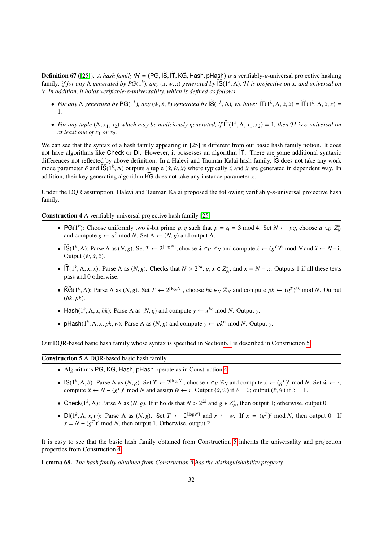**Definition 67** ([\[25\]](#page-33-24)). *A hash family*  $H = (PG, \widehat{IS}, \widehat{IT}, \widehat{KG}$ . Hash, pHash) *is a* verifiably- $\varepsilon$ -universal projective hashing family, *if for any* Λ *generated by PG*(1<sup>*k*</sup>), any (*x*,*w*, *x*̃) *generated by*  $\overline{S}(1^k, \Lambda)$ , *H is projective on <i>x*, and universal on *x*<sup>*x*</sup> *In addition, it holds verifiable-s-universallity, which is defin*  $x$ . In addition, it holds verifiable-ε-universallity, which is defined as follows.

- For any  $\Lambda$  generated by PG(1<sup>k</sup>), any (w, x, x) generated by  $\widehat{\mathsf{IS}}(1^k, \Lambda)$ , we have:  $\widehat{\mathsf{IT}}(1^k, \Lambda, \dot{x}, \ddot{x}) = \widehat{\mathsf{IT}}(1^k, \Lambda, \ddot{x}, \dot{x}) =$ 1*.*
- For any tuple  $(\Lambda, x_1, x_2)$  which may be maliciously generated, if  $\widehat{\Pi}(1^k, \Lambda, x_1, x_2) = 1$ , then H is  $\varepsilon$ -universal on at least one of  $x_1$  or  $x_2$ *at least one of*  $x_1$  *or*  $x_2$ *.*

We can see that the syntax of a hash family appearing in [\[25\]](#page-33-24) is different from our basic hash family notion. It does not have algorithms like Check or DI. However, it possesses an algorithm  $\overline{T}$ . There are some additional syntaxic differences not reflected by above definition. In a Halevi and Tauman Kalai hash family,  $\hat{S}$  does not take any work mode parameter δ and  $\overline{S}(1^k, \Lambda)$  outputs a tuple  $(\dot{x}, \dot{w}, \ddot{x})$  where typically  $\dot{x}$  and  $\ddot{x}$  are generated in dependent way. In addition, their less generating algorithm  $\widehat{KG}$  does not take any instance pa addition, their key generating algorithm  $\widehat{KG}$  does not take any instance parameter *x*.

Under the DQR assumption, Halevi and Tauman Kalai proposed the following verifiably-*ε*-universal projective hash family.

<span id="page-31-1"></span>Construction 4 A verifiably-universal projective hash family [\[25\]](#page-33-24)

- PG(1<sup>k</sup>): Choose uniformly two *k*-bit prime *p*, *q* such that  $p = q = 3 \text{ mod } 4$ . Set  $N \leftarrow pq$ , choose  $a \in U Z_N^*$ <br>and compute  $q \leftarrow q^2 \text{ mod } N$ . Set  $\Lambda \leftarrow (N, q)$  and output  $\Lambda$ and compute  $g \leftarrow a^2 \mod N$ . Set  $\Lambda \leftarrow (N, g)$  and output  $\Lambda$ .
- $\widehat{IS}(1^k, \Lambda)$ : Parse  $\Lambda$  as  $(N, g)$ . Set  $T \leftarrow 2^{\lceil \log N \rceil}$ , choose  $\dot{w} \in U \mathbb{Z}_N$  and compute  $\dot{x} \leftarrow (g^T)^{\dot{w}}$  mod  $N$  and  $\ddot{x} \leftarrow N \dot{x}$ . Output  $(w, \dot{x}, \ddot{x})$ .
- $\widehat{\Pi}(1^k, \Lambda, \dot{x}, \ddot{x})$ : Parse  $\Lambda$  as  $(N, g)$ . Checks that  $N > 2^{2n}$ ,  $g, \dot{x} \in Z_N^*$ , and  $\ddot{x} = N \dot{x}$ . Outputs 1 if all these tests pass and 0 otherwise.
- $\widehat{\text{KG}}(1^k, \Lambda)$ : Parse  $\Lambda$  as  $(N, g)$ . Set  $T \leftarrow 2^{\lceil \log N \rceil}$ , choose  $hk \in U \mathbb{Z}_N$  and compute  $pk \leftarrow (g^T)^{hk} \mod N$ . Output  $(hk, nk)$ (*hk*, *pk*).
- Hash( $1^k$ ,  $\Lambda$ ,  $x$ ,  $hk$ ): Parse  $\Lambda$  as  $(N, g)$  and compute  $y \leftarrow x^{hk}$  mod  $N$ . Output  $y$ .
- pHash( $1^k$ ,  $\Lambda$ , *x*,  $pk$ , *w*): Parse  $\Lambda$  as  $(N, g)$  and compute  $y \leftarrow pk^w \mod N$ . Output *y*.

Our DQR-based basic hash family whose syntax is specified in Sectio[n6.1](#page-21-4) is described in Construction [5.](#page-31-0)

<span id="page-31-0"></span>Construction 5 A DQR-based basic hash family

- Algorithms PG, KG, Hash, pHash operate as in Construction [4.](#page-31-1)
- IS(1<sup>k</sup>,  $\Lambda$ ,  $\delta$ ): Parse  $\Lambda$  as (*N*, *g*). Set *T* ← 2<sup>[log *N*</sup>, choose *r* ∈*U*  $\mathbb{Z}_N$  and compute  $\dot{x}$  ← (*g<sup>T</sup>*)<sup>*r*</sup> mod *N*. Set  $\dot{w}$  ← *r*, compute  $\ddot{x}$  ← *N* − (*gT*<sup>γ</sup> mod *N* and assign  $\ddot{$ compute  $\ddot{x} \leftarrow N - (g^T)^r \text{ mod } N$  and assign  $\ddot{w} \leftarrow r$ . Output  $(\dot{x}, \dot{w})$  if  $\delta = 0$ ; output  $(\ddot{x}, \ddot{w})$  if  $\delta = 1$ .
- Check( $1^k$ ,  $\Lambda$ ): Parse  $\Lambda$  as  $(N, g)$ . If it holds that  $N > 2^{2k}$  and  $g \in Z_N^*$ , then output 1; otherwise, output 0.
- $Dl(1^k, \Lambda, x, w)$ : Parse  $\Lambda$  as  $(N, g)$ . Set  $T \leftarrow 2^{\lceil \log N \rceil}$  and  $r \leftarrow w$ . If  $x = (g^T)^r \mod N$ , then output 0. If  $x = N (g^T)^r \mod N$  then output 1. Otherwise output 2.  $x = N - (g^T)^r \mod N$ , then output 1. Otherwise, output 2.

It is easy to see that the basic hash family obtained from Construction [5](#page-31-0) inherits the universality and projection properties from Construction [4.](#page-31-1)

Lemma 68. *The hash family obtained from Construction [5](#page-31-0) has the distinguishability property.*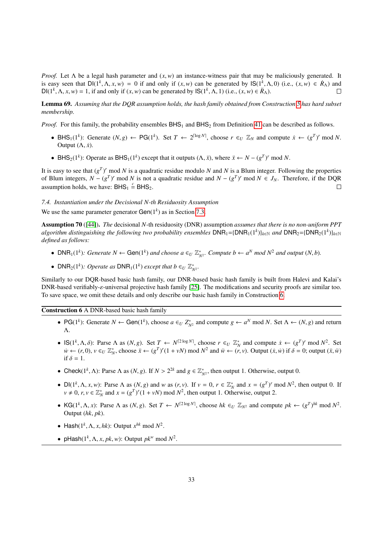*Proof.* Let  $\Lambda$  be a legal hash parameter and  $(x, w)$  an instance-witness pair that may be maliciously generated. It is easy seen that  $DI(1^k, \Lambda, x, w) = 0$  if and only if  $(x, w)$  can be generated by  $IS(1^k, \Lambda, 0)$  (i.e.,  $(x, w) \in R_\Lambda$ ) and  $DI(1^k, \Lambda, x, w) = 1$  if and only if  $(x, w)$  can be generated by  $IS(1^k, \Lambda, 1)$  (i.e.,  $(x, w) \in R_\Lambda$ ) DI( $1^k$ ,  $\Lambda$ ,  $x$ ,  $w$ ) = 1, if and only if  $(x, w)$  can be generated by  $\mathsf{IS}(1^k, \Lambda, 1)$  (i.e.,  $(x, w) \in \mathbb{R}_{\Lambda}$ ).

Lemma 69. Assuming that the DQR assumption holds, the hash family obtained from Construction [5](#page-31-0) has hard subset *membership.*

*Proof.* For this family, the probability ensembles  $BHS_1$  and  $BHS_2$  from Definition [41](#page-21-3) can be described as follows.

- BHS<sub>1</sub>(1<sup>*k*</sup>): Generate (*N*, *g*) ← PG(1<sup>*k*</sup>). Set *T* ← 2<sup>[log *N*], choose *r* ∈<sub>*U*</sub>  $\mathbb{Z}_N$  and compute  $\dot{x}$  ← ( $g^T$ )<sup>*r*</sup> mod *N*.</sup> Output  $(\Lambda, \dot{x})$ .
- BHS<sub>2</sub>(1<sup>*k*</sup>): Operate as BHS<sub>1</sub>(1<sup>*k*</sup>) except that it outputs (Λ, *x*̄), where  $\ddot{x}$  ←  $N (g<sup>T</sup>)<sup>r</sup>$  mod *N*.

It is easy to see that  $(g<sup>T</sup>)<sup>r</sup>$  mod *N* is a quadratic residue modulo *N* and *N* is a Blum integer. Following the properties of Blum integers,  $N - (g^T)^r$  mod  $N$  is not a quadratic residue and  $N - (g^T)^r$  mod  $N \in J_N$ . Therefore, if the DQR assumption holds, we have:  $BHS_1 \stackrel{c}{=} BHS_2$ .  $\Box$ 

## *7.4. Instantiation under the Decisional N-th Residuosity Assumption*

We use the same parameter generator  $Gen(1<sup>k</sup>)$  as in Section [7.3.](#page-30-0)

Assumption 70 ([\[44\]](#page-34-17)). *The* decisional *N*-th residuosity (DNR) assumption *assumes that there is no non-uniform PPT*  $a$ lgorithm distinguishing the following two probability ensembles  $DNR_1 = {DNR_1(1^k)}_{k \in \mathbb{N}}$  and  $DNR_2 = {DNR_2(1^k)}_{k \in \mathbb{N}}$ *defined as follows:*

- DNR<sub>1</sub>(1<sup>k</sup>): Generate  $N \leftarrow$  Gen(1<sup>k</sup>) and choose  $a \in U \mathbb{Z}_{N^2}^*$ . Compute  $b \leftarrow a^N \mod N^2$  and output  $(N, b)$ .
- DNR<sub>2</sub>(1<sup>k</sup>): Operate as DNR<sub>1</sub>(1<sup>k</sup>) except that  $b \in U \mathbb{Z}_{N^2}^*$ .

Similarly to our DQR-based basic hash family, our DNR-based basic hash family is built from Halevi and Kalai's DNR-based verifiably-ε-universal projective hash family [\[25\]](#page-33-24). The modifications and security proofs are similar too. To save space, we omit these details and only describe our basic hash family in Construction [6.](#page-32-0)

<span id="page-32-0"></span>Construction 6 A DNR-based basic hash family

- PG(1<sup>k</sup>): Generate  $N \leftarrow$  Gen(1<sup>k</sup>), choose  $a \in U Z_{N^2}^*$  and compute  $g \leftarrow a^N \mod N$ . Set  $\Lambda \leftarrow (N, g)$  and return  $\Lambda$ Λ.
- $\mathsf{IS}(1^k, \Lambda, \delta)$ : Parse  $\Lambda$  as  $(N, g)$ . Set  $T \leftarrow N^{[2\log N]}$ , choose  $r \in U \mathbb{Z}_N^*$  and compute  $\dot{x} \leftarrow (g^T)^r \mod N^2$ . Set  $\dot{y} \leftarrow (r, 0)$ ,  $y \in U \mathbb{Z}_N^*$ , choose  $\ddot{y} \leftarrow (g^T)^r (1 + yN) \mod N^2$  and  $\ddot{y} \leftarrow (r, y)$ . Out  $\dot{w} \leftarrow (r, 0), v \in_U \mathbb{Z}_N^*$ , choose  $\ddot{x} \leftarrow (g^T)^r (1 + vN) \text{ mod } N^2$  and  $\ddot{w} \leftarrow (\ddot{r}, v)$ . Output  $(\dot{x}, \dot{w})$  if  $\delta = 0$ ; output  $(\ddot{x}, \ddot{w})$ <br>if  $\delta = 1$ if  $\delta = 1$ .
- Check( $1^k$ ,  $\Lambda$ ): Parse  $\Lambda$  as  $(N, g)$ . If  $N > 2^{2k}$  and  $g \in \mathbb{Z}_{N^2}^*$ , then output 1. Otherwise, output 0.
- $Dl(1^k, \Lambda, x, w)$ : Parse  $\Lambda$  as  $(N, g)$  and w as  $(r, v)$ . If  $v = 0$ ,  $r \in \mathbb{Z}_N^*$  and  $x = (g^T)^r \mod N^2$ , then output 0. If  $v \neq 0$ ,  $r, v \in \mathbb{Z}^*$  and  $r = (g^T)^r(1 + v)$  mod  $N^2$  then output 1. Otherwise, output 2  $v \neq 0$ ,  $r, v \in \mathbb{Z}_N^*$  and  $x = (g^T)^r (1 + vN) \text{ mod } N^2$ , then output 1. Otherwise, output 2.
- KG( $1^k$ ,  $\Lambda$ , *x*): Parse  $\Lambda$  as  $(N, g)$ . Set  $T \leftarrow N^{[2\log N]}$ , choose  $hk \in U \mathbb{Z}_{N^2}$  and compute  $pk \leftarrow (g^T)^{hk} \mod N^2$ .<br>Output  $(hk, nk)$ Output (*hk*, *pk*).
- Hash $(1^k, \Lambda, x, hk)$ : Output  $x^{hk}$  mod  $N^2$ .
- pHash( $1^k$ ,  $\Lambda$ ,  $x$ ,  $pk$ ,  $w$ ): Output  $pk^w$  mod  $N^2$ .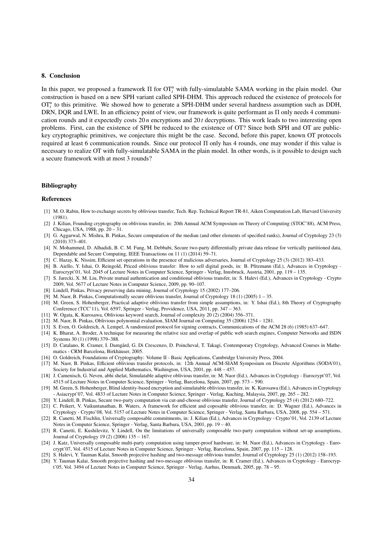## 8. Conclusion

In this paper, we proposed a framework Π for OT<sup>*n*</sup> with fully-simulatable SAMA working in the plain model. Our construction is based on a new SPH variant called SPH-DHM. This approach reduced the existence of protocols for  $OT<sub>t</sub><sup>n</sup>$  to this primitive. We showed how to generate a SPH-DHM under several hardness assumption such as DDH, DRN, DQR and LWE. In an efficiency point of view, our framework is quite performant as Π only needs 4 communication rounds and it expectedly costs 20 *n* encryptions and 20 *t* decryptions. This work leads to two interesting open problems. First, can the existence of SPH be reduced to the existence of OT? Since both SPH and OT are publickey cryptographic primitives, we conjecture this might be the case. Second, before this paper, known OT protocols required at least 6 communication rounds. Since our protocol Π only has 4 rounds, one may wonder if this value is necessary to realize OT with fully-simulatable SAMA in the plain model. In other words, is it possible to design such a secure framework with at most 3 rounds?

#### Bibliography

#### References

- <span id="page-33-0"></span>[1] M. O. Rabin, How to exchange secrets by oblivious transfer, Tech. Rep. Technical Report TR-81, Aiken Computation Lab, Harvard University (1981).
- <span id="page-33-1"></span>[2] J. Kilian, Founding cryptography on oblivious transfer, in: 20th Annual ACM Symposium on Theory of Computing (STOC'88), ACM Press, Chicago, USA, 1988, pp. 20 – 31.
- <span id="page-33-2"></span>[3] G. Aggarwal, N. Mishra, B. Pinkas, Secure computation of the median (and other elements of specified ranks), Journal of Cryptology 23 (3) (2010) 373–401.
- <span id="page-33-3"></span>[4] N. Mohammed, D. Alhadidi, B. C. M. Fung, M. Debbabi, Secure two-party differentially private data release for vertically partitioned data, Dependable and Secure Computing, IEEE Transactions on 11 (1) (2014) 59–71.
- <span id="page-33-4"></span>[5] C. Hazay, K. Nissim, Efficient set operations in the presence of malicious adversaries, Journal of Cryptology 25 (3) (2012) 383–433.
- <span id="page-33-5"></span>[6] B. Aiello, Y. Ishai, O. Reingold, Priced oblivious transfer: How to sell digital goods, in: B. Pfitzmann (Ed.), Advances in Cryptology - Eurocrypt'01, Vol. 2045 of Lecture Notes in Computer Science, Springer - Verlag, Innsbruck, Austria, 2001, pp. 119 – 135.
- <span id="page-33-6"></span>[7] S. Jarecki, X. M. Liu, Private mutual authentication and conditional oblivious transfer, in: S. Halevi (Ed.), Advances in Cryptology - Crypto 2009, Vol. 5677 of Lecture Notes in Computer Science, 2009, pp. 90–107.
- <span id="page-33-7"></span>[8] Lindell, Pinkas, Privacy preserving data mining, Journal of Cryptology 15 (2002) 177–206.
- <span id="page-33-8"></span>[9] M. Naor, B. Pinkas, Computationally secure oblivious transfer, Journal of Cryptology 18 (1) (2005) 1 – 35.
- <span id="page-33-9"></span>[10] M. Green, S. Hohenberger, Practical adaptive oblivious transfer from simple assumptions, in: Y. Ishai (Ed.), 8th Theory of Cryptography Conference (TCC'11), Vol. 6597, Springer - Verlag, Providence, USA, 2011, pp. 347 – 363.
- <span id="page-33-10"></span>[11] W. Ogata, K. Kurosawa, Oblivious keyword search, Journal of complexity 20 (2) (2004) 356–371.
- <span id="page-33-11"></span>[12] M. Naor, B. Pinkas, Oblivious polynomial evaluation, SIAM Journal on Computing 35 (2006) 1254 – 1281.
- <span id="page-33-12"></span>[13] S. Even, O. Goldreich, A. Lempel, A randomized protocol for signing contracts, Communications of the ACM 28 (6) (1985) 637–647.
- <span id="page-33-13"></span>[14] K. Bharat, A. Broder, A technique for measuring the relative size and overlap of public web search engines, Computer Networks and ISDN Systems 30 (1) (1998) 379–388.
- <span id="page-33-14"></span>[15] D. Catalano, R. Cramer, I. Damgård, G. Di Crescenzo, D. Poincheval, T. Takagi, Contemporary Cryptology, Advanced Courses in Mathematics - CRM Barcelona, Birkhäuser, 2005.
- <span id="page-33-15"></span>[16] O. Goldreich, Foundations of Cryptography: Volume II - Basic Applications, Cambridge University Press, 2004.
- <span id="page-33-16"></span>[17] M. Naor, B. Pinkas, Efficient oblivious transfer protocols, in: 12th Annual ACM-SIAM Symposium on Discrete Algorithms (SODA'01), Society for Industrial and Applied Mathematics, Washington, USA, 2001, pp. 448 – 457.
- <span id="page-33-17"></span>[18] J. Camenisch, G. Neven, abhi shelat, Simulatable adaptive oblivious transfer, in: M. Naor (Ed.), Advances in Cryptology - Eurocrypt'07, Vol. 4515 of Lecture Notes in Computer Science, Springer - Verlag, Barcelona, Spain, 2007, pp. 573 – 590.
- <span id="page-33-18"></span>[19] M. Green, S. Hohenberger, Blind identity-based encryption and simulatable oblivious transfer, in: K. Kurosawa (Ed.), Advances in Cryptology - Asiacrypt'07, Vol. 4833 of Lecture Notes in Computer Science, Springer - Verlag, Kuching, Malaysia, 2007, pp. 265 – 282.
- <span id="page-33-19"></span>[20] Y. Lindell, B. Pinkas, Secure two-party computation via cut-and-choose oblivious transfer, Journal of Cryptology 25 (4) (2012) 680–722.
- <span id="page-33-20"></span>[21] C. Peikert, V. Vaikuntanathan, B. Waters, A framework for efficient and coposable oblivious transfer, in: D. Wagner (Ed.), Advances in Cryptology - Crypto'08, Vol. 5157 of Lecture Notes in Computer Science, Springer - Verlag, Santa Barbara, USA, 2008, pp. 554 – 571.
- <span id="page-33-21"></span>[22] R. Canetti, M. Fischlin, Universally composable commitments, in: J. Kilian (Ed.), Advances in Cryptology - Crypto'01, Vol. 2139 of Lecture Notes in Computer Science, Springer - Verlag, Santa Barbara, USA, 2001, pp. 19 – 40.
- <span id="page-33-22"></span>[23] R. Canetti, E. Kushilevitz, Y. Lindell, On the limitations of universally composable two-party computation without set-up assumptions, Journal of Cryptology 19 (2) (2006) 135 – 167.
- <span id="page-33-23"></span>[24] J. Katz, Universally composable multi-party computation using tamper-proof hardware, in: M. Naor (Ed.), Advances in Cryptology - Eurocrypt'07, Vol. 4515 of Lecture Notes in Computer Science, Springer - Verlag, Barcelona, Spain, 2007, pp. 115 – 128.
- <span id="page-33-24"></span>[25] S. Halevi, Y. Tauman Kalai, Smooth projective hashing and two-message oblivious transfer, Journal of Cryptology 25 (1) (2012) 158–193.
- <span id="page-33-25"></span>[26] Y. Tauman Kalai, Smooth projective hashing and two-message oblivious transfer, in: R. Cramer (Ed.), Advances in Cryptology - Eurocrypt'05, Vol. 3494 of Lecture Notes in Computer Science, Springer - Verlag, Aarhus, Denmark, 2005, pp. 78 – 95.